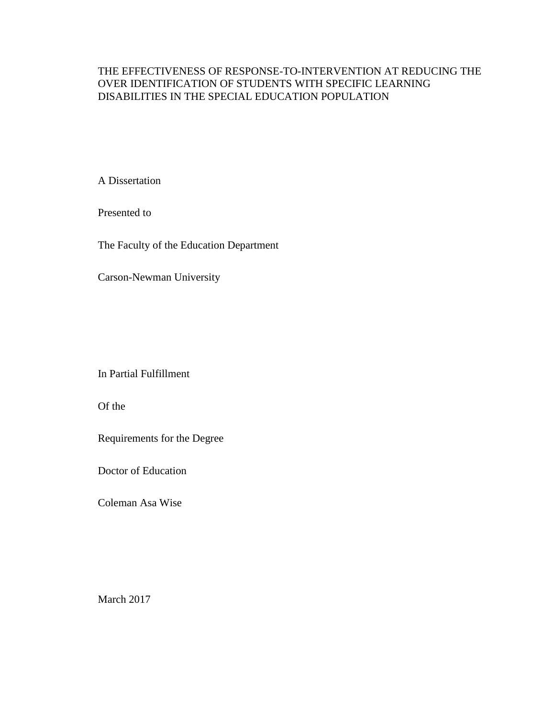# THE EFFECTIVENESS OF RESPONSE-TO-INTERVENTION AT REDUCING THE OVER IDENTIFICATION OF STUDENTS WITH SPECIFIC LEARNING DISABILITIES IN THE SPECIAL EDUCATION POPULATION

A Dissertation

Presented to

The Faculty of the Education Department

Carson-Newman University

In Partial Fulfillment

Of the

Requirements for the Degree

Doctor of Education

Coleman Asa Wise

March 2017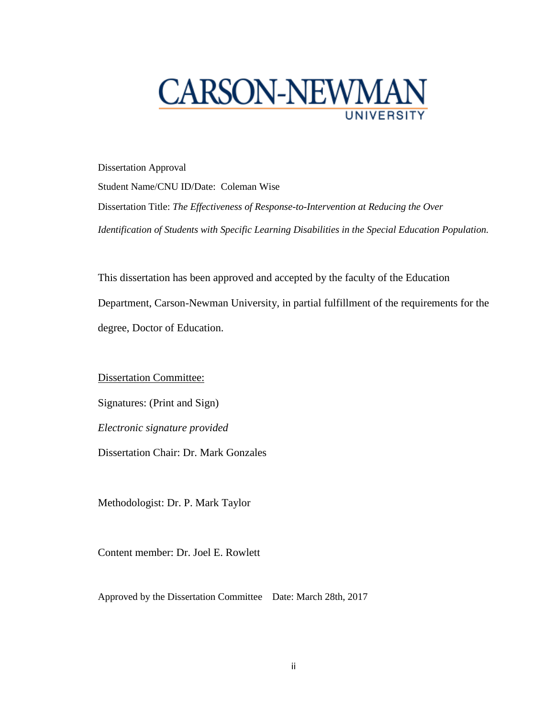

Dissertation Approval Student Name/CNU ID/Date: Coleman Wise Dissertation Title: *The Effectiveness of Response-to-Intervention at Reducing the Over Identification of Students with Specific Learning Disabilities in the Special Education Population.*

This dissertation has been approved and accepted by the faculty of the Education Department, Carson-Newman University, in partial fulfillment of the requirements for the degree, Doctor of Education.

Dissertation Committee:

Signatures: (Print and Sign)

*Electronic signature provided*

Dissertation Chair: Dr. Mark Gonzales

Methodologist: Dr. P. Mark Taylor

Content member: Dr. Joel E. Rowlett

Approved by the Dissertation Committee Date: March 28th, 2017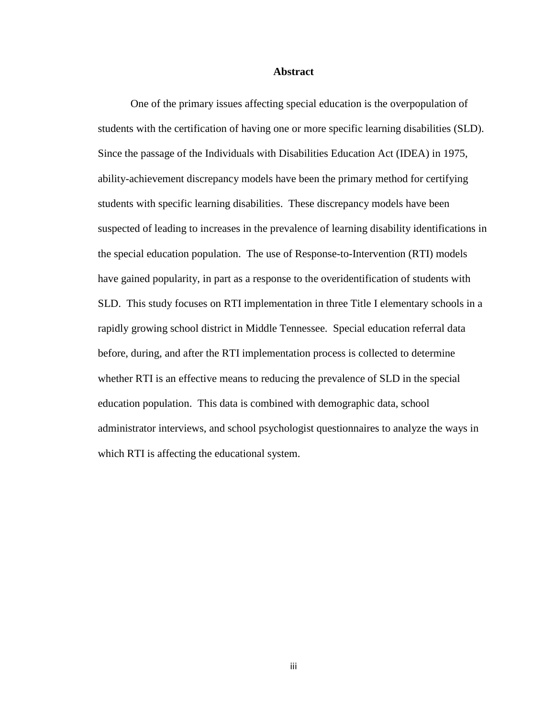#### **Abstract**

One of the primary issues affecting special education is the overpopulation of students with the certification of having one or more specific learning disabilities (SLD). Since the passage of the Individuals with Disabilities Education Act (IDEA) in 1975, ability-achievement discrepancy models have been the primary method for certifying students with specific learning disabilities. These discrepancy models have been suspected of leading to increases in the prevalence of learning disability identifications in the special education population. The use of Response-to-Intervention (RTI) models have gained popularity, in part as a response to the overidentification of students with SLD. This study focuses on RTI implementation in three Title I elementary schools in a rapidly growing school district in Middle Tennessee. Special education referral data before, during, and after the RTI implementation process is collected to determine whether RTI is an effective means to reducing the prevalence of SLD in the special education population. This data is combined with demographic data, school administrator interviews, and school psychologist questionnaires to analyze the ways in which RTI is affecting the educational system.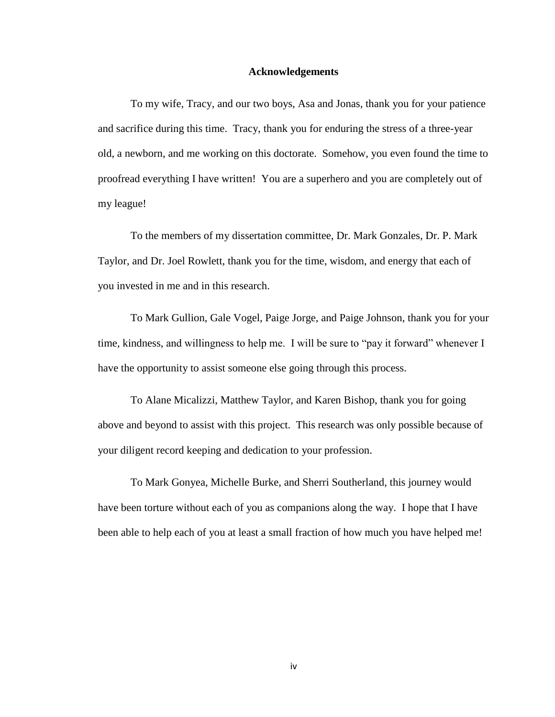### **Acknowledgements**

To my wife, Tracy, and our two boys, Asa and Jonas, thank you for your patience and sacrifice during this time. Tracy, thank you for enduring the stress of a three-year old, a newborn, and me working on this doctorate. Somehow, you even found the time to proofread everything I have written! You are a superhero and you are completely out of my league!

To the members of my dissertation committee, Dr. Mark Gonzales, Dr. P. Mark Taylor, and Dr. Joel Rowlett, thank you for the time, wisdom, and energy that each of you invested in me and in this research.

To Mark Gullion, Gale Vogel, Paige Jorge, and Paige Johnson, thank you for your time, kindness, and willingness to help me. I will be sure to "pay it forward" whenever I have the opportunity to assist someone else going through this process.

To Alane Micalizzi, Matthew Taylor, and Karen Bishop, thank you for going above and beyond to assist with this project. This research was only possible because of your diligent record keeping and dedication to your profession.

To Mark Gonyea, Michelle Burke, and Sherri Southerland, this journey would have been torture without each of you as companions along the way. I hope that I have been able to help each of you at least a small fraction of how much you have helped me!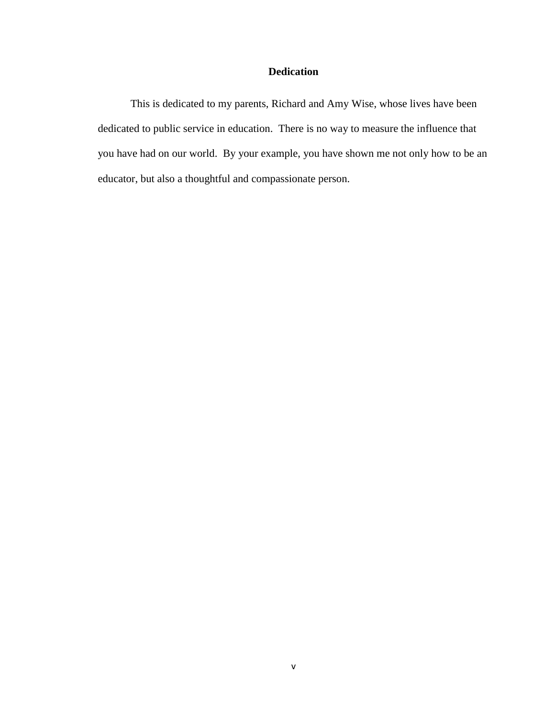# **Dedication**

This is dedicated to my parents, Richard and Amy Wise, whose lives have been dedicated to public service in education. There is no way to measure the influence that you have had on our world. By your example, you have shown me not only how to be an educator, but also a thoughtful and compassionate person.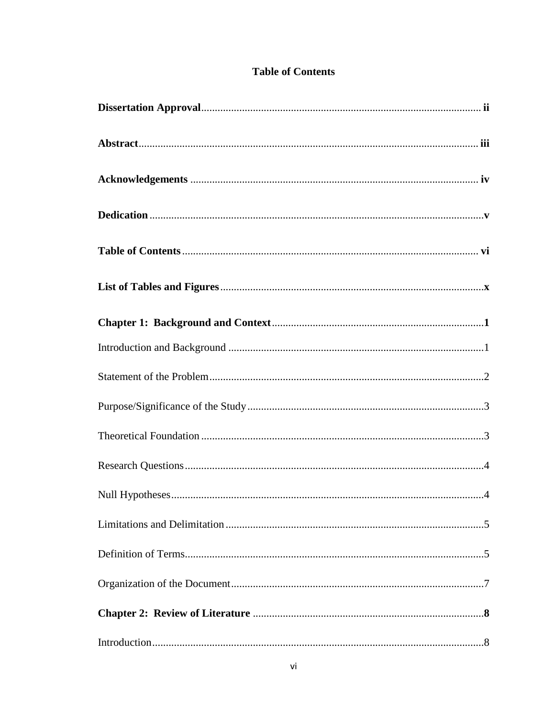# **Table of Contents**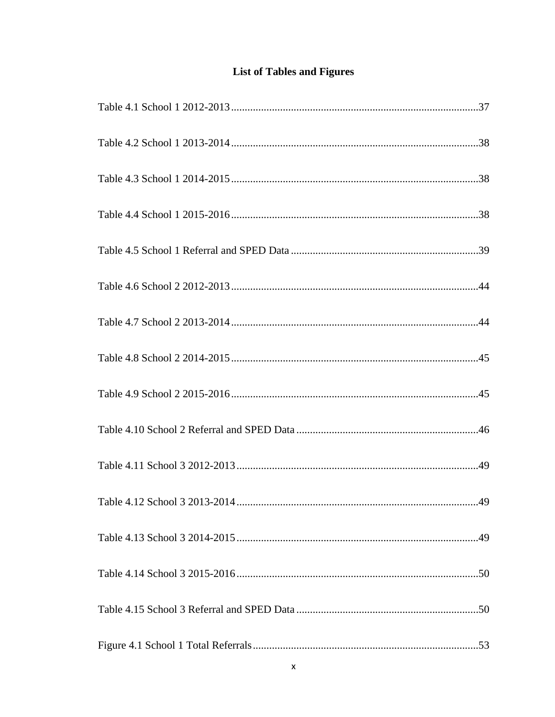# **List of Tables and Figures**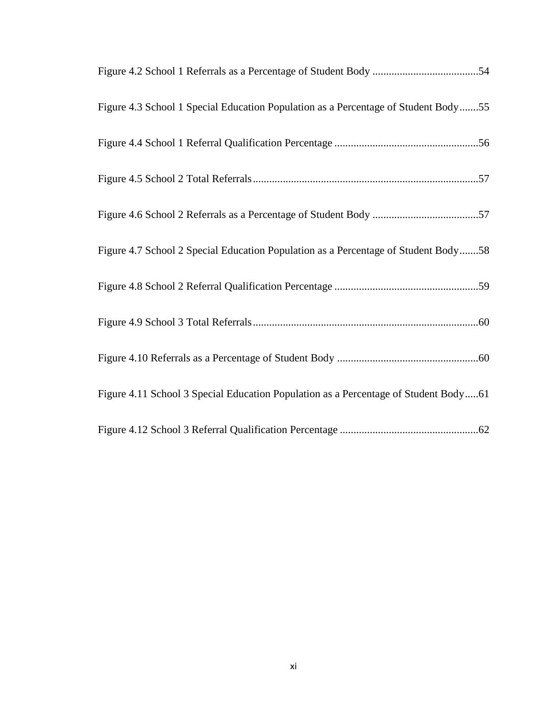| Figure 4.3 School 1 Special Education Population as a Percentage of Student Body55  |
|-------------------------------------------------------------------------------------|
|                                                                                     |
|                                                                                     |
|                                                                                     |
| Figure 4.7 School 2 Special Education Population as a Percentage of Student Body58  |
|                                                                                     |
|                                                                                     |
|                                                                                     |
| Figure 4.11 School 3 Special Education Population as a Percentage of Student Body61 |
|                                                                                     |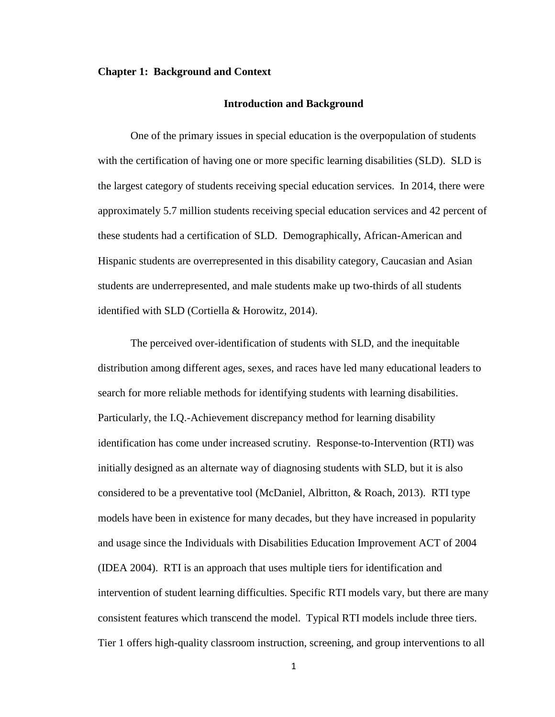#### **Chapter 1: Background and Context**

#### **Introduction and Background**

One of the primary issues in special education is the overpopulation of students with the certification of having one or more specific learning disabilities (SLD). SLD is the largest category of students receiving special education services. In 2014, there were approximately 5.7 million students receiving special education services and 42 percent of these students had a certification of SLD. Demographically, African-American and Hispanic students are overrepresented in this disability category, Caucasian and Asian students are underrepresented, and male students make up two-thirds of all students identified with SLD (Cortiella & Horowitz, 2014).

The perceived over-identification of students with SLD, and the inequitable distribution among different ages, sexes, and races have led many educational leaders to search for more reliable methods for identifying students with learning disabilities. Particularly, the I.Q.-Achievement discrepancy method for learning disability identification has come under increased scrutiny. Response-to-Intervention (RTI) was initially designed as an alternate way of diagnosing students with SLD, but it is also considered to be a preventative tool (McDaniel, Albritton, & Roach, 2013). RTI type models have been in existence for many decades, but they have increased in popularity and usage since the Individuals with Disabilities Education Improvement ACT of 2004 (IDEA 2004). RTI is an approach that uses multiple tiers for identification and intervention of student learning difficulties. Specific RTI models vary, but there are many consistent features which transcend the model. Typical RTI models include three tiers. Tier 1 offers high-quality classroom instruction, screening, and group interventions to all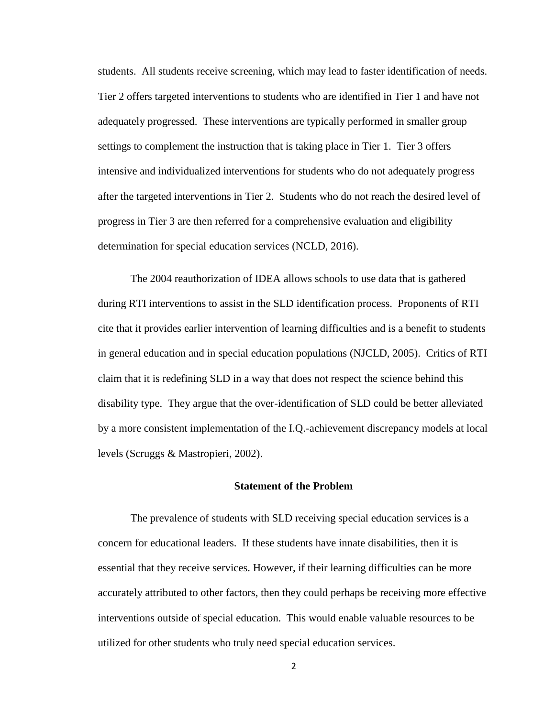students. All students receive screening, which may lead to faster identification of needs. Tier 2 offers targeted interventions to students who are identified in Tier 1 and have not adequately progressed. These interventions are typically performed in smaller group settings to complement the instruction that is taking place in Tier 1. Tier 3 offers intensive and individualized interventions for students who do not adequately progress after the targeted interventions in Tier 2. Students who do not reach the desired level of progress in Tier 3 are then referred for a comprehensive evaluation and eligibility determination for special education services (NCLD, 2016).

The 2004 reauthorization of IDEA allows schools to use data that is gathered during RTI interventions to assist in the SLD identification process. Proponents of RTI cite that it provides earlier intervention of learning difficulties and is a benefit to students in general education and in special education populations (NJCLD, 2005). Critics of RTI claim that it is redefining SLD in a way that does not respect the science behind this disability type. They argue that the over-identification of SLD could be better alleviated by a more consistent implementation of the I.Q.-achievement discrepancy models at local levels (Scruggs & Mastropieri, 2002).

## **Statement of the Problem**

The prevalence of students with SLD receiving special education services is a concern for educational leaders. If these students have innate disabilities, then it is essential that they receive services. However, if their learning difficulties can be more accurately attributed to other factors, then they could perhaps be receiving more effective interventions outside of special education. This would enable valuable resources to be utilized for other students who truly need special education services.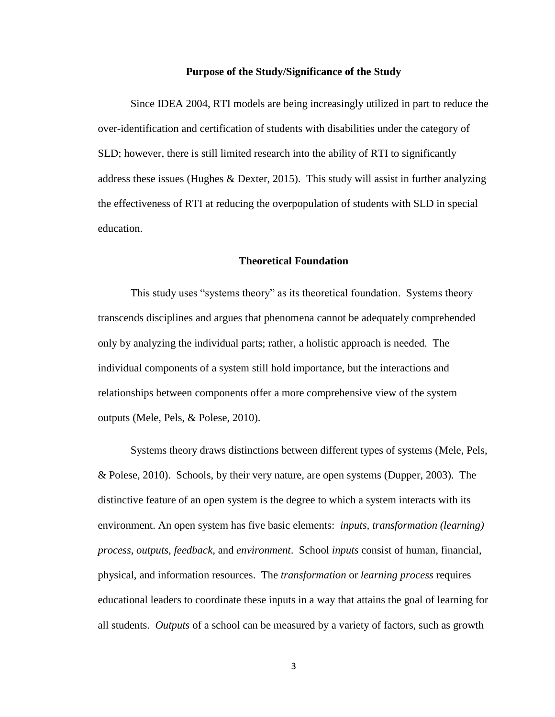#### **Purpose of the Study/Significance of the Study**

Since IDEA 2004, RTI models are being increasingly utilized in part to reduce the over-identification and certification of students with disabilities under the category of SLD; however, there is still limited research into the ability of RTI to significantly address these issues (Hughes & Dexter, 2015). This study will assist in further analyzing the effectiveness of RTI at reducing the overpopulation of students with SLD in special education.

## **Theoretical Foundation**

This study uses "systems theory" as its theoretical foundation. Systems theory transcends disciplines and argues that phenomena cannot be adequately comprehended only by analyzing the individual parts; rather, a holistic approach is needed. The individual components of a system still hold importance, but the interactions and relationships between components offer a more comprehensive view of the system outputs (Mele, Pels, & Polese, 2010).

Systems theory draws distinctions between different types of systems (Mele, Pels, & Polese, 2010). Schools, by their very nature, are open systems (Dupper, 2003). The distinctive feature of an open system is the degree to which a system interacts with its environment. An open system has five basic elements: *inputs, transformation (learning) process, outputs, feedback,* and *environment*. School *inputs* consist of human, financial, physical, and information resources. The *transformation* or *learning process* requires educational leaders to coordinate these inputs in a way that attains the goal of learning for all students. *Outputs* of a school can be measured by a variety of factors, such as growth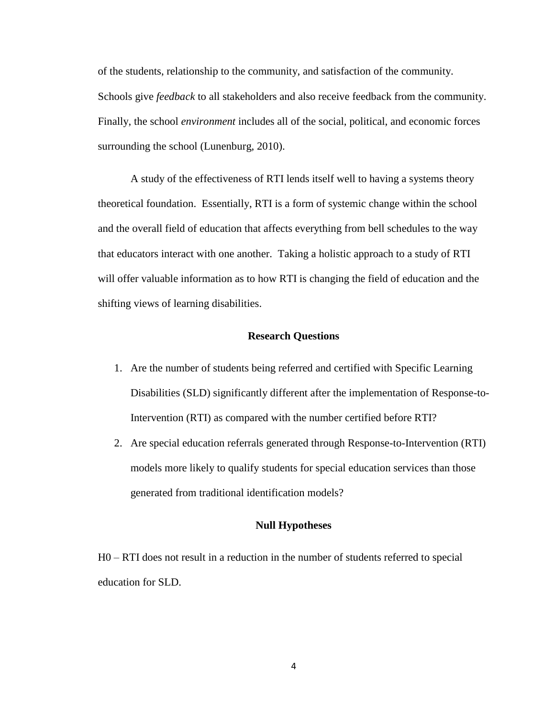of the students, relationship to the community, and satisfaction of the community. Schools give *feedback* to all stakeholders and also receive feedback from the community. Finally, the school *environment* includes all of the social, political, and economic forces surrounding the school (Lunenburg, 2010).

A study of the effectiveness of RTI lends itself well to having a systems theory theoretical foundation. Essentially, RTI is a form of systemic change within the school and the overall field of education that affects everything from bell schedules to the way that educators interact with one another. Taking a holistic approach to a study of RTI will offer valuable information as to how RTI is changing the field of education and the shifting views of learning disabilities.

# **Research Questions**

- 1. Are the number of students being referred and certified with Specific Learning Disabilities (SLD) significantly different after the implementation of Response-to-Intervention (RTI) as compared with the number certified before RTI?
- 2. Are special education referrals generated through Response-to-Intervention (RTI) models more likely to qualify students for special education services than those generated from traditional identification models?

# **Null Hypotheses**

H0 – RTI does not result in a reduction in the number of students referred to special education for SLD.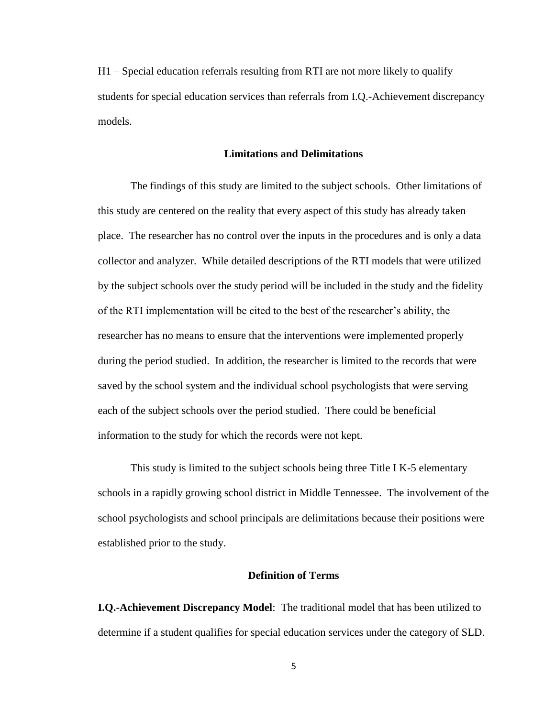H1 – Special education referrals resulting from RTI are not more likely to qualify students for special education services than referrals from I.Q.-Achievement discrepancy models.

# **Limitations and Delimitations**

The findings of this study are limited to the subject schools. Other limitations of this study are centered on the reality that every aspect of this study has already taken place. The researcher has no control over the inputs in the procedures and is only a data collector and analyzer. While detailed descriptions of the RTI models that were utilized by the subject schools over the study period will be included in the study and the fidelity of the RTI implementation will be cited to the best of the researcher's ability, the researcher has no means to ensure that the interventions were implemented properly during the period studied. In addition, the researcher is limited to the records that were saved by the school system and the individual school psychologists that were serving each of the subject schools over the period studied. There could be beneficial information to the study for which the records were not kept.

This study is limited to the subject schools being three Title I K-5 elementary schools in a rapidly growing school district in Middle Tennessee. The involvement of the school psychologists and school principals are delimitations because their positions were established prior to the study.

## **Definition of Terms**

**I.Q.-Achievement Discrepancy Model**: The traditional model that has been utilized to determine if a student qualifies for special education services under the category of SLD.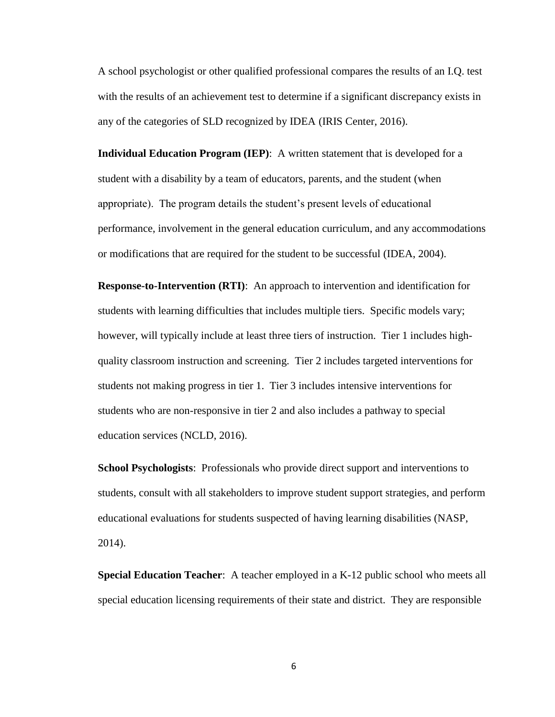A school psychologist or other qualified professional compares the results of an I.Q. test with the results of an achievement test to determine if a significant discrepancy exists in any of the categories of SLD recognized by IDEA (IRIS Center, 2016).

**Individual Education Program (IEP)**: A written statement that is developed for a student with a disability by a team of educators, parents, and the student (when appropriate). The program details the student's present levels of educational performance, involvement in the general education curriculum, and any accommodations or modifications that are required for the student to be successful (IDEA, 2004).

**Response-to-Intervention (RTI)**: An approach to intervention and identification for students with learning difficulties that includes multiple tiers. Specific models vary; however, will typically include at least three tiers of instruction. Tier 1 includes highquality classroom instruction and screening. Tier 2 includes targeted interventions for students not making progress in tier 1. Tier 3 includes intensive interventions for students who are non-responsive in tier 2 and also includes a pathway to special education services (NCLD, 2016).

**School Psychologists**: Professionals who provide direct support and interventions to students, consult with all stakeholders to improve student support strategies, and perform educational evaluations for students suspected of having learning disabilities (NASP, 2014).

**Special Education Teacher**: A teacher employed in a K-12 public school who meets all special education licensing requirements of their state and district. They are responsible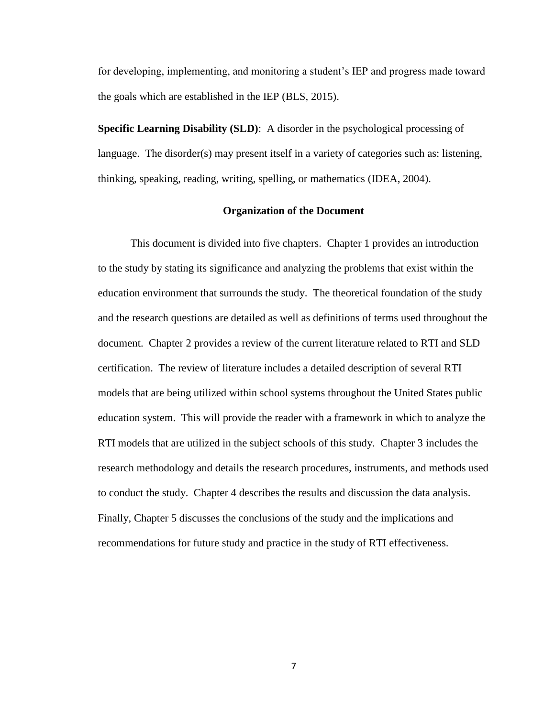for developing, implementing, and monitoring a student's IEP and progress made toward the goals which are established in the IEP (BLS, 2015).

**Specific Learning Disability (SLD)**: A disorder in the psychological processing of language. The disorder(s) may present itself in a variety of categories such as: listening, thinking, speaking, reading, writing, spelling, or mathematics (IDEA, 2004).

### **Organization of the Document**

This document is divided into five chapters. Chapter 1 provides an introduction to the study by stating its significance and analyzing the problems that exist within the education environment that surrounds the study. The theoretical foundation of the study and the research questions are detailed as well as definitions of terms used throughout the document. Chapter 2 provides a review of the current literature related to RTI and SLD certification. The review of literature includes a detailed description of several RTI models that are being utilized within school systems throughout the United States public education system. This will provide the reader with a framework in which to analyze the RTI models that are utilized in the subject schools of this study. Chapter 3 includes the research methodology and details the research procedures, instruments, and methods used to conduct the study. Chapter 4 describes the results and discussion the data analysis. Finally, Chapter 5 discusses the conclusions of the study and the implications and recommendations for future study and practice in the study of RTI effectiveness.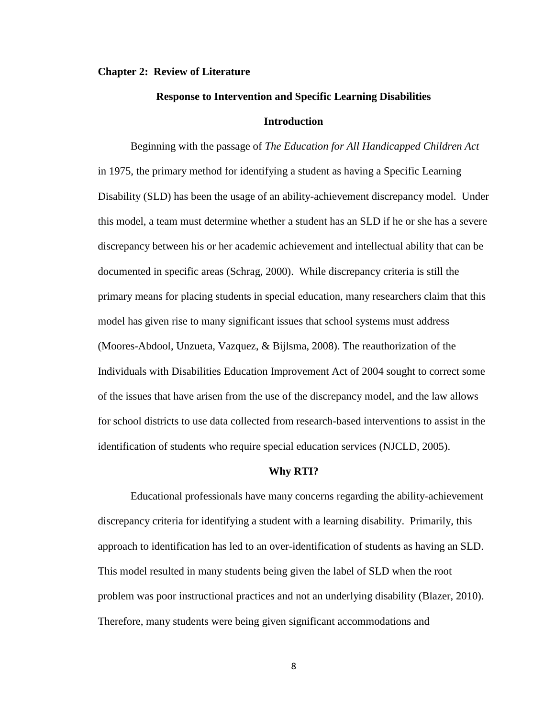#### **Chapter 2: Review of Literature**

# **Response to Intervention and Specific Learning Disabilities Introduction**

Beginning with the passage of *The Education for All Handicapped Children Act* in 1975, the primary method for identifying a student as having a Specific Learning Disability (SLD) has been the usage of an ability-achievement discrepancy model. Under this model, a team must determine whether a student has an SLD if he or she has a severe discrepancy between his or her academic achievement and intellectual ability that can be documented in specific areas (Schrag, 2000). While discrepancy criteria is still the primary means for placing students in special education, many researchers claim that this model has given rise to many significant issues that school systems must address (Moores-Abdool, Unzueta, Vazquez, & Bijlsma, 2008). The reauthorization of the Individuals with Disabilities Education Improvement Act of 2004 sought to correct some of the issues that have arisen from the use of the discrepancy model, and the law allows for school districts to use data collected from research-based interventions to assist in the identification of students who require special education services (NJCLD, 2005).

#### **Why RTI?**

Educational professionals have many concerns regarding the ability-achievement discrepancy criteria for identifying a student with a learning disability. Primarily, this approach to identification has led to an over-identification of students as having an SLD. This model resulted in many students being given the label of SLD when the root problem was poor instructional practices and not an underlying disability (Blazer, 2010). Therefore, many students were being given significant accommodations and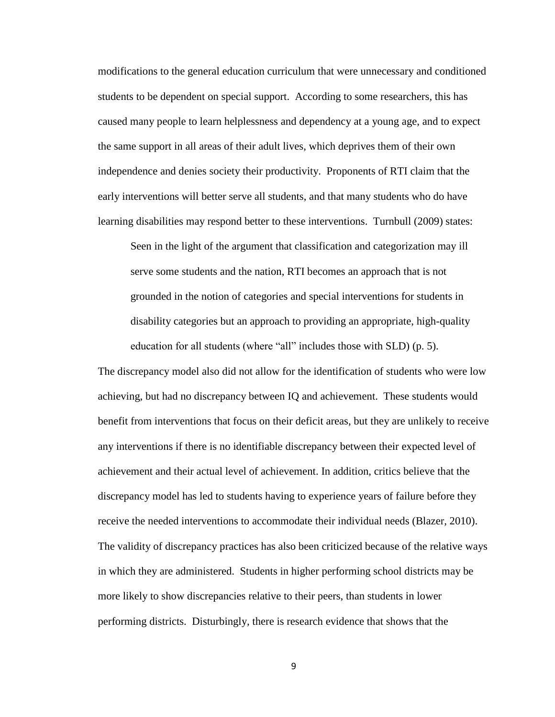modifications to the general education curriculum that were unnecessary and conditioned students to be dependent on special support. According to some researchers, this has caused many people to learn helplessness and dependency at a young age, and to expect the same support in all areas of their adult lives, which deprives them of their own independence and denies society their productivity. Proponents of RTI claim that the early interventions will better serve all students, and that many students who do have learning disabilities may respond better to these interventions. Turnbull (2009) states:

Seen in the light of the argument that classification and categorization may ill serve some students and the nation, RTI becomes an approach that is not grounded in the notion of categories and special interventions for students in disability categories but an approach to providing an appropriate, high-quality education for all students (where "all" includes those with SLD) (p. 5).

The discrepancy model also did not allow for the identification of students who were low achieving, but had no discrepancy between IQ and achievement. These students would benefit from interventions that focus on their deficit areas, but they are unlikely to receive any interventions if there is no identifiable discrepancy between their expected level of achievement and their actual level of achievement. In addition, critics believe that the discrepancy model has led to students having to experience years of failure before they receive the needed interventions to accommodate their individual needs (Blazer, 2010). The validity of discrepancy practices has also been criticized because of the relative ways in which they are administered. Students in higher performing school districts may be more likely to show discrepancies relative to their peers, than students in lower performing districts. Disturbingly, there is research evidence that shows that the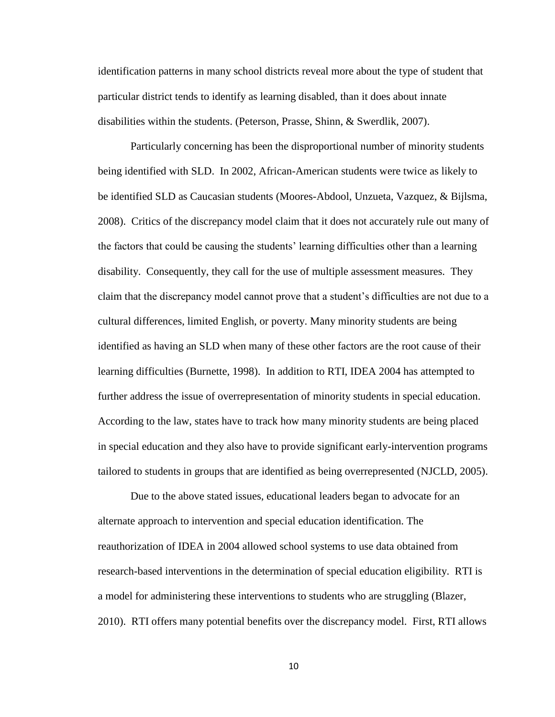identification patterns in many school districts reveal more about the type of student that particular district tends to identify as learning disabled, than it does about innate disabilities within the students. (Peterson, Prasse, Shinn, & Swerdlik, 2007).

Particularly concerning has been the disproportional number of minority students being identified with SLD. In 2002, African-American students were twice as likely to be identified SLD as Caucasian students (Moores-Abdool, Unzueta, Vazquez, & Bijlsma, 2008). Critics of the discrepancy model claim that it does not accurately rule out many of the factors that could be causing the students' learning difficulties other than a learning disability. Consequently, they call for the use of multiple assessment measures. They claim that the discrepancy model cannot prove that a student's difficulties are not due to a cultural differences, limited English, or poverty. Many minority students are being identified as having an SLD when many of these other factors are the root cause of their learning difficulties (Burnette, 1998). In addition to RTI, IDEA 2004 has attempted to further address the issue of overrepresentation of minority students in special education. According to the law, states have to track how many minority students are being placed in special education and they also have to provide significant early-intervention programs tailored to students in groups that are identified as being overrepresented (NJCLD, 2005).

Due to the above stated issues, educational leaders began to advocate for an alternate approach to intervention and special education identification. The reauthorization of IDEA in 2004 allowed school systems to use data obtained from research-based interventions in the determination of special education eligibility. RTI is a model for administering these interventions to students who are struggling (Blazer, 2010). RTI offers many potential benefits over the discrepancy model. First, RTI allows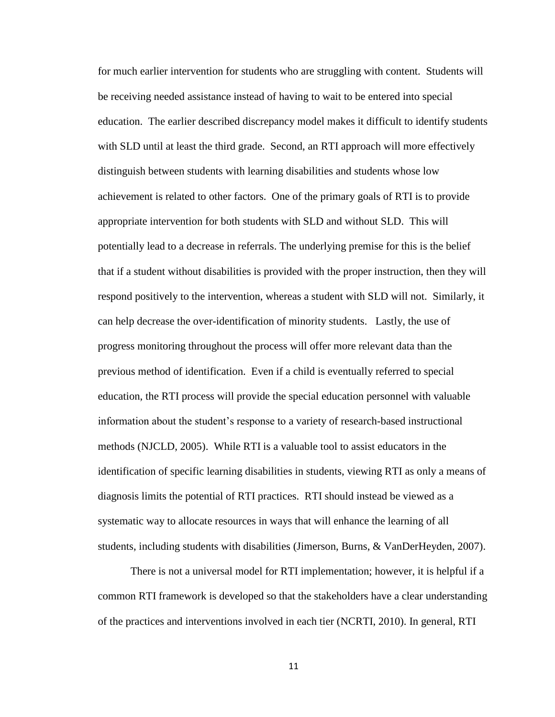for much earlier intervention for students who are struggling with content. Students will be receiving needed assistance instead of having to wait to be entered into special education. The earlier described discrepancy model makes it difficult to identify students with SLD until at least the third grade. Second, an RTI approach will more effectively distinguish between students with learning disabilities and students whose low achievement is related to other factors. One of the primary goals of RTI is to provide appropriate intervention for both students with SLD and without SLD. This will potentially lead to a decrease in referrals. The underlying premise for this is the belief that if a student without disabilities is provided with the proper instruction, then they will respond positively to the intervention, whereas a student with SLD will not. Similarly, it can help decrease the over-identification of minority students. Lastly, the use of progress monitoring throughout the process will offer more relevant data than the previous method of identification. Even if a child is eventually referred to special education, the RTI process will provide the special education personnel with valuable information about the student's response to a variety of research-based instructional methods (NJCLD, 2005). While RTI is a valuable tool to assist educators in the identification of specific learning disabilities in students, viewing RTI as only a means of diagnosis limits the potential of RTI practices. RTI should instead be viewed as a systematic way to allocate resources in ways that will enhance the learning of all students, including students with disabilities (Jimerson, Burns, & VanDerHeyden, 2007).

There is not a universal model for RTI implementation; however, it is helpful if a common RTI framework is developed so that the stakeholders have a clear understanding of the practices and interventions involved in each tier (NCRTI, 2010). In general, RTI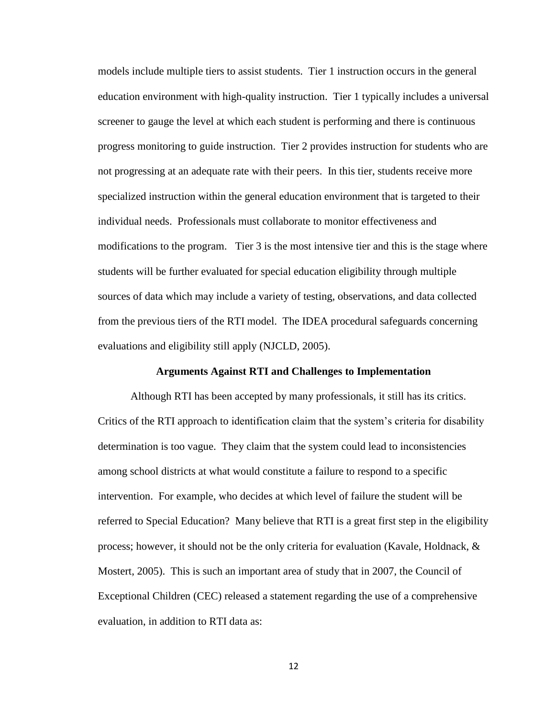models include multiple tiers to assist students. Tier 1 instruction occurs in the general education environment with high-quality instruction. Tier 1 typically includes a universal screener to gauge the level at which each student is performing and there is continuous progress monitoring to guide instruction. Tier 2 provides instruction for students who are not progressing at an adequate rate with their peers. In this tier, students receive more specialized instruction within the general education environment that is targeted to their individual needs. Professionals must collaborate to monitor effectiveness and modifications to the program. Tier 3 is the most intensive tier and this is the stage where students will be further evaluated for special education eligibility through multiple sources of data which may include a variety of testing, observations, and data collected from the previous tiers of the RTI model. The IDEA procedural safeguards concerning evaluations and eligibility still apply (NJCLD, 2005).

## **Arguments Against RTI and Challenges to Implementation**

Although RTI has been accepted by many professionals, it still has its critics. Critics of the RTI approach to identification claim that the system's criteria for disability determination is too vague. They claim that the system could lead to inconsistencies among school districts at what would constitute a failure to respond to a specific intervention. For example, who decides at which level of failure the student will be referred to Special Education? Many believe that RTI is a great first step in the eligibility process; however, it should not be the only criteria for evaluation (Kavale, Holdnack,  $\&$ Mostert, 2005). This is such an important area of study that in 2007, the Council of Exceptional Children (CEC) released a statement regarding the use of a comprehensive evaluation, in addition to RTI data as: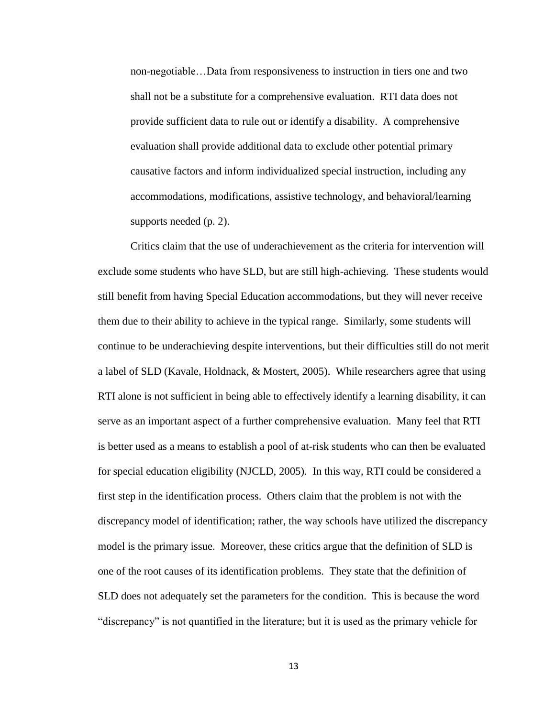non-negotiable…Data from responsiveness to instruction in tiers one and two shall not be a substitute for a comprehensive evaluation. RTI data does not provide sufficient data to rule out or identify a disability. A comprehensive evaluation shall provide additional data to exclude other potential primary causative factors and inform individualized special instruction, including any accommodations, modifications, assistive technology, and behavioral/learning supports needed (p. 2).

Critics claim that the use of underachievement as the criteria for intervention will exclude some students who have SLD, but are still high-achieving. These students would still benefit from having Special Education accommodations, but they will never receive them due to their ability to achieve in the typical range. Similarly, some students will continue to be underachieving despite interventions, but their difficulties still do not merit a label of SLD (Kavale, Holdnack, & Mostert, 2005). While researchers agree that using RTI alone is not sufficient in being able to effectively identify a learning disability, it can serve as an important aspect of a further comprehensive evaluation. Many feel that RTI is better used as a means to establish a pool of at-risk students who can then be evaluated for special education eligibility (NJCLD, 2005). In this way, RTI could be considered a first step in the identification process. Others claim that the problem is not with the discrepancy model of identification; rather, the way schools have utilized the discrepancy model is the primary issue. Moreover, these critics argue that the definition of SLD is one of the root causes of its identification problems. They state that the definition of SLD does not adequately set the parameters for the condition. This is because the word "discrepancy" is not quantified in the literature; but it is used as the primary vehicle for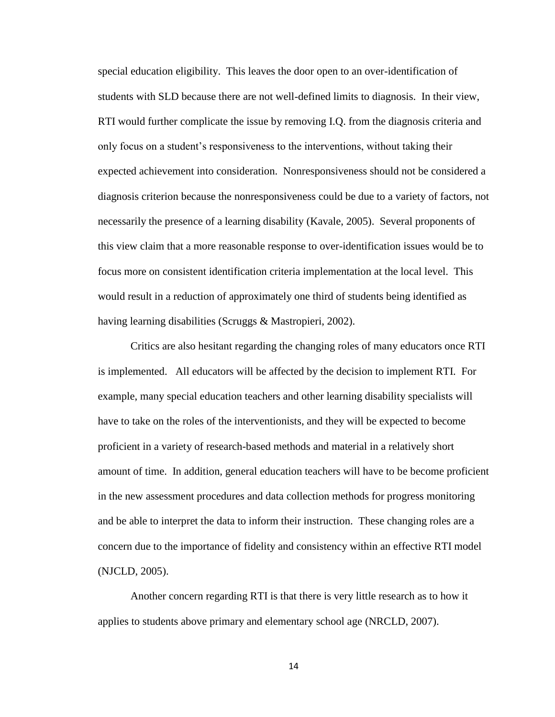special education eligibility. This leaves the door open to an over-identification of students with SLD because there are not well-defined limits to diagnosis. In their view, RTI would further complicate the issue by removing I.Q. from the diagnosis criteria and only focus on a student's responsiveness to the interventions, without taking their expected achievement into consideration. Nonresponsiveness should not be considered a diagnosis criterion because the nonresponsiveness could be due to a variety of factors, not necessarily the presence of a learning disability (Kavale, 2005). Several proponents of this view claim that a more reasonable response to over-identification issues would be to focus more on consistent identification criteria implementation at the local level. This would result in a reduction of approximately one third of students being identified as having learning disabilities (Scruggs & Mastropieri, 2002).

Critics are also hesitant regarding the changing roles of many educators once RTI is implemented. All educators will be affected by the decision to implement RTI. For example, many special education teachers and other learning disability specialists will have to take on the roles of the interventionists, and they will be expected to become proficient in a variety of research-based methods and material in a relatively short amount of time. In addition, general education teachers will have to be become proficient in the new assessment procedures and data collection methods for progress monitoring and be able to interpret the data to inform their instruction. These changing roles are a concern due to the importance of fidelity and consistency within an effective RTI model (NJCLD, 2005).

Another concern regarding RTI is that there is very little research as to how it applies to students above primary and elementary school age (NRCLD, 2007).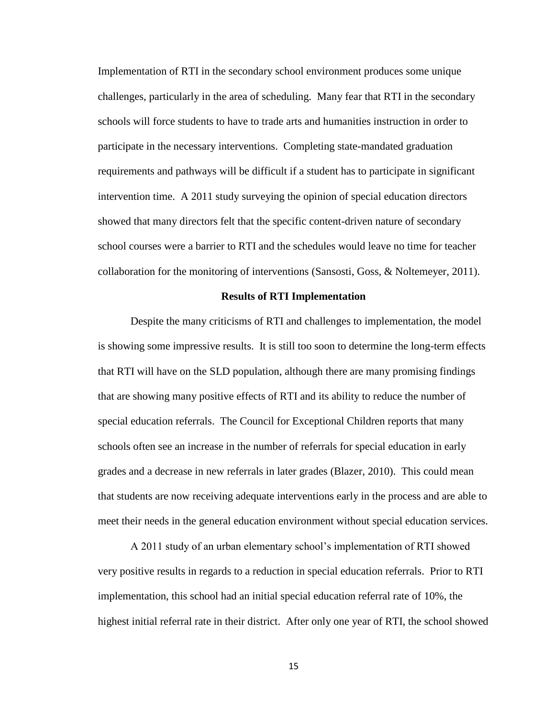Implementation of RTI in the secondary school environment produces some unique challenges, particularly in the area of scheduling. Many fear that RTI in the secondary schools will force students to have to trade arts and humanities instruction in order to participate in the necessary interventions. Completing state-mandated graduation requirements and pathways will be difficult if a student has to participate in significant intervention time. A 2011 study surveying the opinion of special education directors showed that many directors felt that the specific content-driven nature of secondary school courses were a barrier to RTI and the schedules would leave no time for teacher collaboration for the monitoring of interventions (Sansosti, Goss, & Noltemeyer, 2011).

#### **Results of RTI Implementation**

Despite the many criticisms of RTI and challenges to implementation, the model is showing some impressive results. It is still too soon to determine the long-term effects that RTI will have on the SLD population, although there are many promising findings that are showing many positive effects of RTI and its ability to reduce the number of special education referrals. The Council for Exceptional Children reports that many schools often see an increase in the number of referrals for special education in early grades and a decrease in new referrals in later grades (Blazer, 2010). This could mean that students are now receiving adequate interventions early in the process and are able to meet their needs in the general education environment without special education services.

A 2011 study of an urban elementary school's implementation of RTI showed very positive results in regards to a reduction in special education referrals. Prior to RTI implementation, this school had an initial special education referral rate of 10%, the highest initial referral rate in their district. After only one year of RTI, the school showed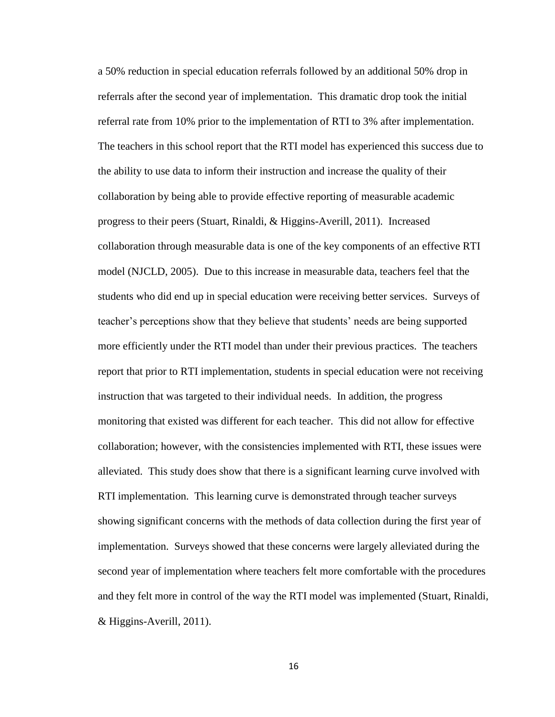a 50% reduction in special education referrals followed by an additional 50% drop in referrals after the second year of implementation. This dramatic drop took the initial referral rate from 10% prior to the implementation of RTI to 3% after implementation. The teachers in this school report that the RTI model has experienced this success due to the ability to use data to inform their instruction and increase the quality of their collaboration by being able to provide effective reporting of measurable academic progress to their peers (Stuart, Rinaldi, & Higgins-Averill, 2011). Increased collaboration through measurable data is one of the key components of an effective RTI model (NJCLD, 2005). Due to this increase in measurable data, teachers feel that the students who did end up in special education were receiving better services. Surveys of teacher's perceptions show that they believe that students' needs are being supported more efficiently under the RTI model than under their previous practices. The teachers report that prior to RTI implementation, students in special education were not receiving instruction that was targeted to their individual needs. In addition, the progress monitoring that existed was different for each teacher. This did not allow for effective collaboration; however, with the consistencies implemented with RTI, these issues were alleviated. This study does show that there is a significant learning curve involved with RTI implementation. This learning curve is demonstrated through teacher surveys showing significant concerns with the methods of data collection during the first year of implementation. Surveys showed that these concerns were largely alleviated during the second year of implementation where teachers felt more comfortable with the procedures and they felt more in control of the way the RTI model was implemented (Stuart, Rinaldi, & Higgins-Averill, 2011).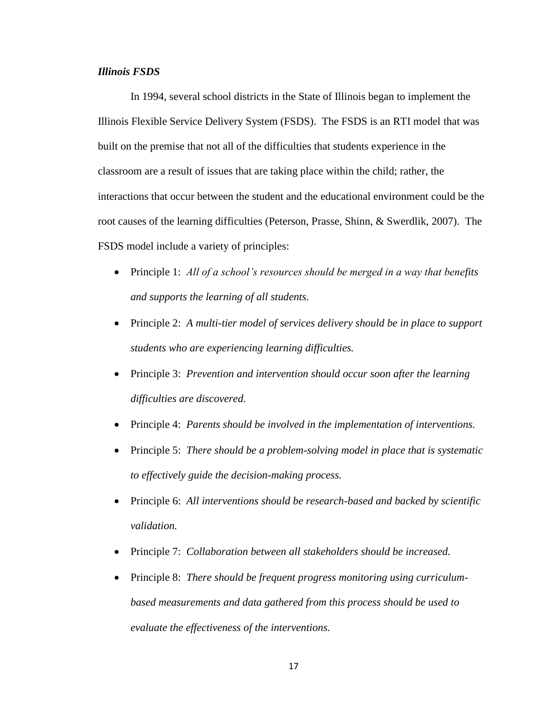# *Illinois FSDS*

In 1994, several school districts in the State of Illinois began to implement the Illinois Flexible Service Delivery System (FSDS). The FSDS is an RTI model that was built on the premise that not all of the difficulties that students experience in the classroom are a result of issues that are taking place within the child; rather, the interactions that occur between the student and the educational environment could be the root causes of the learning difficulties (Peterson, Prasse, Shinn, & Swerdlik, 2007). The FSDS model include a variety of principles:

- Principle 1: *All of a school's resources should be merged in a way that benefits and supports the learning of all students.*
- Principle 2: *A multi-tier model of services delivery should be in place to support students who are experiencing learning difficulties.*
- Principle 3: *Prevention and intervention should occur soon after the learning difficulties are discovered.*
- Principle 4: *Parents should be involved in the implementation of interventions.*
- Principle 5: *There should be a problem-solving model in place that is systematic to effectively guide the decision-making process.*
- Principle 6: *All interventions should be research-based and backed by scientific validation.*
- Principle 7: *Collaboration between all stakeholders should be increased.*
- Principle 8: *There should be frequent progress monitoring using curriculumbased measurements and data gathered from this process should be used to evaluate the effectiveness of the interventions.*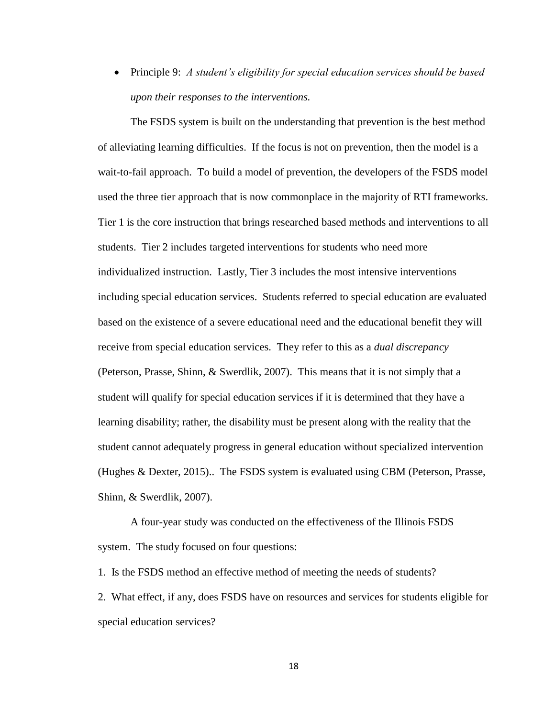Principle 9: *A student's eligibility for special education services should be based upon their responses to the interventions.*

The FSDS system is built on the understanding that prevention is the best method of alleviating learning difficulties. If the focus is not on prevention, then the model is a wait-to-fail approach. To build a model of prevention, the developers of the FSDS model used the three tier approach that is now commonplace in the majority of RTI frameworks. Tier 1 is the core instruction that brings researched based methods and interventions to all students. Tier 2 includes targeted interventions for students who need more individualized instruction. Lastly, Tier 3 includes the most intensive interventions including special education services. Students referred to special education are evaluated based on the existence of a severe educational need and the educational benefit they will receive from special education services. They refer to this as a *dual discrepancy* (Peterson, Prasse, Shinn, & Swerdlik, 2007). This means that it is not simply that a student will qualify for special education services if it is determined that they have a learning disability; rather, the disability must be present along with the reality that the student cannot adequately progress in general education without specialized intervention (Hughes & Dexter, 2015).. The FSDS system is evaluated using CBM (Peterson, Prasse, Shinn, & Swerdlik, 2007).

A four-year study was conducted on the effectiveness of the Illinois FSDS system. The study focused on four questions:

1. Is the FSDS method an effective method of meeting the needs of students?

2. What effect, if any, does FSDS have on resources and services for students eligible for special education services?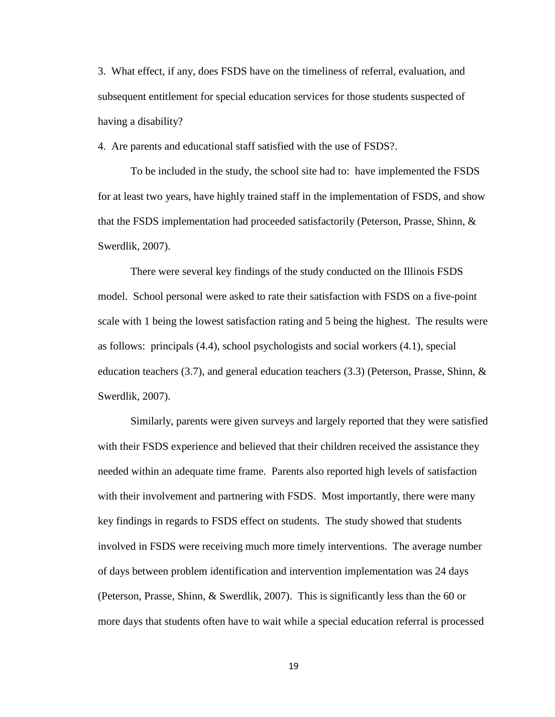3. What effect, if any, does FSDS have on the timeliness of referral, evaluation, and subsequent entitlement for special education services for those students suspected of having a disability?

4. Are parents and educational staff satisfied with the use of FSDS?.

To be included in the study, the school site had to: have implemented the FSDS for at least two years, have highly trained staff in the implementation of FSDS, and show that the FSDS implementation had proceeded satisfactorily (Peterson, Prasse, Shinn, & Swerdlik, 2007).

There were several key findings of the study conducted on the Illinois FSDS model. School personal were asked to rate their satisfaction with FSDS on a five-point scale with 1 being the lowest satisfaction rating and 5 being the highest. The results were as follows: principals (4.4), school psychologists and social workers (4.1), special education teachers (3.7), and general education teachers (3.3) (Peterson, Prasse, Shinn, & Swerdlik, 2007).

Similarly, parents were given surveys and largely reported that they were satisfied with their FSDS experience and believed that their children received the assistance they needed within an adequate time frame. Parents also reported high levels of satisfaction with their involvement and partnering with FSDS. Most importantly, there were many key findings in regards to FSDS effect on students. The study showed that students involved in FSDS were receiving much more timely interventions. The average number of days between problem identification and intervention implementation was 24 days (Peterson, Prasse, Shinn, & Swerdlik, 2007). This is significantly less than the 60 or more days that students often have to wait while a special education referral is processed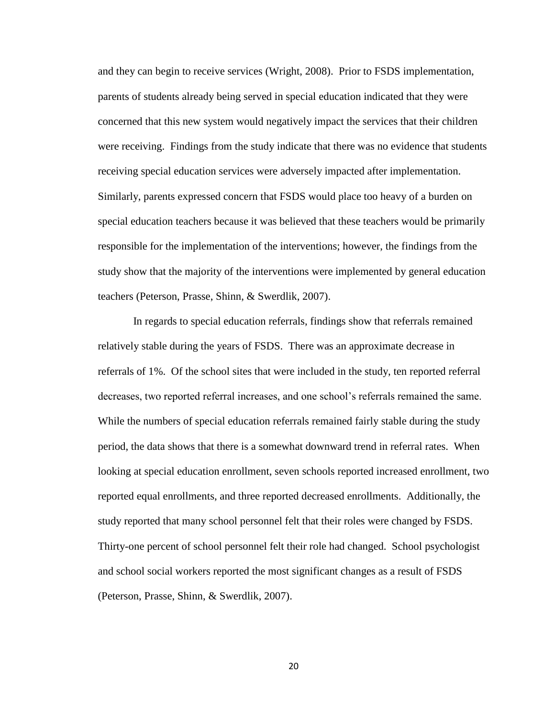and they can begin to receive services (Wright, 2008). Prior to FSDS implementation, parents of students already being served in special education indicated that they were concerned that this new system would negatively impact the services that their children were receiving. Findings from the study indicate that there was no evidence that students receiving special education services were adversely impacted after implementation. Similarly, parents expressed concern that FSDS would place too heavy of a burden on special education teachers because it was believed that these teachers would be primarily responsible for the implementation of the interventions; however, the findings from the study show that the majority of the interventions were implemented by general education teachers (Peterson, Prasse, Shinn, & Swerdlik, 2007).

In regards to special education referrals, findings show that referrals remained relatively stable during the years of FSDS. There was an approximate decrease in referrals of 1%. Of the school sites that were included in the study, ten reported referral decreases, two reported referral increases, and one school's referrals remained the same. While the numbers of special education referrals remained fairly stable during the study period, the data shows that there is a somewhat downward trend in referral rates. When looking at special education enrollment, seven schools reported increased enrollment, two reported equal enrollments, and three reported decreased enrollments. Additionally, the study reported that many school personnel felt that their roles were changed by FSDS. Thirty-one percent of school personnel felt their role had changed. School psychologist and school social workers reported the most significant changes as a result of FSDS (Peterson, Prasse, Shinn, & Swerdlik, 2007).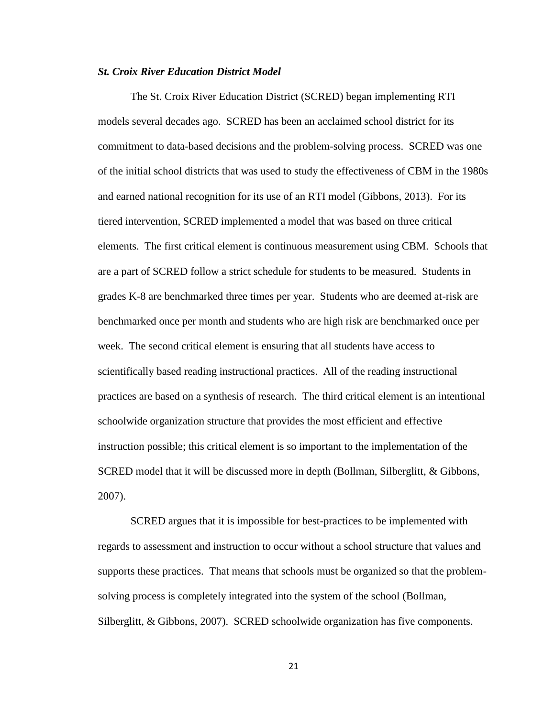#### *St. Croix River Education District Model*

The St. Croix River Education District (SCRED) began implementing RTI models several decades ago. SCRED has been an acclaimed school district for its commitment to data-based decisions and the problem-solving process. SCRED was one of the initial school districts that was used to study the effectiveness of CBM in the 1980s and earned national recognition for its use of an RTI model (Gibbons, 2013). For its tiered intervention, SCRED implemented a model that was based on three critical elements. The first critical element is continuous measurement using CBM. Schools that are a part of SCRED follow a strict schedule for students to be measured. Students in grades K-8 are benchmarked three times per year. Students who are deemed at-risk are benchmarked once per month and students who are high risk are benchmarked once per week. The second critical element is ensuring that all students have access to scientifically based reading instructional practices. All of the reading instructional practices are based on a synthesis of research. The third critical element is an intentional schoolwide organization structure that provides the most efficient and effective instruction possible; this critical element is so important to the implementation of the SCRED model that it will be discussed more in depth (Bollman, Silberglitt, & Gibbons, 2007).

SCRED argues that it is impossible for best-practices to be implemented with regards to assessment and instruction to occur without a school structure that values and supports these practices. That means that schools must be organized so that the problemsolving process is completely integrated into the system of the school (Bollman, Silberglitt, & Gibbons, 2007). SCRED schoolwide organization has five components.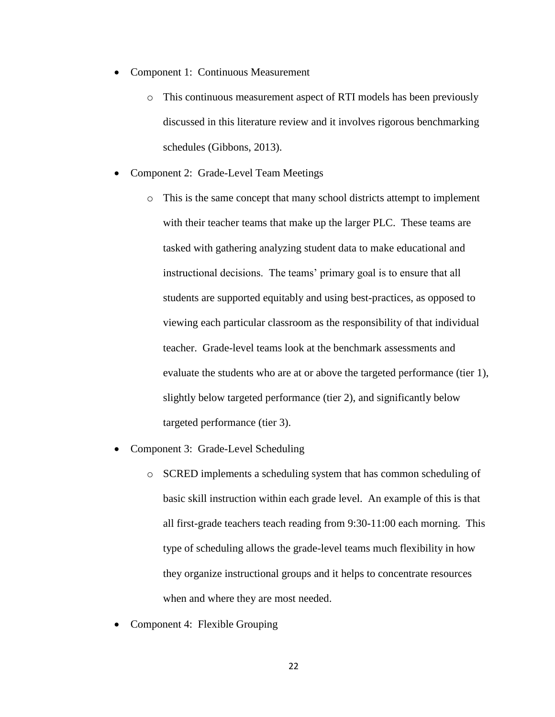- Component 1: Continuous Measurement
	- o This continuous measurement aspect of RTI models has been previously discussed in this literature review and it involves rigorous benchmarking schedules (Gibbons, 2013).
- Component 2: Grade-Level Team Meetings
	- o This is the same concept that many school districts attempt to implement with their teacher teams that make up the larger PLC. These teams are tasked with gathering analyzing student data to make educational and instructional decisions. The teams' primary goal is to ensure that all students are supported equitably and using best-practices, as opposed to viewing each particular classroom as the responsibility of that individual teacher. Grade-level teams look at the benchmark assessments and evaluate the students who are at or above the targeted performance (tier 1), slightly below targeted performance (tier 2), and significantly below targeted performance (tier 3).
- Component 3: Grade-Level Scheduling
	- o SCRED implements a scheduling system that has common scheduling of basic skill instruction within each grade level. An example of this is that all first-grade teachers teach reading from 9:30-11:00 each morning. This type of scheduling allows the grade-level teams much flexibility in how they organize instructional groups and it helps to concentrate resources when and where they are most needed.
- Component 4: Flexible Grouping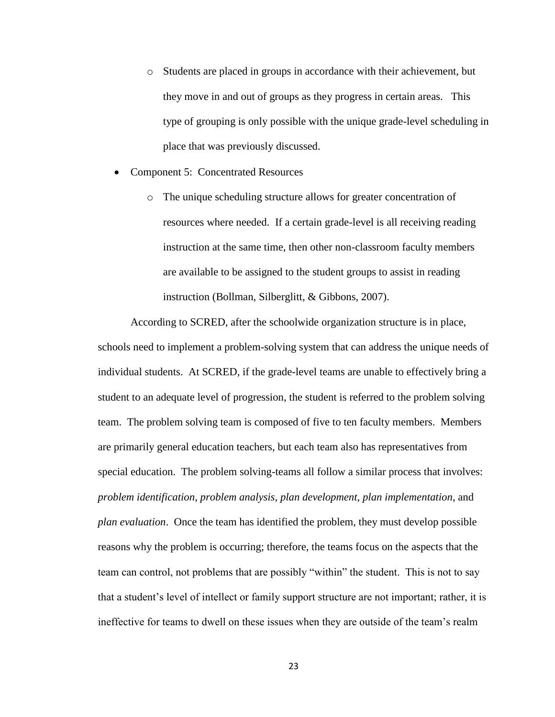- o Students are placed in groups in accordance with their achievement, but they move in and out of groups as they progress in certain areas. This type of grouping is only possible with the unique grade-level scheduling in place that was previously discussed.
- Component 5: Concentrated Resources
	- o The unique scheduling structure allows for greater concentration of resources where needed. If a certain grade-level is all receiving reading instruction at the same time, then other non-classroom faculty members are available to be assigned to the student groups to assist in reading instruction (Bollman, Silberglitt, & Gibbons, 2007).

According to SCRED, after the schoolwide organization structure is in place, schools need to implement a problem-solving system that can address the unique needs of individual students. At SCRED, if the grade-level teams are unable to effectively bring a student to an adequate level of progression, the student is referred to the problem solving team. The problem solving team is composed of five to ten faculty members. Members are primarily general education teachers, but each team also has representatives from special education. The problem solving-teams all follow a similar process that involves: *problem identification*, *problem analysis*, *plan development*, *plan implementation*, and *plan evaluation*. Once the team has identified the problem, they must develop possible reasons why the problem is occurring; therefore, the teams focus on the aspects that the team can control, not problems that are possibly "within" the student. This is not to say that a student's level of intellect or family support structure are not important; rather, it is ineffective for teams to dwell on these issues when they are outside of the team's realm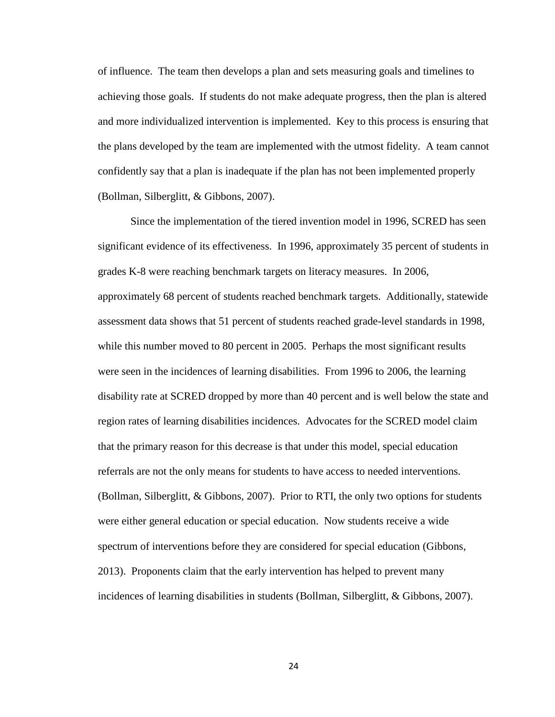of influence. The team then develops a plan and sets measuring goals and timelines to achieving those goals. If students do not make adequate progress, then the plan is altered and more individualized intervention is implemented. Key to this process is ensuring that the plans developed by the team are implemented with the utmost fidelity. A team cannot confidently say that a plan is inadequate if the plan has not been implemented properly (Bollman, Silberglitt, & Gibbons, 2007).

Since the implementation of the tiered invention model in 1996, SCRED has seen significant evidence of its effectiveness. In 1996, approximately 35 percent of students in grades K-8 were reaching benchmark targets on literacy measures. In 2006, approximately 68 percent of students reached benchmark targets. Additionally, statewide assessment data shows that 51 percent of students reached grade-level standards in 1998, while this number moved to 80 percent in 2005. Perhaps the most significant results were seen in the incidences of learning disabilities. From 1996 to 2006, the learning disability rate at SCRED dropped by more than 40 percent and is well below the state and region rates of learning disabilities incidences. Advocates for the SCRED model claim that the primary reason for this decrease is that under this model, special education referrals are not the only means for students to have access to needed interventions. (Bollman, Silberglitt, & Gibbons, 2007). Prior to RTI, the only two options for students were either general education or special education. Now students receive a wide spectrum of interventions before they are considered for special education (Gibbons, 2013). Proponents claim that the early intervention has helped to prevent many incidences of learning disabilities in students (Bollman, Silberglitt, & Gibbons, 2007).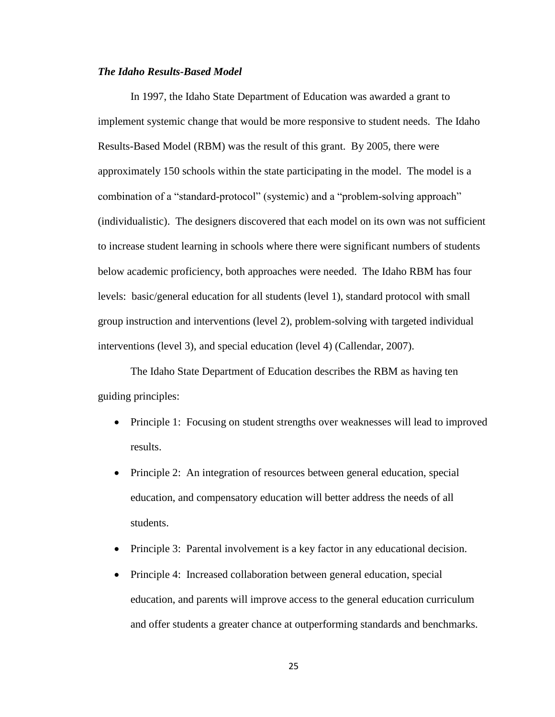# *The Idaho Results-Based Model*

In 1997, the Idaho State Department of Education was awarded a grant to implement systemic change that would be more responsive to student needs. The Idaho Results-Based Model (RBM) was the result of this grant. By 2005, there were approximately 150 schools within the state participating in the model. The model is a combination of a "standard-protocol" (systemic) and a "problem-solving approach" (individualistic). The designers discovered that each model on its own was not sufficient to increase student learning in schools where there were significant numbers of students below academic proficiency, both approaches were needed. The Idaho RBM has four levels: basic/general education for all students (level 1), standard protocol with small group instruction and interventions (level 2), problem-solving with targeted individual interventions (level 3), and special education (level 4) (Callendar, 2007).

The Idaho State Department of Education describes the RBM as having ten guiding principles:

- Principle 1: Focusing on student strengths over weaknesses will lead to improved results.
- Principle 2: An integration of resources between general education, special education, and compensatory education will better address the needs of all students.
- Principle 3: Parental involvement is a key factor in any educational decision.
- Principle 4: Increased collaboration between general education, special education, and parents will improve access to the general education curriculum and offer students a greater chance at outperforming standards and benchmarks.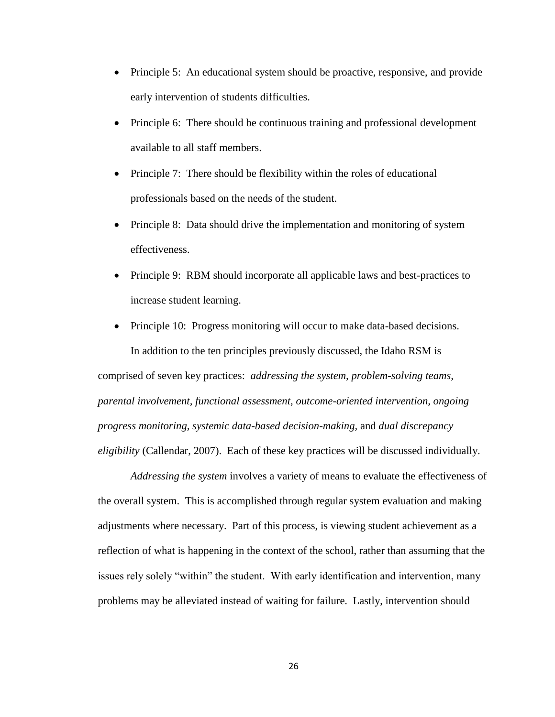- Principle 5: An educational system should be proactive, responsive, and provide early intervention of students difficulties.
- Principle 6: There should be continuous training and professional development available to all staff members.
- Principle 7: There should be flexibility within the roles of educational professionals based on the needs of the student.
- Principle 8: Data should drive the implementation and monitoring of system effectiveness.
- Principle 9: RBM should incorporate all applicable laws and best-practices to increase student learning.
- Principle 10: Progress monitoring will occur to make data-based decisions. In addition to the ten principles previously discussed, the Idaho RSM is comprised of seven key practices: *addressing the system, problem-solving teams, parental involvement, functional assessment, outcome-oriented intervention, ongoing progress monitoring, systemic data-based decision-making,* and *dual discrepancy eligibility* (Callendar, 2007). Each of these key practices will be discussed individually.

*Addressing the system* involves a variety of means to evaluate the effectiveness of the overall system. This is accomplished through regular system evaluation and making adjustments where necessary. Part of this process, is viewing student achievement as a reflection of what is happening in the context of the school, rather than assuming that the issues rely solely "within" the student. With early identification and intervention, many problems may be alleviated instead of waiting for failure. Lastly, intervention should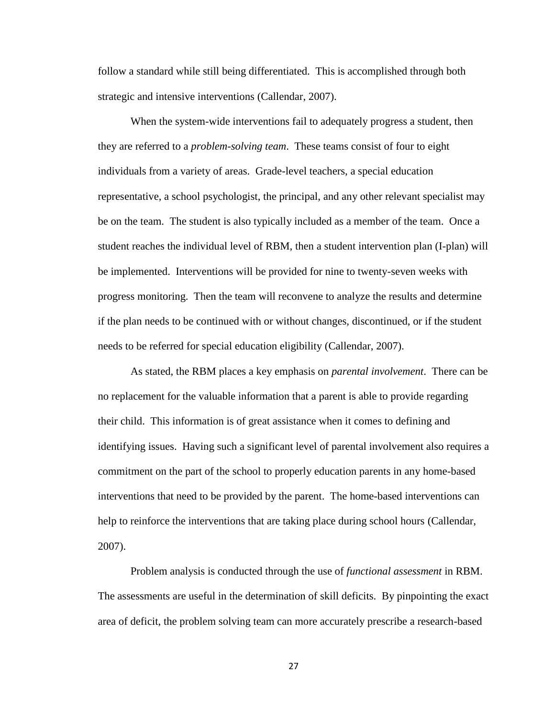follow a standard while still being differentiated. This is accomplished through both strategic and intensive interventions (Callendar, 2007).

When the system-wide interventions fail to adequately progress a student, then they are referred to a *problem-solving team*. These teams consist of four to eight individuals from a variety of areas. Grade-level teachers, a special education representative, a school psychologist, the principal, and any other relevant specialist may be on the team. The student is also typically included as a member of the team. Once a student reaches the individual level of RBM, then a student intervention plan (I-plan) will be implemented. Interventions will be provided for nine to twenty-seven weeks with progress monitoring. Then the team will reconvene to analyze the results and determine if the plan needs to be continued with or without changes, discontinued, or if the student needs to be referred for special education eligibility (Callendar, 2007).

As stated, the RBM places a key emphasis on *parental involvement*. There can be no replacement for the valuable information that a parent is able to provide regarding their child. This information is of great assistance when it comes to defining and identifying issues. Having such a significant level of parental involvement also requires a commitment on the part of the school to properly education parents in any home-based interventions that need to be provided by the parent. The home-based interventions can help to reinforce the interventions that are taking place during school hours (Callendar, 2007).

Problem analysis is conducted through the use of *functional assessment* in RBM. The assessments are useful in the determination of skill deficits. By pinpointing the exact area of deficit, the problem solving team can more accurately prescribe a research-based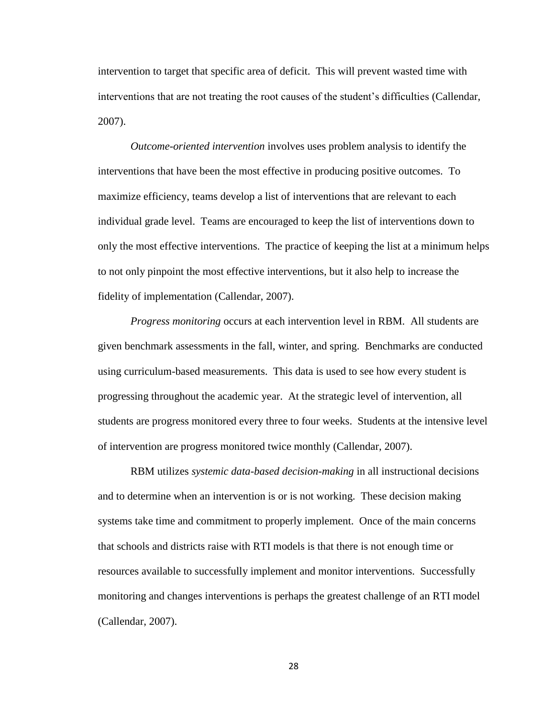intervention to target that specific area of deficit. This will prevent wasted time with interventions that are not treating the root causes of the student's difficulties (Callendar, 2007).

*Outcome-oriented intervention* involves uses problem analysis to identify the interventions that have been the most effective in producing positive outcomes. To maximize efficiency, teams develop a list of interventions that are relevant to each individual grade level. Teams are encouraged to keep the list of interventions down to only the most effective interventions. The practice of keeping the list at a minimum helps to not only pinpoint the most effective interventions, but it also help to increase the fidelity of implementation (Callendar, 2007).

*Progress monitoring* occurs at each intervention level in RBM. All students are given benchmark assessments in the fall, winter, and spring. Benchmarks are conducted using curriculum-based measurements. This data is used to see how every student is progressing throughout the academic year. At the strategic level of intervention, all students are progress monitored every three to four weeks. Students at the intensive level of intervention are progress monitored twice monthly (Callendar, 2007).

RBM utilizes *systemic data-based decision-making* in all instructional decisions and to determine when an intervention is or is not working. These decision making systems take time and commitment to properly implement. Once of the main concerns that schools and districts raise with RTI models is that there is not enough time or resources available to successfully implement and monitor interventions. Successfully monitoring and changes interventions is perhaps the greatest challenge of an RTI model (Callendar, 2007).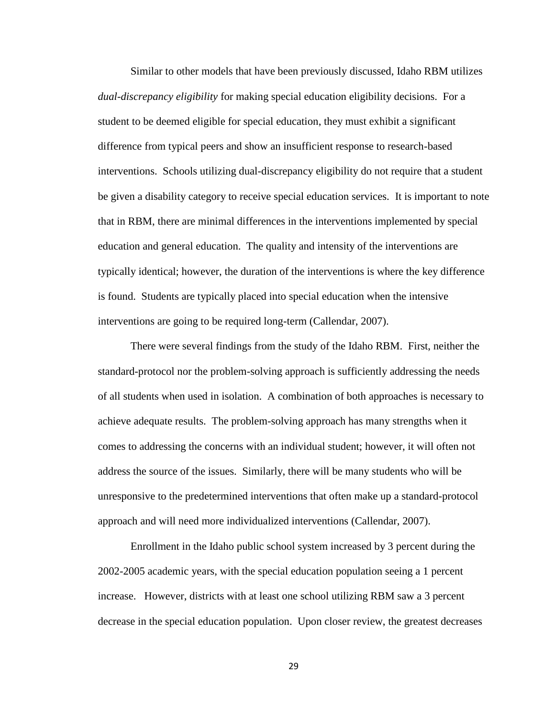Similar to other models that have been previously discussed, Idaho RBM utilizes *dual-discrepancy eligibility* for making special education eligibility decisions. For a student to be deemed eligible for special education, they must exhibit a significant difference from typical peers and show an insufficient response to research-based interventions. Schools utilizing dual-discrepancy eligibility do not require that a student be given a disability category to receive special education services. It is important to note that in RBM, there are minimal differences in the interventions implemented by special education and general education. The quality and intensity of the interventions are typically identical; however, the duration of the interventions is where the key difference is found. Students are typically placed into special education when the intensive interventions are going to be required long-term (Callendar, 2007).

There were several findings from the study of the Idaho RBM. First, neither the standard-protocol nor the problem-solving approach is sufficiently addressing the needs of all students when used in isolation. A combination of both approaches is necessary to achieve adequate results. The problem-solving approach has many strengths when it comes to addressing the concerns with an individual student; however, it will often not address the source of the issues. Similarly, there will be many students who will be unresponsive to the predetermined interventions that often make up a standard-protocol approach and will need more individualized interventions (Callendar, 2007).

Enrollment in the Idaho public school system increased by 3 percent during the 2002-2005 academic years, with the special education population seeing a 1 percent increase. However, districts with at least one school utilizing RBM saw a 3 percent decrease in the special education population. Upon closer review, the greatest decreases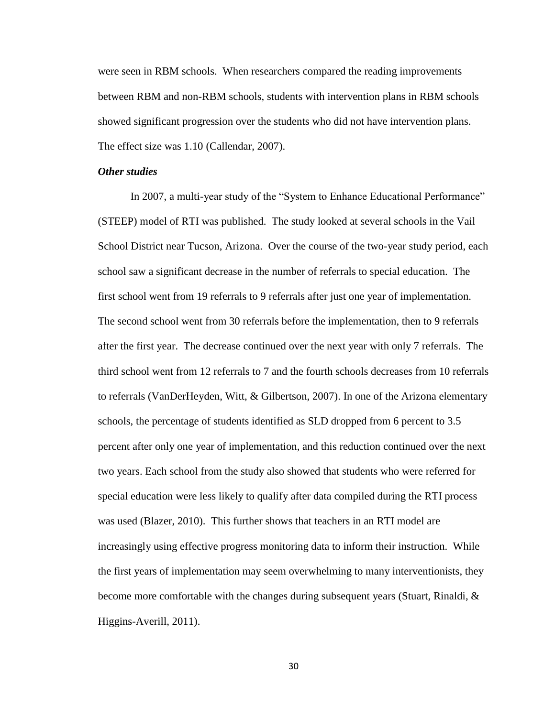were seen in RBM schools. When researchers compared the reading improvements between RBM and non-RBM schools, students with intervention plans in RBM schools showed significant progression over the students who did not have intervention plans. The effect size was 1.10 (Callendar, 2007).

### *Other studies*

In 2007, a multi-year study of the "System to Enhance Educational Performance" (STEEP) model of RTI was published. The study looked at several schools in the Vail School District near Tucson, Arizona. Over the course of the two-year study period, each school saw a significant decrease in the number of referrals to special education. The first school went from 19 referrals to 9 referrals after just one year of implementation. The second school went from 30 referrals before the implementation, then to 9 referrals after the first year. The decrease continued over the next year with only 7 referrals. The third school went from 12 referrals to 7 and the fourth schools decreases from 10 referrals to referrals (VanDerHeyden, Witt, & Gilbertson, 2007). In one of the Arizona elementary schools, the percentage of students identified as SLD dropped from 6 percent to 3.5 percent after only one year of implementation, and this reduction continued over the next two years. Each school from the study also showed that students who were referred for special education were less likely to qualify after data compiled during the RTI process was used (Blazer, 2010). This further shows that teachers in an RTI model are increasingly using effective progress monitoring data to inform their instruction. While the first years of implementation may seem overwhelming to many interventionists, they become more comfortable with the changes during subsequent years (Stuart, Rinaldi, & Higgins-Averill, 2011).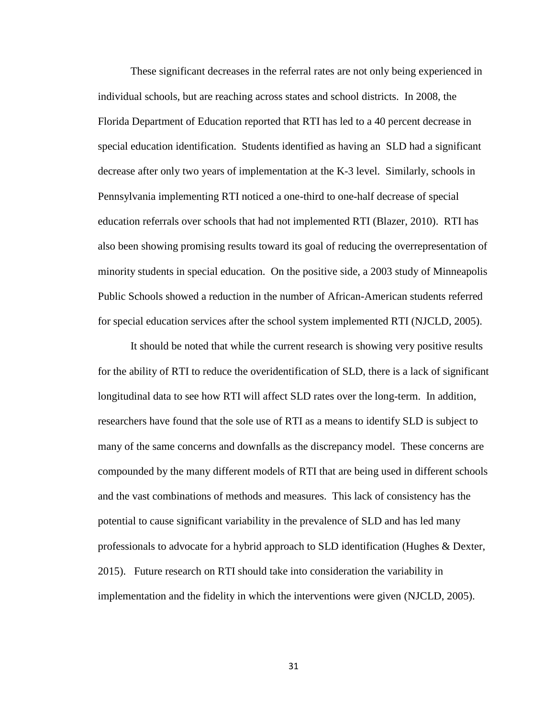These significant decreases in the referral rates are not only being experienced in individual schools, but are reaching across states and school districts. In 2008, the Florida Department of Education reported that RTI has led to a 40 percent decrease in special education identification. Students identified as having an SLD had a significant decrease after only two years of implementation at the K-3 level. Similarly, schools in Pennsylvania implementing RTI noticed a one-third to one-half decrease of special education referrals over schools that had not implemented RTI (Blazer, 2010). RTI has also been showing promising results toward its goal of reducing the overrepresentation of minority students in special education. On the positive side, a 2003 study of Minneapolis Public Schools showed a reduction in the number of African-American students referred for special education services after the school system implemented RTI (NJCLD, 2005).

It should be noted that while the current research is showing very positive results for the ability of RTI to reduce the overidentification of SLD, there is a lack of significant longitudinal data to see how RTI will affect SLD rates over the long-term. In addition, researchers have found that the sole use of RTI as a means to identify SLD is subject to many of the same concerns and downfalls as the discrepancy model. These concerns are compounded by the many different models of RTI that are being used in different schools and the vast combinations of methods and measures. This lack of consistency has the potential to cause significant variability in the prevalence of SLD and has led many professionals to advocate for a hybrid approach to SLD identification (Hughes & Dexter, 2015). Future research on RTI should take into consideration the variability in implementation and the fidelity in which the interventions were given (NJCLD, 2005).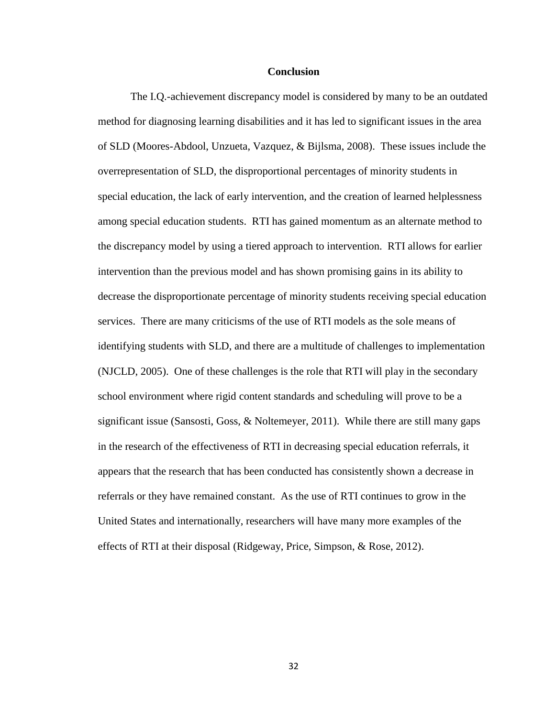#### **Conclusion**

The I.Q.-achievement discrepancy model is considered by many to be an outdated method for diagnosing learning disabilities and it has led to significant issues in the area of SLD (Moores-Abdool, Unzueta, Vazquez, & Bijlsma, 2008). These issues include the overrepresentation of SLD, the disproportional percentages of minority students in special education, the lack of early intervention, and the creation of learned helplessness among special education students. RTI has gained momentum as an alternate method to the discrepancy model by using a tiered approach to intervention. RTI allows for earlier intervention than the previous model and has shown promising gains in its ability to decrease the disproportionate percentage of minority students receiving special education services. There are many criticisms of the use of RTI models as the sole means of identifying students with SLD, and there are a multitude of challenges to implementation (NJCLD, 2005). One of these challenges is the role that RTI will play in the secondary school environment where rigid content standards and scheduling will prove to be a significant issue (Sansosti, Goss, & Noltemeyer, 2011). While there are still many gaps in the research of the effectiveness of RTI in decreasing special education referrals, it appears that the research that has been conducted has consistently shown a decrease in referrals or they have remained constant. As the use of RTI continues to grow in the United States and internationally, researchers will have many more examples of the effects of RTI at their disposal (Ridgeway, Price, Simpson, & Rose, 2012).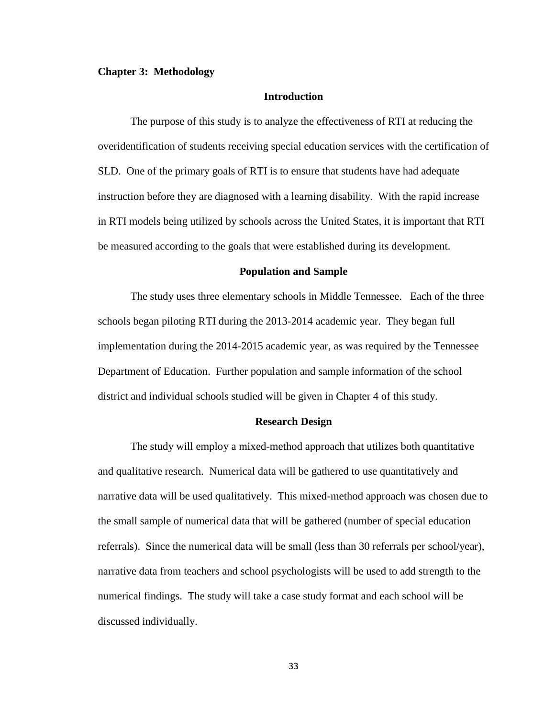#### **Chapter 3: Methodology**

### **Introduction**

The purpose of this study is to analyze the effectiveness of RTI at reducing the overidentification of students receiving special education services with the certification of SLD. One of the primary goals of RTI is to ensure that students have had adequate instruction before they are diagnosed with a learning disability. With the rapid increase in RTI models being utilized by schools across the United States, it is important that RTI be measured according to the goals that were established during its development.

### **Population and Sample**

The study uses three elementary schools in Middle Tennessee. Each of the three schools began piloting RTI during the 2013-2014 academic year. They began full implementation during the 2014-2015 academic year, as was required by the Tennessee Department of Education. Further population and sample information of the school district and individual schools studied will be given in Chapter 4 of this study.

#### **Research Design**

The study will employ a mixed-method approach that utilizes both quantitative and qualitative research. Numerical data will be gathered to use quantitatively and narrative data will be used qualitatively. This mixed-method approach was chosen due to the small sample of numerical data that will be gathered (number of special education referrals). Since the numerical data will be small (less than 30 referrals per school/year), narrative data from teachers and school psychologists will be used to add strength to the numerical findings. The study will take a case study format and each school will be discussed individually.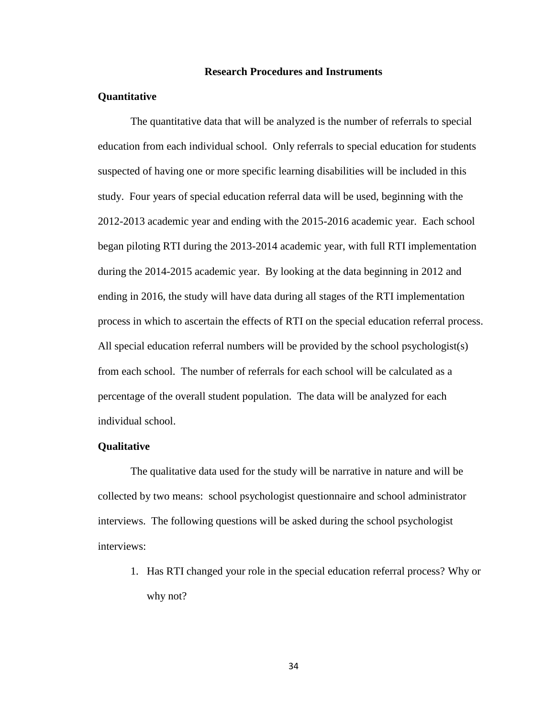### **Research Procedures and Instruments**

### **Quantitative**

The quantitative data that will be analyzed is the number of referrals to special education from each individual school. Only referrals to special education for students suspected of having one or more specific learning disabilities will be included in this study. Four years of special education referral data will be used, beginning with the 2012-2013 academic year and ending with the 2015-2016 academic year. Each school began piloting RTI during the 2013-2014 academic year, with full RTI implementation during the 2014-2015 academic year. By looking at the data beginning in 2012 and ending in 2016, the study will have data during all stages of the RTI implementation process in which to ascertain the effects of RTI on the special education referral process. All special education referral numbers will be provided by the school psychologist(s) from each school. The number of referrals for each school will be calculated as a percentage of the overall student population. The data will be analyzed for each individual school.

#### **Qualitative**

The qualitative data used for the study will be narrative in nature and will be collected by two means: school psychologist questionnaire and school administrator interviews. The following questions will be asked during the school psychologist interviews:

1. Has RTI changed your role in the special education referral process? Why or why not?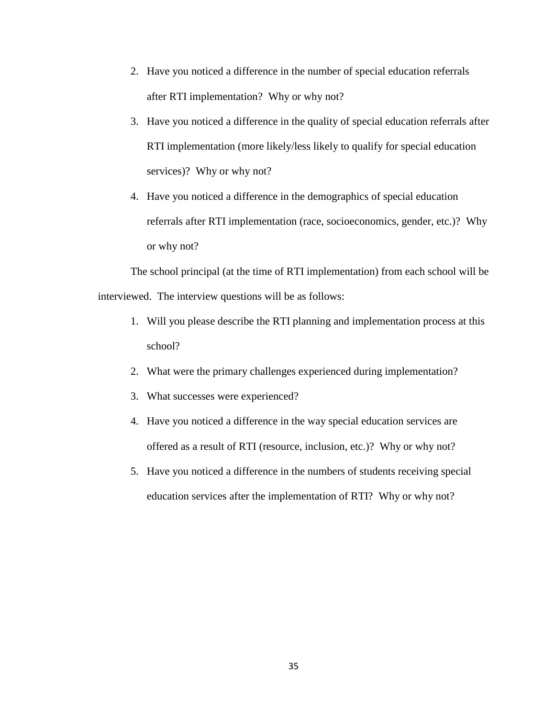- 2. Have you noticed a difference in the number of special education referrals after RTI implementation? Why or why not?
- 3. Have you noticed a difference in the quality of special education referrals after RTI implementation (more likely/less likely to qualify for special education services)? Why or why not?
- 4. Have you noticed a difference in the demographics of special education referrals after RTI implementation (race, socioeconomics, gender, etc.)? Why or why not?

The school principal (at the time of RTI implementation) from each school will be interviewed. The interview questions will be as follows:

- 1. Will you please describe the RTI planning and implementation process at this school?
- 2. What were the primary challenges experienced during implementation?
- 3. What successes were experienced?
- 4. Have you noticed a difference in the way special education services are offered as a result of RTI (resource, inclusion, etc.)? Why or why not?
- 5. Have you noticed a difference in the numbers of students receiving special education services after the implementation of RTI? Why or why not?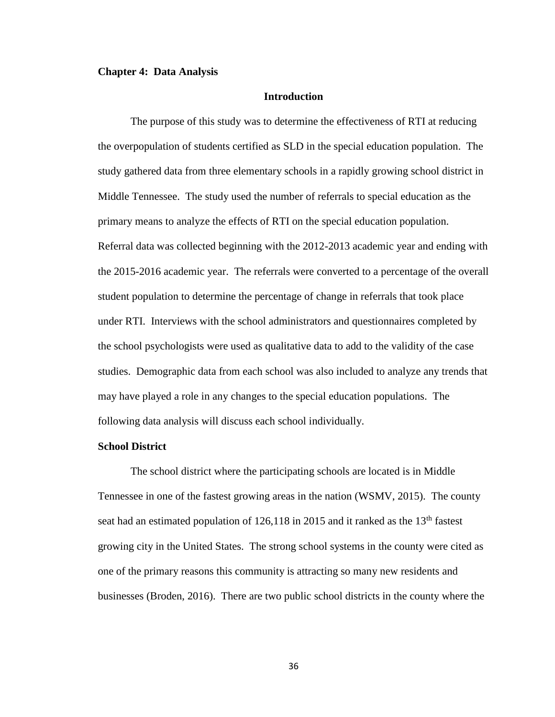#### **Chapter 4: Data Analysis**

### **Introduction**

The purpose of this study was to determine the effectiveness of RTI at reducing the overpopulation of students certified as SLD in the special education population. The study gathered data from three elementary schools in a rapidly growing school district in Middle Tennessee. The study used the number of referrals to special education as the primary means to analyze the effects of RTI on the special education population. Referral data was collected beginning with the 2012-2013 academic year and ending with the 2015-2016 academic year. The referrals were converted to a percentage of the overall student population to determine the percentage of change in referrals that took place under RTI. Interviews with the school administrators and questionnaires completed by the school psychologists were used as qualitative data to add to the validity of the case studies. Demographic data from each school was also included to analyze any trends that may have played a role in any changes to the special education populations. The following data analysis will discuss each school individually.

### **School District**

The school district where the participating schools are located is in Middle Tennessee in one of the fastest growing areas in the nation (WSMV, 2015). The county seat had an estimated population of  $126,118$  in 2015 and it ranked as the  $13<sup>th</sup>$  fastest growing city in the United States. The strong school systems in the county were cited as one of the primary reasons this community is attracting so many new residents and businesses (Broden, 2016). There are two public school districts in the county where the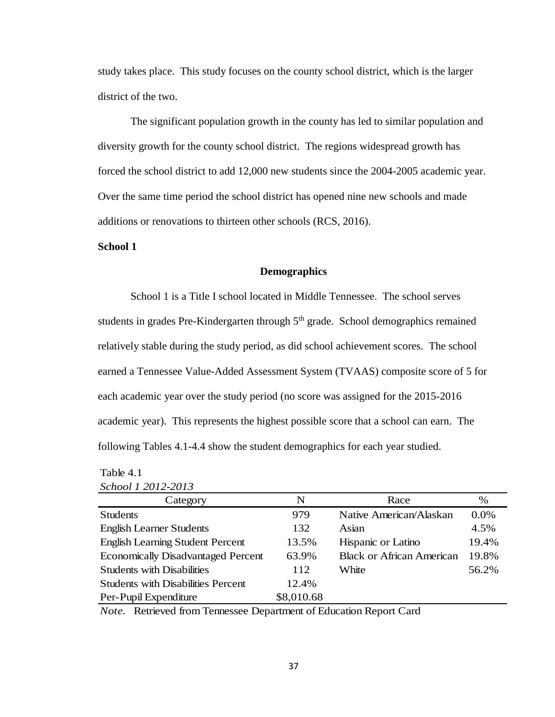study takes place. This study focuses on the county school district, which is the larger district of the two.

The significant population growth in the county has led to similar population and diversity growth for the county school district. The regions widespread growth has forced the school district to add 12,000 new students since the 2004-2005 academic year. Over the same time period the school district has opened nine new schools and made additions or renovations to thirteen other schools (RCS, 2016).

### **School 1**

### **Demographics**

School 1 is a Title I school located in Middle Tennessee. The school serves students in grades Pre-Kindergarten through  $5<sup>th</sup>$  grade. School demographics remained relatively stable during the study period, as did school achievement scores. The school earned a Tennessee Value-Added Assessment System (TVAAS) composite score of 5 for each academic year over the study period (no score was assigned for the 2015-2016 academic year). This represents the highest possible score that a school can earn. The following Tables 4.1-4.4 show the student demographics for each year studied.

| School 1 2012-2013                        |            |                                  |       |
|-------------------------------------------|------------|----------------------------------|-------|
| Category                                  | N          | Race                             | $\%$  |
| <b>Students</b>                           | 979        | Native American/Alaskan          | 0.0%  |
| <b>English Learner Students</b>           | 132        | Asian                            | 4.5%  |
| <b>English Learning Student Percent</b>   | 13.5%      | Hispanic or Latino               | 19.4% |
| <b>Economically Disadvantaged Percent</b> | 63.9%      | <b>Black or African American</b> | 19.8% |
| <b>Students with Disabilities</b>         | 112        | White                            | 56.2% |
| <b>Students with Disabilities Percent</b> | 12.4%      |                                  |       |
| Per-Pupil Expenditure                     | \$8,010.68 |                                  |       |

*Note.* Retrieved from Tennessee Department of Education Report Card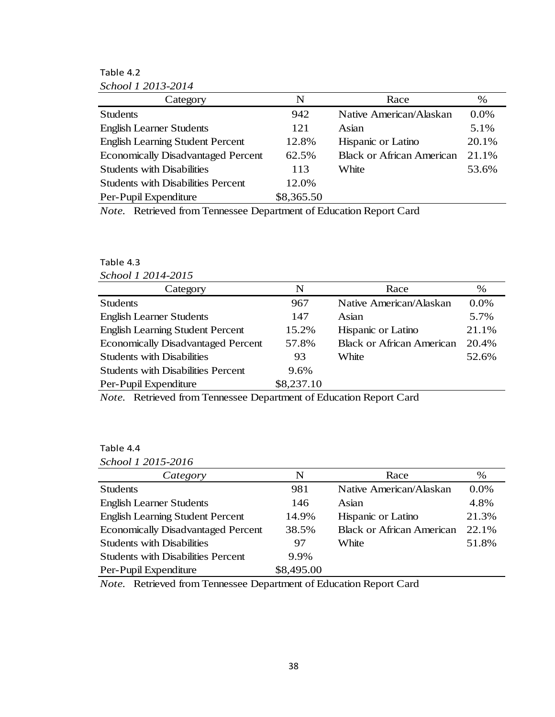Table 4.2

| School 1 2013-2014                        |            |                                  |       |
|-------------------------------------------|------------|----------------------------------|-------|
| Category                                  | N          | Race                             | %     |
| <b>Students</b>                           | 942        | Native American/Alaskan          | 0.0%  |
| <b>English Learner Students</b>           | 121        | Asian                            | 5.1%  |
| <b>English Learning Student Percent</b>   | 12.8%      | Hispanic or Latino               | 20.1% |
| <b>Economically Disadvantaged Percent</b> | 62.5%      | <b>Black or African American</b> | 21.1% |
| <b>Students with Disabilities</b>         | 113        | White                            | 53.6% |
| <b>Students with Disabilities Percent</b> | 12.0%      |                                  |       |
| Per-Pupil Expenditure                     | \$8,365.50 |                                  |       |

*Note.* Retrieved from Tennessee Department of Education Report Card

## Table 4.3

| School 1 2014-2015                        |            |                                  |         |
|-------------------------------------------|------------|----------------------------------|---------|
| Category                                  | N          | Race                             | $\%$    |
| <b>Students</b>                           | 967        | Native American/Alaskan          | $0.0\%$ |
| <b>English Learner Students</b>           | 147        | Asian                            | 5.7%    |
| <b>English Learning Student Percent</b>   | 15.2%      | Hispanic or Latino               | 21.1%   |
| <b>Economically Disadvantaged Percent</b> | 57.8%      | <b>Black or African American</b> | 20.4%   |
| <b>Students with Disabilities</b>         | 93         | White                            | 52.6%   |
| <b>Students with Disabilities Percent</b> | 9.6%       |                                  |         |
| Per-Pupil Expenditure                     | \$8,237.10 |                                  |         |

*Note.* Retrieved from Tennessee Department of Education Report Card

## Table 4.4

| Category                                  | N          | Race                             | %       |
|-------------------------------------------|------------|----------------------------------|---------|
| <b>Students</b>                           | 981        | Native American/Alaskan          | $0.0\%$ |
| <b>English Learner Students</b>           | 146        | Asian                            | 4.8%    |
| <b>English Learning Student Percent</b>   | 14.9%      | Hispanic or Latino               | 21.3%   |
| <b>Economically Disadvantaged Percent</b> | 38.5%      | <b>Black or African American</b> | 22.1%   |
| <b>Students with Disabilities</b>         | 97         | White                            | 51.8%   |
| <b>Students with Disabilities Percent</b> | 9.9%       |                                  |         |
| Per-Pupil Expenditure                     | \$8,495.00 |                                  |         |

*Note.* Retrieved from Tennessee Department of Education Report Card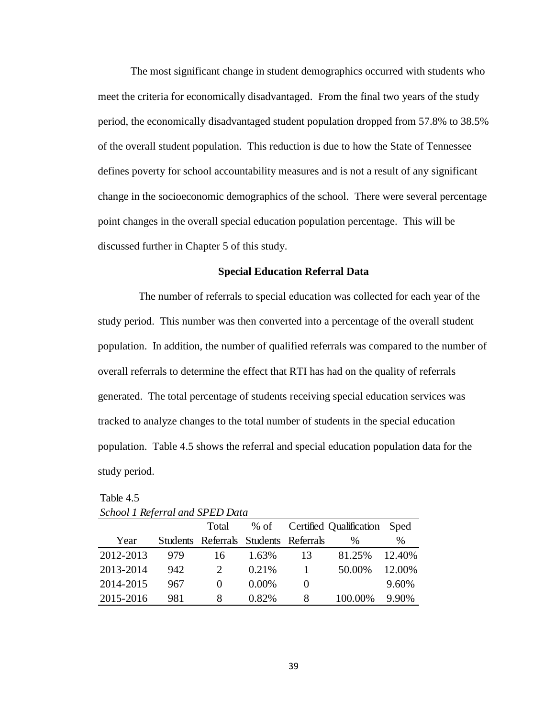The most significant change in student demographics occurred with students who meet the criteria for economically disadvantaged. From the final two years of the study period, the economically disadvantaged student population dropped from 57.8% to 38.5% of the overall student population. This reduction is due to how the State of Tennessee defines poverty for school accountability measures and is not a result of any significant change in the socioeconomic demographics of the school. There were several percentage point changes in the overall special education population percentage. This will be discussed further in Chapter 5 of this study.

### **Special Education Referral Data**

 The number of referrals to special education was collected for each year of the study period. This number was then converted into a percentage of the overall student population. In addition, the number of qualified referrals was compared to the number of overall referrals to determine the effect that RTI has had on the quality of referrals generated. The total percentage of students receiving special education services was tracked to analyze changes to the total number of students in the special education population. Table 4.5 shows the referral and special education population data for the study period.

| $S$ of $\alpha$ is the state of $\alpha$ in $\alpha$ is $\alpha$ is $\alpha$ is $\alpha$ is $\alpha$ is $\alpha$ is $\alpha$ is $\alpha$ is $\alpha$ is $\alpha$ is $\alpha$ is $\alpha$ is $\alpha$ is $\alpha$ is $\alpha$ is $\alpha$ is $\alpha$ is $\alpha$ is $\alpha$ is $\alpha$ is $\alpha$ is $\alpha$ is $\alpha$ is |     |                                       |          |          |                         |        |
|---------------------------------------------------------------------------------------------------------------------------------------------------------------------------------------------------------------------------------------------------------------------------------------------------------------------------------|-----|---------------------------------------|----------|----------|-------------------------|--------|
|                                                                                                                                                                                                                                                                                                                                 |     | Total                                 | % of     |          | Certified Qualification | Sped   |
| Year                                                                                                                                                                                                                                                                                                                            |     | Students Referrals Students Referrals |          |          | $\%$                    | %      |
| 2012-2013                                                                                                                                                                                                                                                                                                                       | 979 | 16                                    | 1.63%    | 13       | 81.25%                  | 12.40% |
| 2013-2014                                                                                                                                                                                                                                                                                                                       | 942 | $\mathcal{D}_{\cdot}$                 | 0.21%    |          | 50.00%                  | 12.00% |
| 2014-2015                                                                                                                                                                                                                                                                                                                       | 967 | $\theta$                              | $0.00\%$ | $\theta$ |                         | 9.60%  |
| 2015-2016                                                                                                                                                                                                                                                                                                                       | 981 | 8                                     | 0.82%    | 8        | 100.00%                 | 9.90%  |

Table 4.5 *School 1 Referral and SPED Data*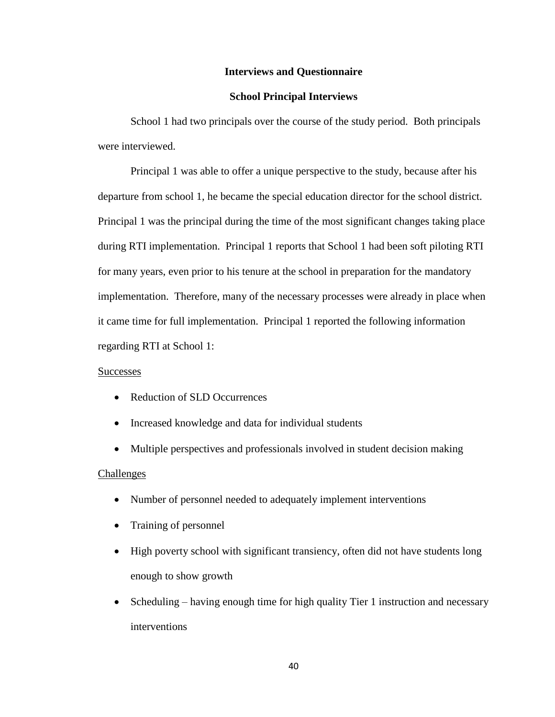## **Interviews and Questionnaire**

### **School Principal Interviews**

School 1 had two principals over the course of the study period. Both principals were interviewed.

Principal 1 was able to offer a unique perspective to the study, because after his departure from school 1, he became the special education director for the school district. Principal 1 was the principal during the time of the most significant changes taking place during RTI implementation. Principal 1 reports that School 1 had been soft piloting RTI for many years, even prior to his tenure at the school in preparation for the mandatory implementation. Therefore, many of the necessary processes were already in place when it came time for full implementation. Principal 1 reported the following information regarding RTI at School 1:

### **Successes**

- Reduction of SLD Occurrences
- Increased knowledge and data for individual students
- Multiple perspectives and professionals involved in student decision making

#### **Challenges**

- Number of personnel needed to adequately implement interventions
- Training of personnel
- High poverty school with significant transiency, often did not have students long enough to show growth
- Scheduling having enough time for high quality Tier 1 instruction and necessary interventions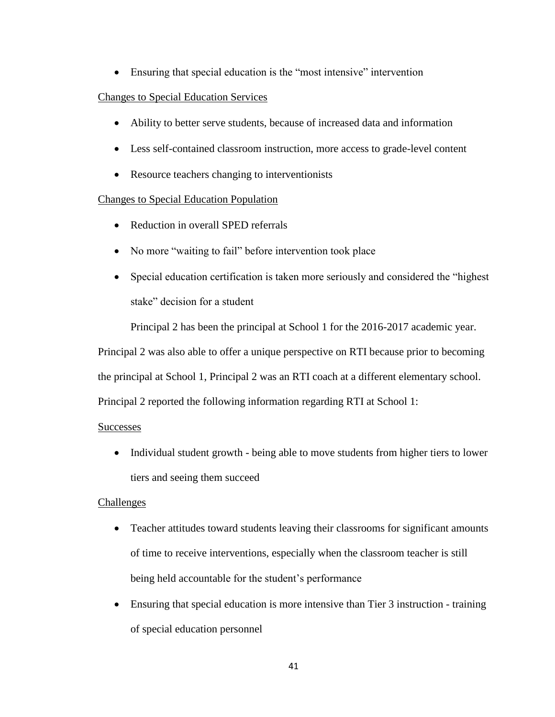Ensuring that special education is the "most intensive" intervention

## Changes to Special Education Services

- Ability to better serve students, because of increased data and information
- Less self-contained classroom instruction, more access to grade-level content
- Resource teachers changing to interventionists

## Changes to Special Education Population

- Reduction in overall SPED referrals
- No more "waiting to fail" before intervention took place
- Special education certification is taken more seriously and considered the "highest stake" decision for a student

Principal 2 has been the principal at School 1 for the 2016-2017 academic year.

Principal 2 was also able to offer a unique perspective on RTI because prior to becoming

the principal at School 1, Principal 2 was an RTI coach at a different elementary school.

Principal 2 reported the following information regarding RTI at School 1:

## Successes

• Individual student growth - being able to move students from higher tiers to lower tiers and seeing them succeed

## Challenges

- Teacher attitudes toward students leaving their classrooms for significant amounts of time to receive interventions, especially when the classroom teacher is still being held accountable for the student's performance
- Ensuring that special education is more intensive than Tier 3 instruction training of special education personnel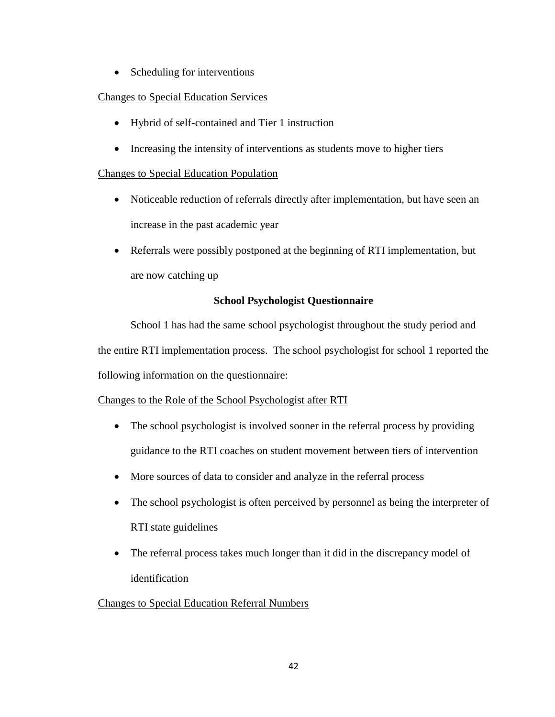• Scheduling for interventions

# Changes to Special Education Services

- Hybrid of self-contained and Tier 1 instruction
- Increasing the intensity of interventions as students move to higher tiers

## Changes to Special Education Population

- Noticeable reduction of referrals directly after implementation, but have seen an increase in the past academic year
- Referrals were possibly postponed at the beginning of RTI implementation, but are now catching up

## **School Psychologist Questionnaire**

School 1 has had the same school psychologist throughout the study period and the entire RTI implementation process. The school psychologist for school 1 reported the following information on the questionnaire:

## Changes to the Role of the School Psychologist after RTI

- The school psychologist is involved sooner in the referral process by providing guidance to the RTI coaches on student movement between tiers of intervention
- More sources of data to consider and analyze in the referral process
- The school psychologist is often perceived by personnel as being the interpreter of RTI state guidelines
- The referral process takes much longer than it did in the discrepancy model of identification

## Changes to Special Education Referral Numbers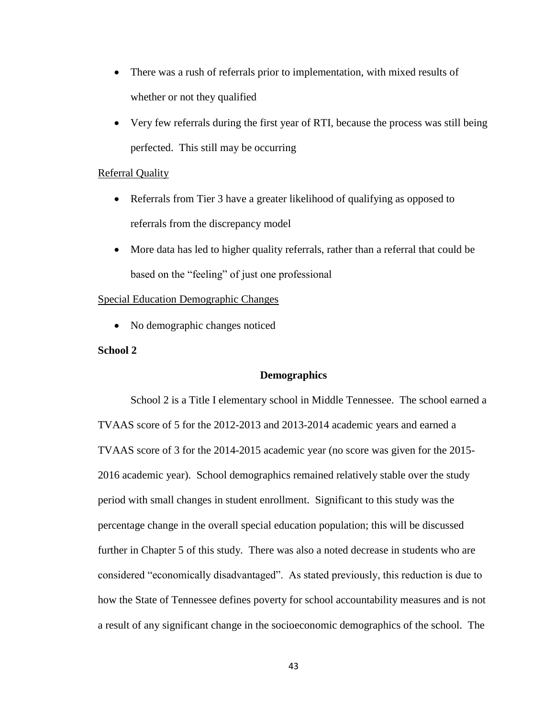- There was a rush of referrals prior to implementation, with mixed results of whether or not they qualified
- Very few referrals during the first year of RTI, because the process was still being perfected. This still may be occurring

### Referral Quality

- Referrals from Tier 3 have a greater likelihood of qualifying as opposed to referrals from the discrepancy model
- More data has led to higher quality referrals, rather than a referral that could be based on the "feeling" of just one professional

### Special Education Demographic Changes

• No demographic changes noticed

## **School 2**

### **Demographics**

School 2 is a Title I elementary school in Middle Tennessee. The school earned a TVAAS score of 5 for the 2012-2013 and 2013-2014 academic years and earned a TVAAS score of 3 for the 2014-2015 academic year (no score was given for the 2015- 2016 academic year). School demographics remained relatively stable over the study period with small changes in student enrollment. Significant to this study was the percentage change in the overall special education population; this will be discussed further in Chapter 5 of this study. There was also a noted decrease in students who are considered "economically disadvantaged". As stated previously, this reduction is due to how the State of Tennessee defines poverty for school accountability measures and is not a result of any significant change in the socioeconomic demographics of the school. The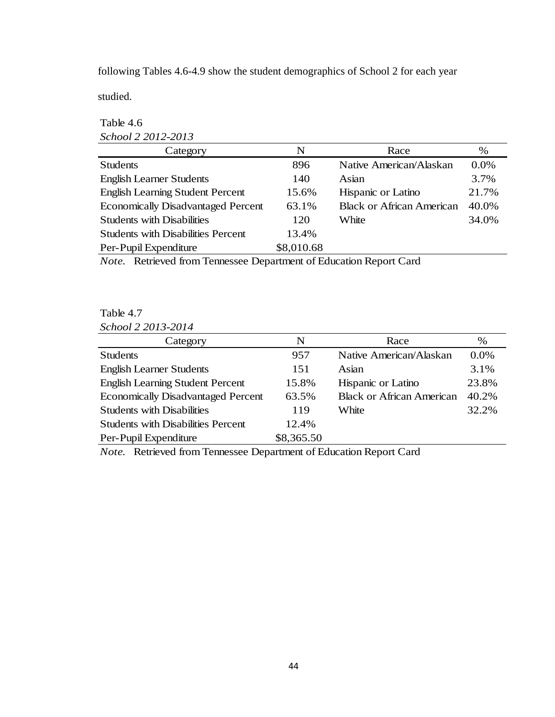following Tables 4.6-4.9 show the student demographics of School 2 for each year

studied.

## Table 4.6 *School 2 2012-2013*

| Category                                  | N          | Race                             | %     |
|-------------------------------------------|------------|----------------------------------|-------|
| <b>Students</b>                           | 896        | Native American/Alaskan          | 0.0%  |
| <b>English Learner Students</b>           | 140        | Asian                            | 3.7%  |
| <b>English Learning Student Percent</b>   | 15.6%      | Hispanic or Latino               | 21.7% |
| <b>Economically Disadvantaged Percent</b> | 63.1%      | <b>Black or African American</b> | 40.0% |
| <b>Students with Disabilities</b>         | 120        | White                            | 34.0% |
| <b>Students with Disabilities Percent</b> | 13.4%      |                                  |       |
| Per-Pupil Expenditure                     | \$8,010.68 |                                  |       |
|                                           |            |                                  |       |

*Note.* Retrieved from Tennessee Department of Education Report Card

# Table 4.7

*School 2 2013-2014*

| Category                                  | N          | Race                             | %     |
|-------------------------------------------|------------|----------------------------------|-------|
| <b>Students</b>                           | 957        | Native American/Alaskan          | 0.0%  |
| <b>English Learner Students</b>           | 151        | Asian                            | 3.1%  |
| <b>English Learning Student Percent</b>   | 15.8%      | Hispanic or Latino               | 23.8% |
| <b>Economically Disadvantaged Percent</b> | 63.5%      | <b>Black or African American</b> | 40.2% |
| <b>Students with Disabilities</b>         | 119        | White                            | 32.2% |
| <b>Students with Disabilities Percent</b> | 12.4%      |                                  |       |
| Per-Pupil Expenditure                     | \$8,365.50 |                                  |       |

*Note.* Retrieved from Tennessee Department of Education Report Card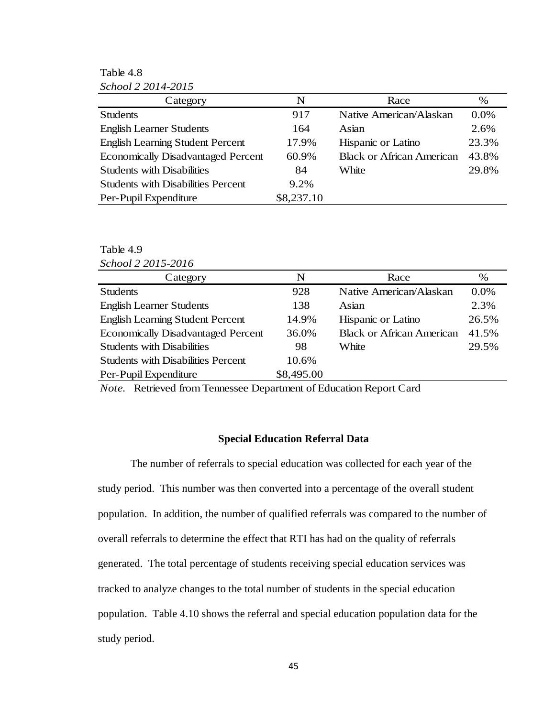Table 4.8 *School 2 2014-2015*

| 0.000012201772013                         |            |                                  |       |
|-------------------------------------------|------------|----------------------------------|-------|
| Category                                  | N          | Race                             | $\%$  |
| <b>Students</b>                           | 917        | Native American/Alaskan          | 0.0%  |
| <b>English Learner Students</b>           | 164        | Asian                            | 2.6%  |
| <b>English Learning Student Percent</b>   | 17.9%      | Hispanic or Latino               | 23.3% |
| <b>Economically Disadvantaged Percent</b> | 60.9%      | <b>Black or African American</b> | 43.8% |
| <b>Students with Disabilities</b>         | 84         | White                            | 29.8% |
| <b>Students with Disabilities Percent</b> | $9.2\%$    |                                  |       |
| Per-Pupil Expenditure                     | \$8,237.10 |                                  |       |

### Table 4.9

| School 2 2015-2016 |  |
|--------------------|--|
|                    |  |

| Category                                  | N          | Race                             | $\%$  |
|-------------------------------------------|------------|----------------------------------|-------|
| <b>Students</b>                           | 928        | Native American/Alaskan          | 0.0%  |
| <b>English Learner Students</b>           | 138        | Asian                            | 2.3%  |
| <b>English Learning Student Percent</b>   | 14.9%      | Hispanic or Latino               | 26.5% |
| <b>Economically Disadvantaged Percent</b> | 36.0%      | <b>Black or African American</b> | 41.5% |
| <b>Students with Disabilities</b>         | 98         | White                            | 29.5% |
| <b>Students with Disabilities Percent</b> | 10.6%      |                                  |       |
| Per-Pupil Expenditure                     | \$8,495.00 |                                  |       |

*Note.* Retrieved from Tennessee Department of Education Report Card

### **Special Education Referral Data**

The number of referrals to special education was collected for each year of the study period. This number was then converted into a percentage of the overall student population. In addition, the number of qualified referrals was compared to the number of overall referrals to determine the effect that RTI has had on the quality of referrals generated. The total percentage of students receiving special education services was tracked to analyze changes to the total number of students in the special education population. Table 4.10 shows the referral and special education population data for the study period.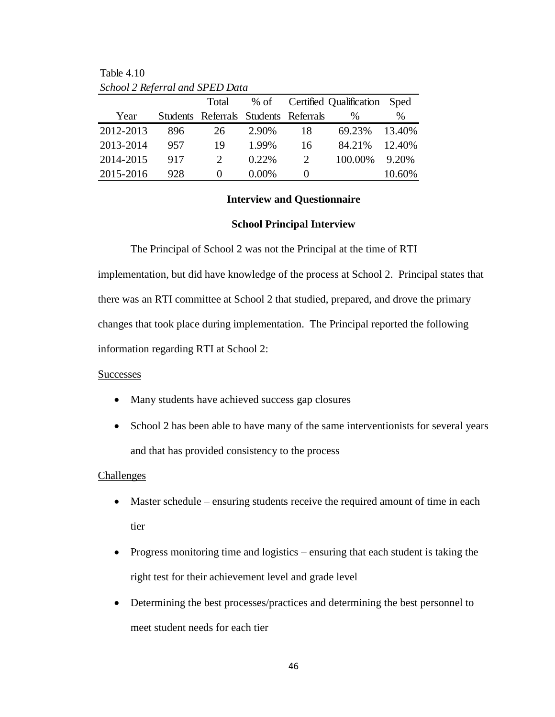|           |     | Total                                 | $%$ of   |                       | Certified Qualification Sped |        |
|-----------|-----|---------------------------------------|----------|-----------------------|------------------------------|--------|
| Year      |     | Students Referrals Students Referrals |          |                       | $\%$                         | %      |
| 2012-2013 | 896 | 26                                    | 2.90%    | 18                    | 69.23%                       | 13.40% |
| 2013-2014 | 957 | 19                                    | 1.99%    | 16                    | 84.21%                       | 12.40% |
| 2014-2015 | 917 |                                       | $0.22\%$ | $\mathcal{D}_{\cdot}$ | 100.00%                      | 9.20%  |
| 2015-2016 | 928 | $\mathbf{0}$                          | $0.00\%$ | $\theta$              |                              | 10.60% |

Table 4.10 *School 2 Referral and SPED Data*

## **Interview and Questionnaire**

#### **School Principal Interview**

The Principal of School 2 was not the Principal at the time of RTI implementation, but did have knowledge of the process at School 2. Principal states that there was an RTI committee at School 2 that studied, prepared, and drove the primary changes that took place during implementation. The Principal reported the following information regarding RTI at School 2:

### **Successes**

- Many students have achieved success gap closures
- School 2 has been able to have many of the same interventionists for several years and that has provided consistency to the process

#### **Challenges**

- Master schedule ensuring students receive the required amount of time in each tier
- Progress monitoring time and logistics ensuring that each student is taking the right test for their achievement level and grade level
- Determining the best processes/practices and determining the best personnel to meet student needs for each tier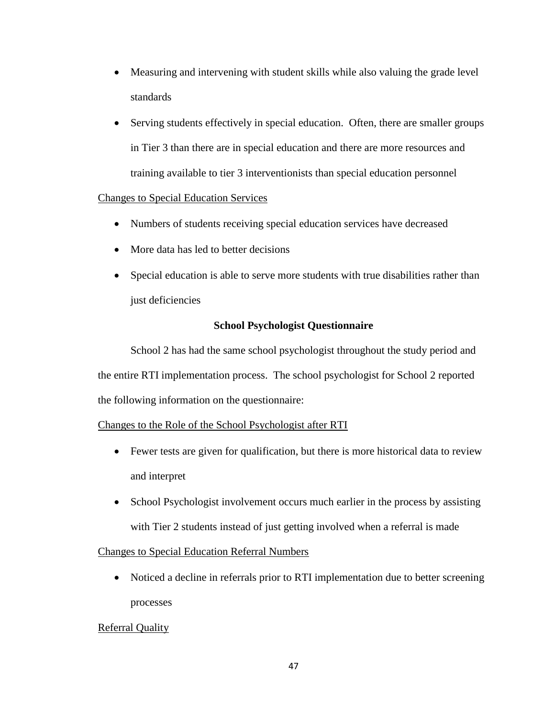- Measuring and intervening with student skills while also valuing the grade level standards
- Serving students effectively in special education. Often, there are smaller groups in Tier 3 than there are in special education and there are more resources and training available to tier 3 interventionists than special education personnel

## Changes to Special Education Services

- Numbers of students receiving special education services have decreased
- More data has led to better decisions
- Special education is able to serve more students with true disabilities rather than just deficiencies

## **School Psychologist Questionnaire**

School 2 has had the same school psychologist throughout the study period and the entire RTI implementation process. The school psychologist for School 2 reported the following information on the questionnaire:

## Changes to the Role of the School Psychologist after RTI

- Fewer tests are given for qualification, but there is more historical data to review and interpret
- School Psychologist involvement occurs much earlier in the process by assisting with Tier 2 students instead of just getting involved when a referral is made

## Changes to Special Education Referral Numbers

• Noticed a decline in referrals prior to RTI implementation due to better screening processes

## Referral Quality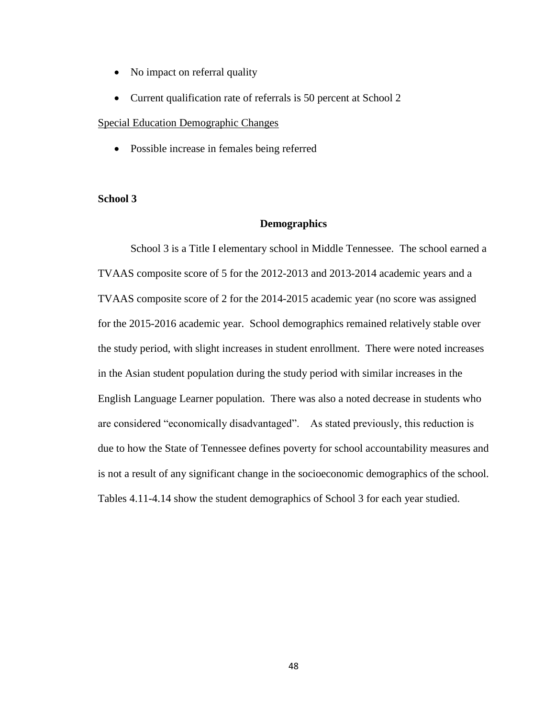- No impact on referral quality
- Current qualification rate of referrals is 50 percent at School 2

#### Special Education Demographic Changes

Possible increase in females being referred

### **School 3**

### **Demographics**

School 3 is a Title I elementary school in Middle Tennessee. The school earned a TVAAS composite score of 5 for the 2012-2013 and 2013-2014 academic years and a TVAAS composite score of 2 for the 2014-2015 academic year (no score was assigned for the 2015-2016 academic year. School demographics remained relatively stable over the study period, with slight increases in student enrollment. There were noted increases in the Asian student population during the study period with similar increases in the English Language Learner population. There was also a noted decrease in students who are considered "economically disadvantaged". As stated previously, this reduction is due to how the State of Tennessee defines poverty for school accountability measures and is not a result of any significant change in the socioeconomic demographics of the school. Tables 4.11-4.14 show the student demographics of School 3 for each year studied.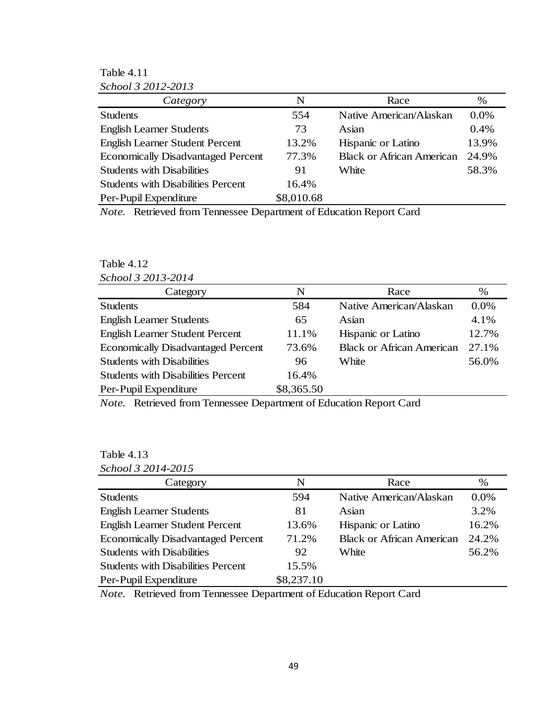Table 4.11 *School 3 2012-2013*

| penove o 2012 2019                        |            |                                  |       |  |  |
|-------------------------------------------|------------|----------------------------------|-------|--|--|
| Category                                  | N          | Race                             | %     |  |  |
| <b>Students</b>                           | 554        | Native American/Alaskan          | 0.0%  |  |  |
| <b>English Learner Students</b>           | 73         | Asian                            | 0.4%  |  |  |
| <b>English Learner Student Percent</b>    | 13.2%      | Hispanic or Latino               | 13.9% |  |  |
| <b>Economically Disadvantaged Percent</b> | 77.3%      | <b>Black or African American</b> | 24.9% |  |  |
| <b>Students with Disabilities</b>         | 91         | White                            | 58.3% |  |  |
| <b>Students with Disabilities Percent</b> | 16.4%      |                                  |       |  |  |
| Per-Pupil Expenditure                     | \$8,010.68 |                                  |       |  |  |
|                                           |            |                                  |       |  |  |

*Note.* Retrieved from Tennessee Department of Education Report Card

### Table 4.12 *School 3 2013-2014*

| Category                                  | N          | Race                             | %     |  |
|-------------------------------------------|------------|----------------------------------|-------|--|
| <b>Students</b>                           | 584        | Native American/Alaskan          | 0.0%  |  |
| <b>English Learner Students</b>           | 65         | Asian                            | 4.1%  |  |
| <b>English Learner Student Percent</b>    | 11.1%      | Hispanic or Latino               | 12.7% |  |
| <b>Economically Disadvantaged Percent</b> | 73.6%      | <b>Black or African American</b> | 27.1% |  |
| <b>Students with Disabilities</b>         | 96         | White                            | 56.0% |  |
| <b>Students with Disabilities Percent</b> | 16.4%      |                                  |       |  |
| Per-Pupil Expenditure                     | \$8,365.50 |                                  |       |  |
|                                           |            |                                  |       |  |

*Note.* Retrieved from Tennessee Department of Education Report Card

## Table 4.13

| Category                                  | N          | Race                             | %       |
|-------------------------------------------|------------|----------------------------------|---------|
| <b>Students</b>                           | 594        | Native American/Alaskan          | $0.0\%$ |
| <b>English Learner Students</b>           | 81         | Asian                            | 3.2%    |
| <b>English Learner Student Percent</b>    | 13.6%      | Hispanic or Latino               | 16.2%   |
| <b>Economically Disadvantaged Percent</b> | 71.2%      | <b>Black or African American</b> | 24.2%   |
| <b>Students with Disabilities</b>         | 92         | White                            | 56.2%   |
| <b>Students with Disabilities Percent</b> | 15.5%      |                                  |         |
| Per-Pupil Expenditure                     | \$8,237.10 |                                  |         |

*Note.* Retrieved from Tennessee Department of Education Report Card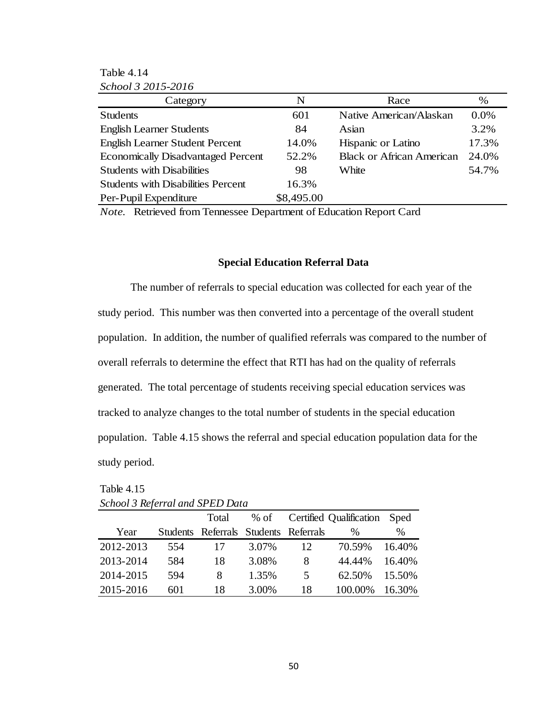Table 4.14 *School 3 2015-2016*

| Category                                  | N          | Race                             | %     |  |
|-------------------------------------------|------------|----------------------------------|-------|--|
| <b>Students</b>                           | 601        | Native American/Alaskan          | 0.0%  |  |
| <b>English Learner Students</b>           | 84         | Asian                            | 3.2%  |  |
| <b>English Learner Student Percent</b>    | 14.0%      | Hispanic or Latino               | 17.3% |  |
| <b>Economically Disadvantaged Percent</b> | 52.2%      | <b>Black or African American</b> | 24.0% |  |
| <b>Students with Disabilities</b>         | 98         | White                            | 54.7% |  |
| <b>Students with Disabilities Percent</b> | 16.3%      |                                  |       |  |
| Per-Pupil Expenditure                     | \$8,495.00 |                                  |       |  |

*Note.* Retrieved from Tennessee Department of Education Report Card

### **Special Education Referral Data**

The number of referrals to special education was collected for each year of the study period. This number was then converted into a percentage of the overall student population. In addition, the number of qualified referrals was compared to the number of overall referrals to determine the effect that RTI has had on the quality of referrals generated. The total percentage of students receiving special education services was tracked to analyze changes to the total number of students in the special education population. Table 4.15 shows the referral and special education population data for the study period.

| SCHOOL 3 Referral and SEED Data |     |                                       |        |    |                         |        |
|---------------------------------|-----|---------------------------------------|--------|----|-------------------------|--------|
|                                 |     | Total                                 | $%$ of |    | Certified Qualification | Sped   |
| Year                            |     | Students Referrals Students Referrals |        |    | %                       | $\%$   |
| 2012-2013                       | 554 | 17                                    | 3.07%  | 12 | 70.59%                  | 16.40% |
| 2013-2014                       | 584 | 18                                    | 3.08%  | 8  | 44.44%                  | 16.40% |
| 2014-2015                       | 594 | 8                                     | 1.35%  | 5  | 62.50%                  | 15.50% |
| 2015-2016                       | 601 | 18                                    | 3.00%  | 18 | 100.00%                 | 16.30% |

Table 4.15 *School 3 Referral and SPED Data*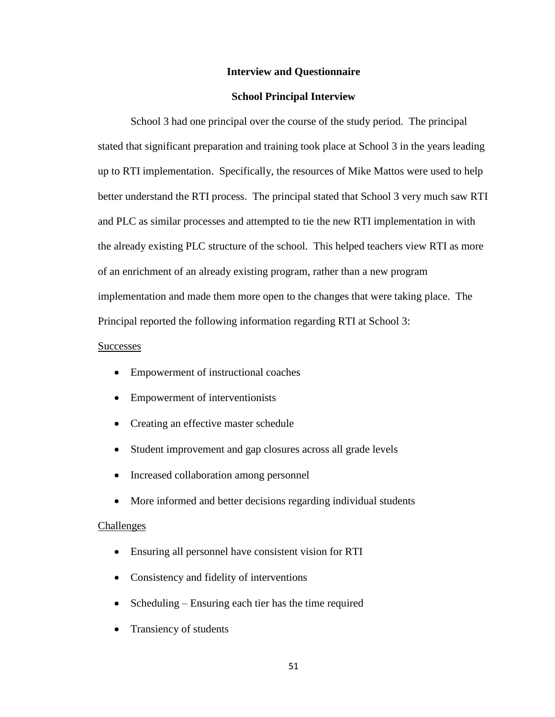### **Interview and Questionnaire**

### **School Principal Interview**

School 3 had one principal over the course of the study period. The principal stated that significant preparation and training took place at School 3 in the years leading up to RTI implementation. Specifically, the resources of Mike Mattos were used to help better understand the RTI process. The principal stated that School 3 very much saw RTI and PLC as similar processes and attempted to tie the new RTI implementation in with the already existing PLC structure of the school. This helped teachers view RTI as more of an enrichment of an already existing program, rather than a new program implementation and made them more open to the changes that were taking place. The Principal reported the following information regarding RTI at School 3:

### **Successes**

- Empowerment of instructional coaches
- Empowerment of interventionists
- Creating an effective master schedule
- Student improvement and gap closures across all grade levels
- Increased collaboration among personnel
- More informed and better decisions regarding individual students

#### Challenges

- Ensuring all personnel have consistent vision for RTI
- Consistency and fidelity of interventions
- Scheduling Ensuring each tier has the time required
- Transiency of students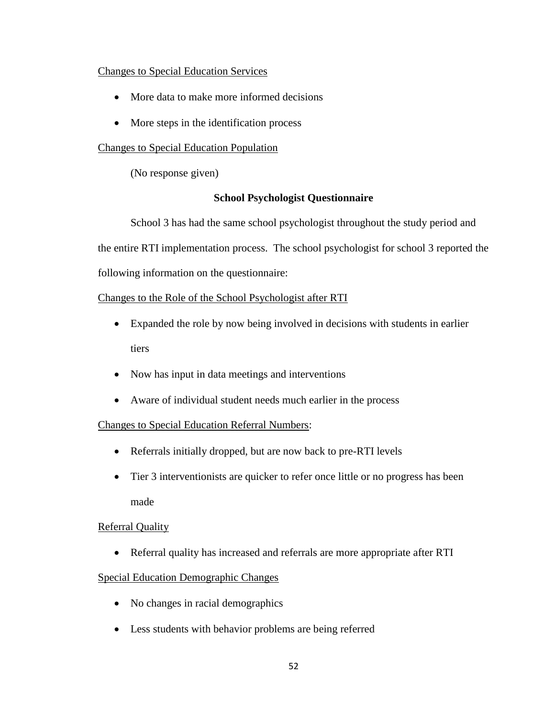## Changes to Special Education Services

- More data to make more informed decisions
- More steps in the identification process

# Changes to Special Education Population

(No response given)

## **School Psychologist Questionnaire**

School 3 has had the same school psychologist throughout the study period and the entire RTI implementation process. The school psychologist for school 3 reported the following information on the questionnaire:

# Changes to the Role of the School Psychologist after RTI

- Expanded the role by now being involved in decisions with students in earlier tiers
- Now has input in data meetings and interventions
- Aware of individual student needs much earlier in the process

# Changes to Special Education Referral Numbers:

- Referrals initially dropped, but are now back to pre-RTI levels
- Tier 3 interventionists are quicker to refer once little or no progress has been made

## Referral Quality

Referral quality has increased and referrals are more appropriate after RTI

# Special Education Demographic Changes

- No changes in racial demographics
- Less students with behavior problems are being referred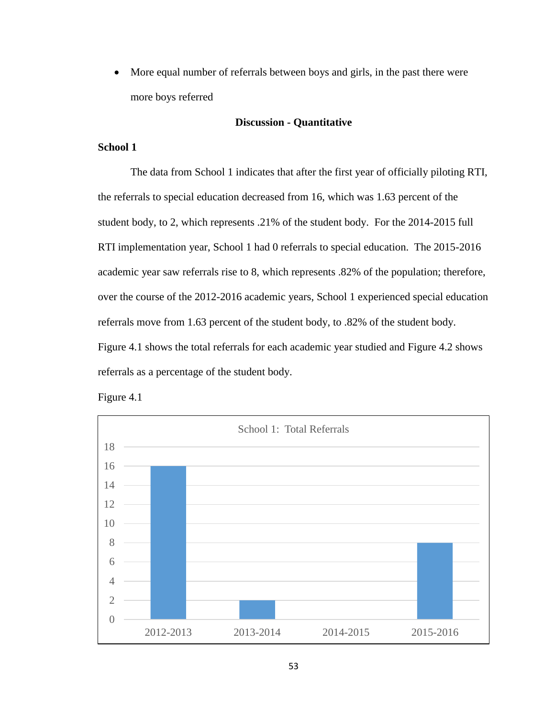• More equal number of referrals between boys and girls, in the past there were more boys referred

### **Discussion - Quantitative**

## **School 1**

The data from School 1 indicates that after the first year of officially piloting RTI, the referrals to special education decreased from 16, which was 1.63 percent of the student body, to 2, which represents .21% of the student body. For the 2014-2015 full RTI implementation year, School 1 had 0 referrals to special education. The 2015-2016 academic year saw referrals rise to 8, which represents .82% of the population; therefore, over the course of the 2012-2016 academic years, School 1 experienced special education referrals move from 1.63 percent of the student body, to .82% of the student body. Figure 4.1 shows the total referrals for each academic year studied and Figure 4.2 shows referrals as a percentage of the student body.



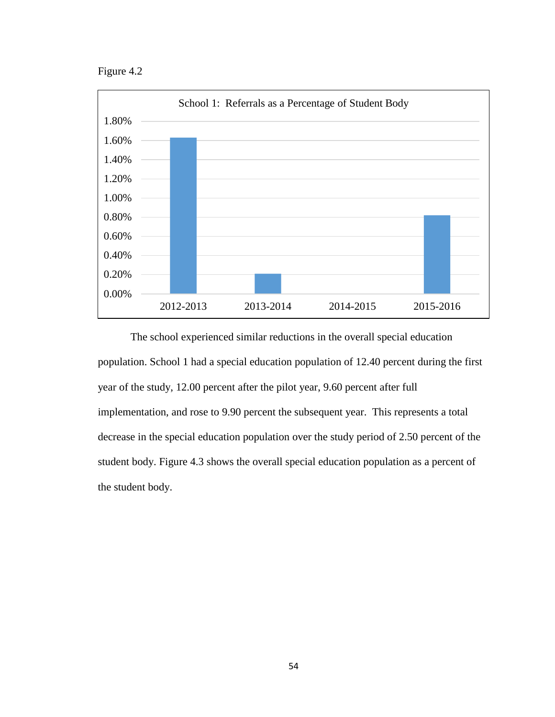Figure 4.2



The school experienced similar reductions in the overall special education population. School 1 had a special education population of 12.40 percent during the first year of the study, 12.00 percent after the pilot year, 9.60 percent after full implementation, and rose to 9.90 percent the subsequent year. This represents a total decrease in the special education population over the study period of 2.50 percent of the student body. Figure 4.3 shows the overall special education population as a percent of the student body.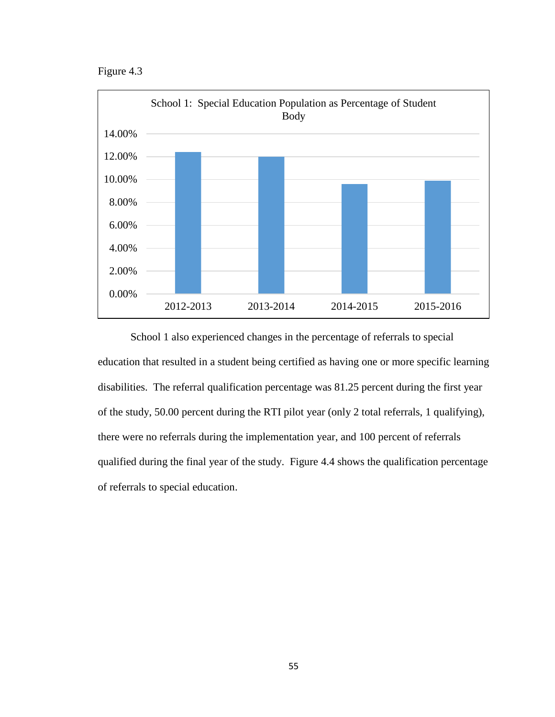Figure 4.3



School 1 also experienced changes in the percentage of referrals to special education that resulted in a student being certified as having one or more specific learning disabilities. The referral qualification percentage was 81.25 percent during the first year of the study, 50.00 percent during the RTI pilot year (only 2 total referrals, 1 qualifying), there were no referrals during the implementation year, and 100 percent of referrals qualified during the final year of the study. Figure 4.4 shows the qualification percentage of referrals to special education.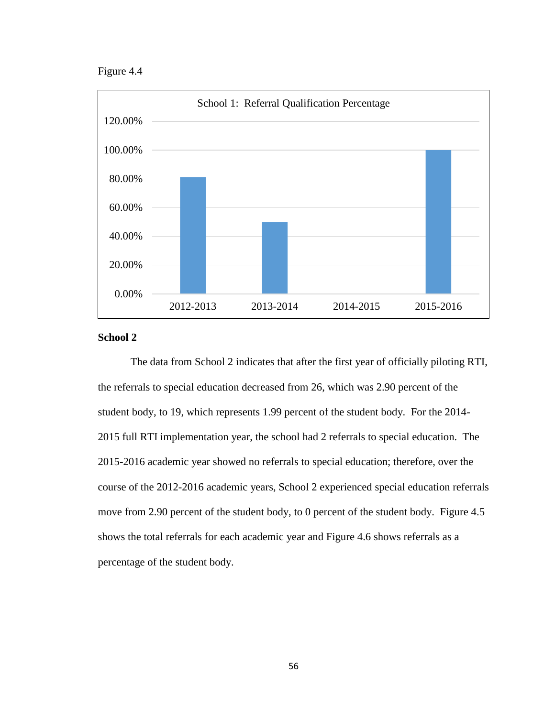Figure 4.4



### **School 2**

The data from School 2 indicates that after the first year of officially piloting RTI, the referrals to special education decreased from 26, which was 2.90 percent of the student body, to 19, which represents 1.99 percent of the student body. For the 2014- 2015 full RTI implementation year, the school had 2 referrals to special education. The 2015-2016 academic year showed no referrals to special education; therefore, over the course of the 2012-2016 academic years, School 2 experienced special education referrals move from 2.90 percent of the student body, to 0 percent of the student body. Figure 4.5 shows the total referrals for each academic year and Figure 4.6 shows referrals as a percentage of the student body.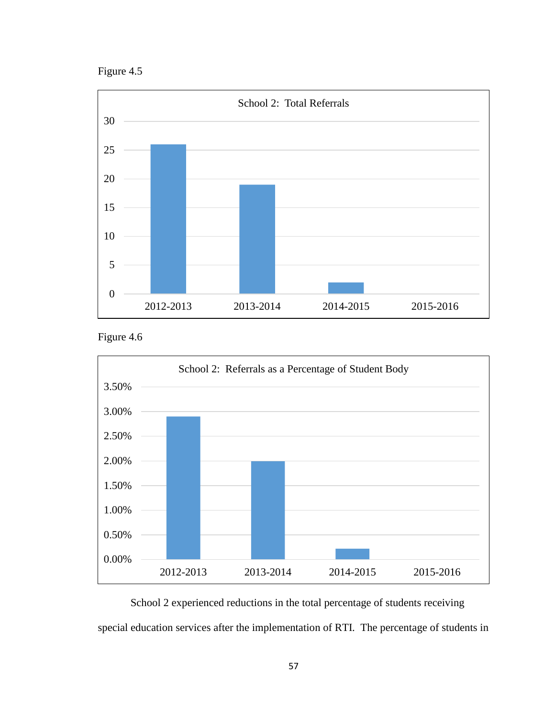Figure 4.5



Figure 4.6



School 2 experienced reductions in the total percentage of students receiving special education services after the implementation of RTI. The percentage of students in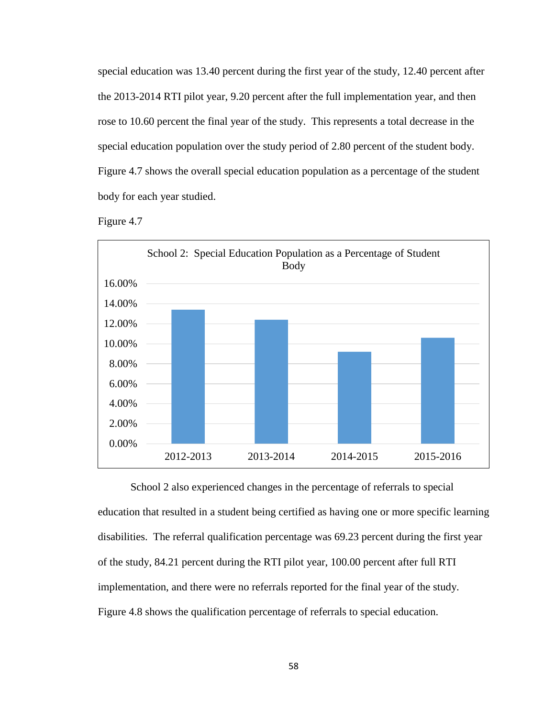special education was 13.40 percent during the first year of the study, 12.40 percent after the 2013-2014 RTI pilot year, 9.20 percent after the full implementation year, and then rose to 10.60 percent the final year of the study. This represents a total decrease in the special education population over the study period of 2.80 percent of the student body. Figure 4.7 shows the overall special education population as a percentage of the student body for each year studied.





School 2 also experienced changes in the percentage of referrals to special education that resulted in a student being certified as having one or more specific learning disabilities. The referral qualification percentage was 69.23 percent during the first year of the study, 84.21 percent during the RTI pilot year, 100.00 percent after full RTI implementation, and there were no referrals reported for the final year of the study. Figure 4.8 shows the qualification percentage of referrals to special education.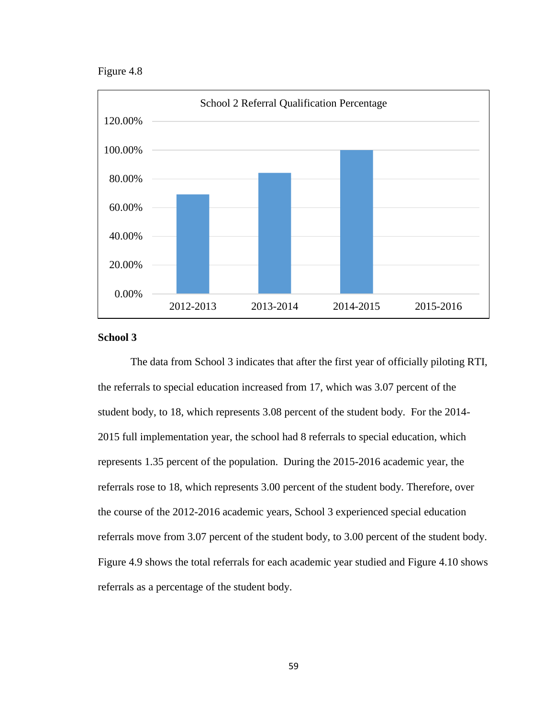Figure 4.8



### **School 3**

The data from School 3 indicates that after the first year of officially piloting RTI, the referrals to special education increased from 17, which was 3.07 percent of the student body, to 18, which represents 3.08 percent of the student body. For the 2014- 2015 full implementation year, the school had 8 referrals to special education, which represents 1.35 percent of the population. During the 2015-2016 academic year, the referrals rose to 18, which represents 3.00 percent of the student body. Therefore, over the course of the 2012-2016 academic years, School 3 experienced special education referrals move from 3.07 percent of the student body, to 3.00 percent of the student body. Figure 4.9 shows the total referrals for each academic year studied and Figure 4.10 shows referrals as a percentage of the student body.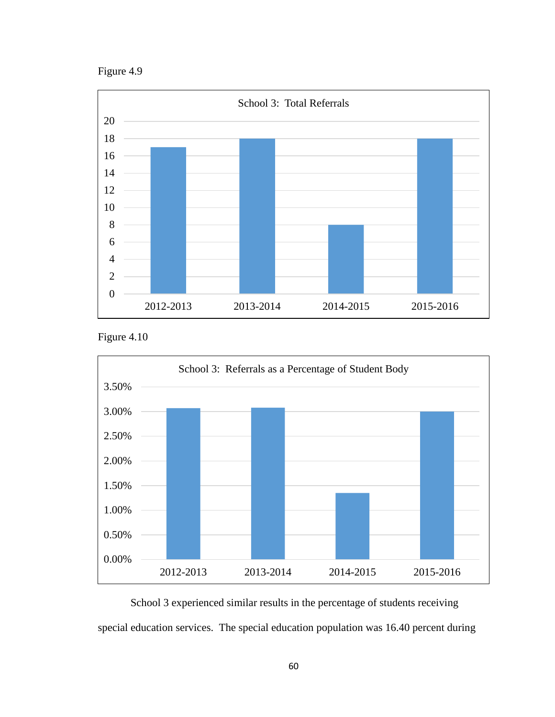Figure 4.9



Figure 4.10



School 3 experienced similar results in the percentage of students receiving special education services. The special education population was 16.40 percent during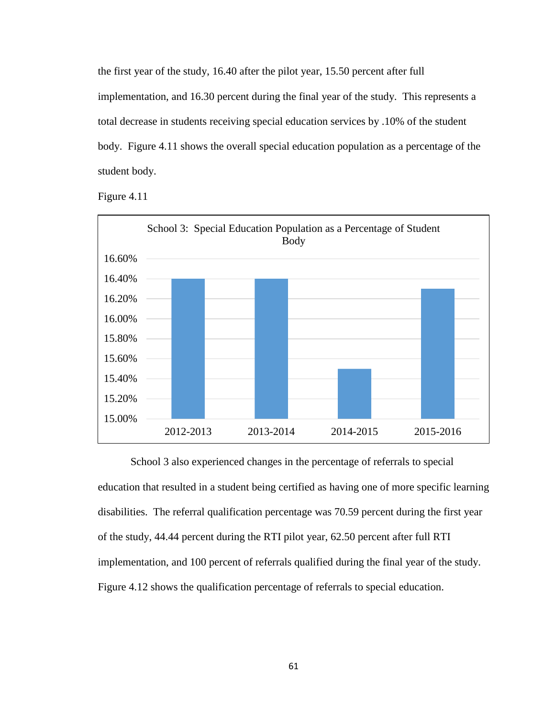the first year of the study, 16.40 after the pilot year, 15.50 percent after full implementation, and 16.30 percent during the final year of the study. This represents a total decrease in students receiving special education services by .10% of the student body. Figure 4.11 shows the overall special education population as a percentage of the student body.

Figure 4.11



School 3 also experienced changes in the percentage of referrals to special education that resulted in a student being certified as having one of more specific learning disabilities. The referral qualification percentage was 70.59 percent during the first year of the study, 44.44 percent during the RTI pilot year, 62.50 percent after full RTI implementation, and 100 percent of referrals qualified during the final year of the study. Figure 4.12 shows the qualification percentage of referrals to special education.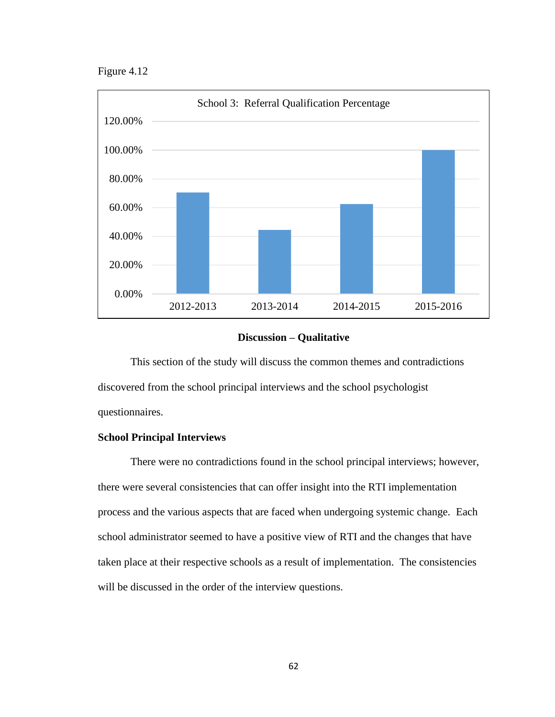Figure 4.12



### **Discussion – Qualitative**

This section of the study will discuss the common themes and contradictions discovered from the school principal interviews and the school psychologist questionnaires.

## **School Principal Interviews**

There were no contradictions found in the school principal interviews; however, there were several consistencies that can offer insight into the RTI implementation process and the various aspects that are faced when undergoing systemic change. Each school administrator seemed to have a positive view of RTI and the changes that have taken place at their respective schools as a result of implementation. The consistencies will be discussed in the order of the interview questions.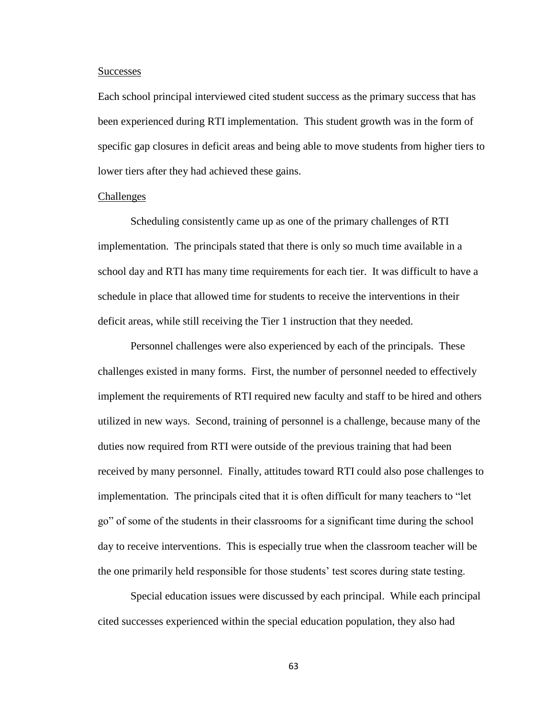#### **Successes**

Each school principal interviewed cited student success as the primary success that has been experienced during RTI implementation. This student growth was in the form of specific gap closures in deficit areas and being able to move students from higher tiers to lower tiers after they had achieved these gains.

### Challenges

Scheduling consistently came up as one of the primary challenges of RTI implementation. The principals stated that there is only so much time available in a school day and RTI has many time requirements for each tier. It was difficult to have a schedule in place that allowed time for students to receive the interventions in their deficit areas, while still receiving the Tier 1 instruction that they needed.

Personnel challenges were also experienced by each of the principals. These challenges existed in many forms. First, the number of personnel needed to effectively implement the requirements of RTI required new faculty and staff to be hired and others utilized in new ways. Second, training of personnel is a challenge, because many of the duties now required from RTI were outside of the previous training that had been received by many personnel. Finally, attitudes toward RTI could also pose challenges to implementation. The principals cited that it is often difficult for many teachers to "let go" of some of the students in their classrooms for a significant time during the school day to receive interventions. This is especially true when the classroom teacher will be the one primarily held responsible for those students' test scores during state testing.

Special education issues were discussed by each principal. While each principal cited successes experienced within the special education population, they also had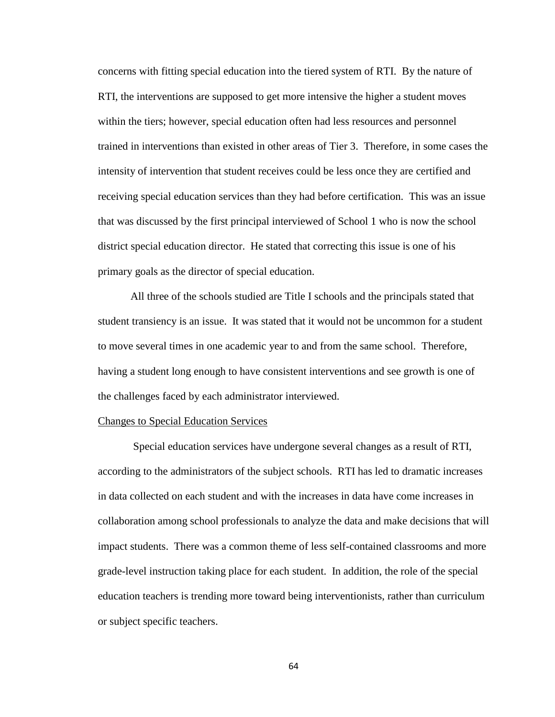concerns with fitting special education into the tiered system of RTI. By the nature of RTI, the interventions are supposed to get more intensive the higher a student moves within the tiers; however, special education often had less resources and personnel trained in interventions than existed in other areas of Tier 3. Therefore, in some cases the intensity of intervention that student receives could be less once they are certified and receiving special education services than they had before certification. This was an issue that was discussed by the first principal interviewed of School 1 who is now the school district special education director. He stated that correcting this issue is one of his primary goals as the director of special education.

All three of the schools studied are Title I schools and the principals stated that student transiency is an issue. It was stated that it would not be uncommon for a student to move several times in one academic year to and from the same school. Therefore, having a student long enough to have consistent interventions and see growth is one of the challenges faced by each administrator interviewed.

## Changes to Special Education Services

Special education services have undergone several changes as a result of RTI, according to the administrators of the subject schools. RTI has led to dramatic increases in data collected on each student and with the increases in data have come increases in collaboration among school professionals to analyze the data and make decisions that will impact students. There was a common theme of less self-contained classrooms and more grade-level instruction taking place for each student. In addition, the role of the special education teachers is trending more toward being interventionists, rather than curriculum or subject specific teachers.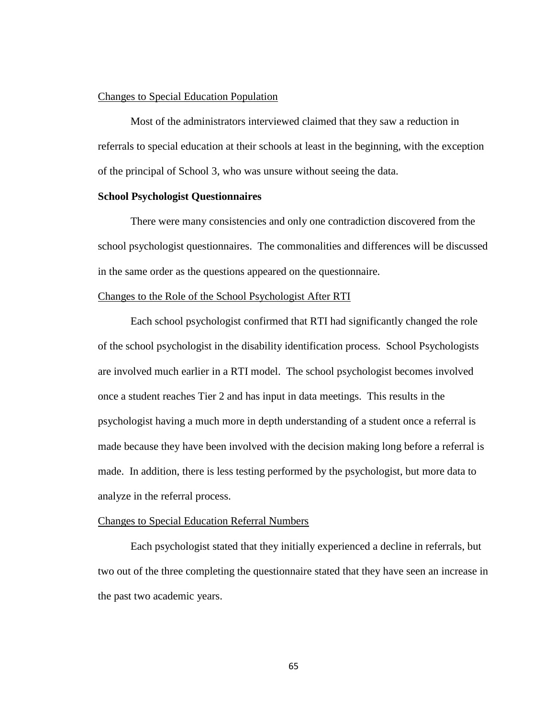# Changes to Special Education Population

Most of the administrators interviewed claimed that they saw a reduction in referrals to special education at their schools at least in the beginning, with the exception of the principal of School 3, who was unsure without seeing the data.

# **School Psychologist Questionnaires**

There were many consistencies and only one contradiction discovered from the school psychologist questionnaires. The commonalities and differences will be discussed in the same order as the questions appeared on the questionnaire.

# Changes to the Role of the School Psychologist After RTI

Each school psychologist confirmed that RTI had significantly changed the role of the school psychologist in the disability identification process. School Psychologists are involved much earlier in a RTI model. The school psychologist becomes involved once a student reaches Tier 2 and has input in data meetings. This results in the psychologist having a much more in depth understanding of a student once a referral is made because they have been involved with the decision making long before a referral is made. In addition, there is less testing performed by the psychologist, but more data to analyze in the referral process.

## Changes to Special Education Referral Numbers

Each psychologist stated that they initially experienced a decline in referrals, but two out of the three completing the questionnaire stated that they have seen an increase in the past two academic years.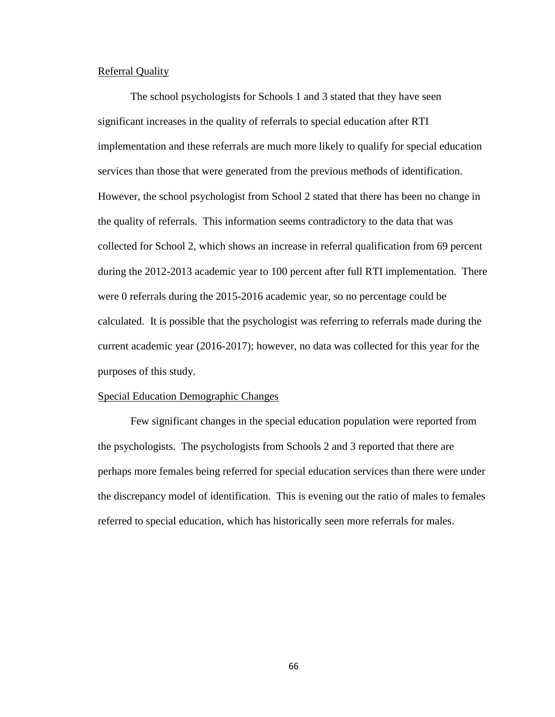# Referral Quality

The school psychologists for Schools 1 and 3 stated that they have seen significant increases in the quality of referrals to special education after RTI implementation and these referrals are much more likely to qualify for special education services than those that were generated from the previous methods of identification. However, the school psychologist from School 2 stated that there has been no change in the quality of referrals. This information seems contradictory to the data that was collected for School 2, which shows an increase in referral qualification from 69 percent during the 2012-2013 academic year to 100 percent after full RTI implementation. There were 0 referrals during the 2015-2016 academic year, so no percentage could be calculated. It is possible that the psychologist was referring to referrals made during the current academic year (2016-2017); however, no data was collected for this year for the purposes of this study.

#### Special Education Demographic Changes

Few significant changes in the special education population were reported from the psychologists. The psychologists from Schools 2 and 3 reported that there are perhaps more females being referred for special education services than there were under the discrepancy model of identification. This is evening out the ratio of males to females referred to special education, which has historically seen more referrals for males.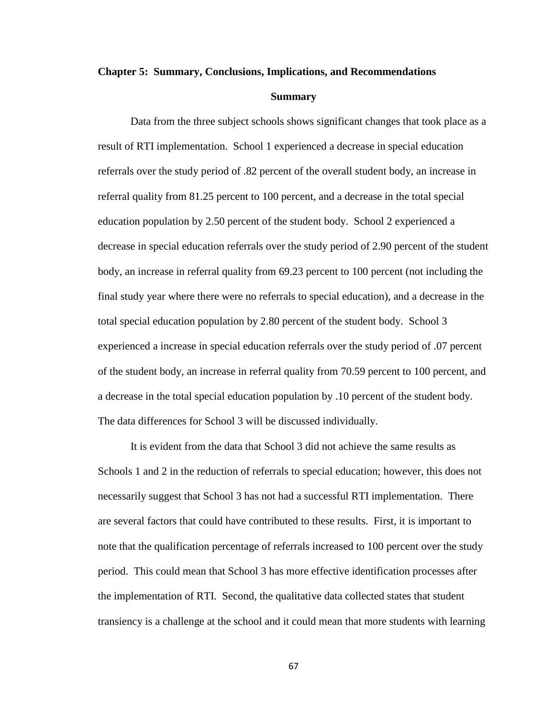## **Chapter 5: Summary, Conclusions, Implications, and Recommendations**

#### **Summary**

Data from the three subject schools shows significant changes that took place as a result of RTI implementation. School 1 experienced a decrease in special education referrals over the study period of .82 percent of the overall student body, an increase in referral quality from 81.25 percent to 100 percent, and a decrease in the total special education population by 2.50 percent of the student body. School 2 experienced a decrease in special education referrals over the study period of 2.90 percent of the student body, an increase in referral quality from 69.23 percent to 100 percent (not including the final study year where there were no referrals to special education), and a decrease in the total special education population by 2.80 percent of the student body. School 3 experienced a increase in special education referrals over the study period of .07 percent of the student body, an increase in referral quality from 70.59 percent to 100 percent, and a decrease in the total special education population by .10 percent of the student body. The data differences for School 3 will be discussed individually.

It is evident from the data that School 3 did not achieve the same results as Schools 1 and 2 in the reduction of referrals to special education; however, this does not necessarily suggest that School 3 has not had a successful RTI implementation. There are several factors that could have contributed to these results. First, it is important to note that the qualification percentage of referrals increased to 100 percent over the study period. This could mean that School 3 has more effective identification processes after the implementation of RTI. Second, the qualitative data collected states that student transiency is a challenge at the school and it could mean that more students with learning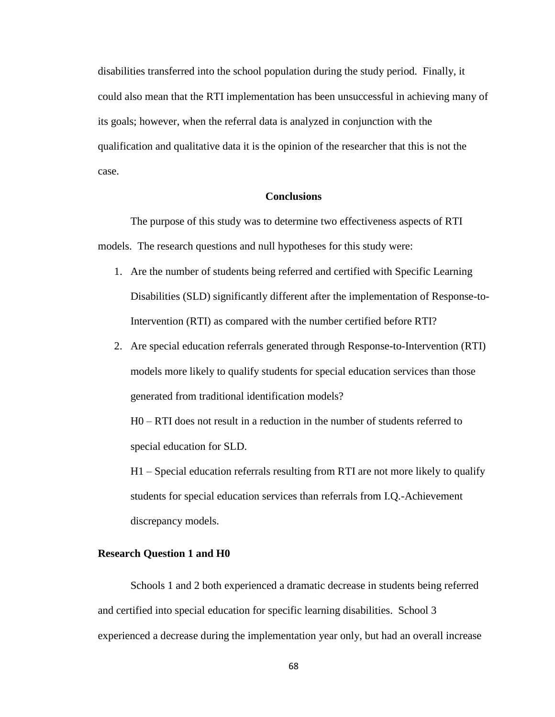disabilities transferred into the school population during the study period. Finally, it could also mean that the RTI implementation has been unsuccessful in achieving many of its goals; however, when the referral data is analyzed in conjunction with the qualification and qualitative data it is the opinion of the researcher that this is not the case.

# **Conclusions**

The purpose of this study was to determine two effectiveness aspects of RTI models. The research questions and null hypotheses for this study were:

- 1. Are the number of students being referred and certified with Specific Learning Disabilities (SLD) significantly different after the implementation of Response-to-Intervention (RTI) as compared with the number certified before RTI?
- 2. Are special education referrals generated through Response-to-Intervention (RTI) models more likely to qualify students for special education services than those generated from traditional identification models?

H0 – RTI does not result in a reduction in the number of students referred to special education for SLD.

H1 – Special education referrals resulting from RTI are not more likely to qualify students for special education services than referrals from I.Q.-Achievement discrepancy models.

# **Research Question 1 and H0**

Schools 1 and 2 both experienced a dramatic decrease in students being referred and certified into special education for specific learning disabilities. School 3 experienced a decrease during the implementation year only, but had an overall increase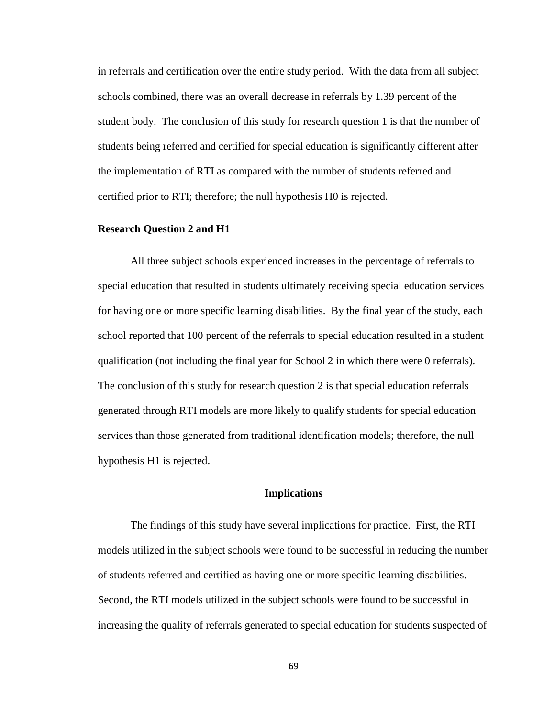in referrals and certification over the entire study period. With the data from all subject schools combined, there was an overall decrease in referrals by 1.39 percent of the student body. The conclusion of this study for research question 1 is that the number of students being referred and certified for special education is significantly different after the implementation of RTI as compared with the number of students referred and certified prior to RTI; therefore; the null hypothesis H0 is rejected.

# **Research Question 2 and H1**

All three subject schools experienced increases in the percentage of referrals to special education that resulted in students ultimately receiving special education services for having one or more specific learning disabilities. By the final year of the study, each school reported that 100 percent of the referrals to special education resulted in a student qualification (not including the final year for School 2 in which there were 0 referrals). The conclusion of this study for research question 2 is that special education referrals generated through RTI models are more likely to qualify students for special education services than those generated from traditional identification models; therefore, the null hypothesis H1 is rejected.

# **Implications**

The findings of this study have several implications for practice. First, the RTI models utilized in the subject schools were found to be successful in reducing the number of students referred and certified as having one or more specific learning disabilities. Second, the RTI models utilized in the subject schools were found to be successful in increasing the quality of referrals generated to special education for students suspected of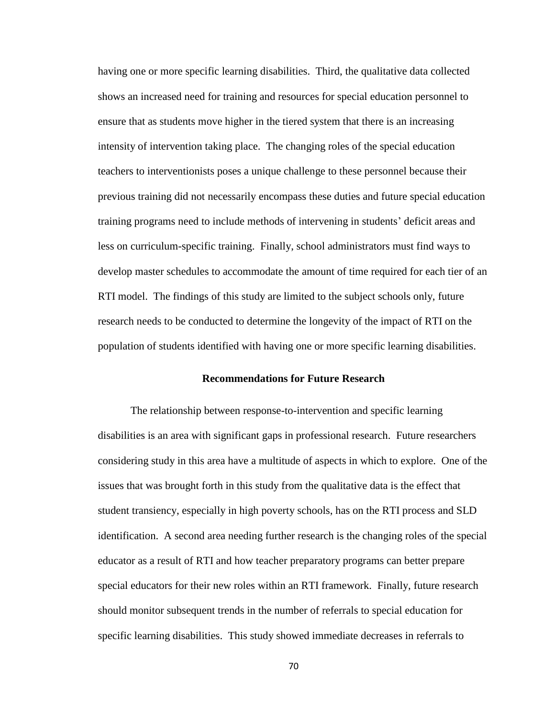having one or more specific learning disabilities. Third, the qualitative data collected shows an increased need for training and resources for special education personnel to ensure that as students move higher in the tiered system that there is an increasing intensity of intervention taking place. The changing roles of the special education teachers to interventionists poses a unique challenge to these personnel because their previous training did not necessarily encompass these duties and future special education training programs need to include methods of intervening in students' deficit areas and less on curriculum-specific training. Finally, school administrators must find ways to develop master schedules to accommodate the amount of time required for each tier of an RTI model. The findings of this study are limited to the subject schools only, future research needs to be conducted to determine the longevity of the impact of RTI on the population of students identified with having one or more specific learning disabilities.

# **Recommendations for Future Research**

The relationship between response-to-intervention and specific learning disabilities is an area with significant gaps in professional research. Future researchers considering study in this area have a multitude of aspects in which to explore. One of the issues that was brought forth in this study from the qualitative data is the effect that student transiency, especially in high poverty schools, has on the RTI process and SLD identification. A second area needing further research is the changing roles of the special educator as a result of RTI and how teacher preparatory programs can better prepare special educators for their new roles within an RTI framework. Finally, future research should monitor subsequent trends in the number of referrals to special education for specific learning disabilities. This study showed immediate decreases in referrals to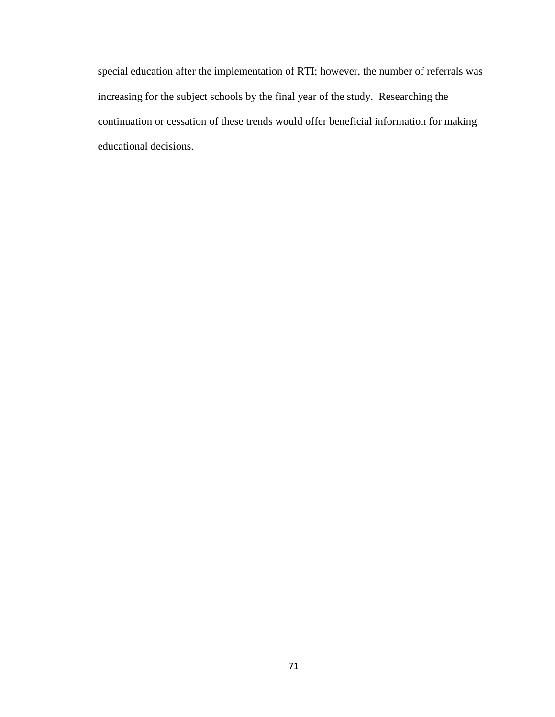special education after the implementation of RTI; however, the number of referrals was increasing for the subject schools by the final year of the study. Researching the continuation or cessation of these trends would offer beneficial information for making educational decisions.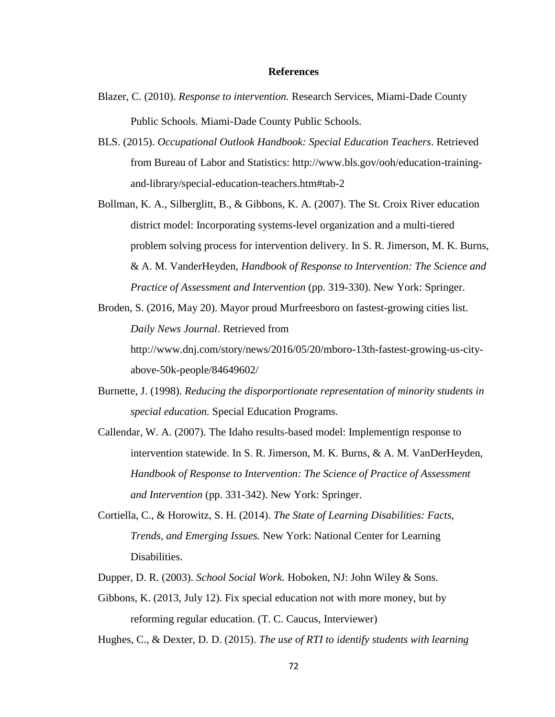#### **References**

- Blazer, C. (2010). *Response to intervention.* Research Services, Miami-Dade County Public Schools. Miami-Dade County Public Schools.
- BLS. (2015). *Occupational Outlook Handbook: Special Education Teachers*. Retrieved from Bureau of Labor and Statistics: http://www.bls.gov/ooh/education-trainingand-library/special-education-teachers.htm#tab-2
- Bollman, K. A., Silberglitt, B., & Gibbons, K. A. (2007). The St. Croix River education district model: Incorporating systems-level organization and a multi-tiered problem solving process for intervention delivery. In S. R. Jimerson, M. K. Burns, & A. M. VanderHeyden, *Handbook of Response to Intervention: The Science and Practice of Assessment and Intervention* (pp. 319-330). New York: Springer.
- Broden, S. (2016, May 20). Mayor proud Murfreesboro on fastest-growing cities list. *Daily News Journal*. Retrieved from http://www.dnj.com/story/news/2016/05/20/mboro-13th-fastest-growing-us-cityabove-50k-people/84649602/
- Burnette, J. (1998). *Reducing the disporportionate representation of minority students in special education.* Special Education Programs.
- Callendar, W. A. (2007). The Idaho results-based model: Implementign response to intervention statewide. In S. R. Jimerson, M. K. Burns, & A. M. VanDerHeyden, *Handbook of Response to Intervention: The Science of Practice of Assessment and Intervention* (pp. 331-342). New York: Springer.
- Cortiella, C., & Horowitz, S. H. (2014). *The State of Learning Disabilities: Facts, Trends, and Emerging Issues.* New York: National Center for Learning Disabilities.
- Dupper, D. R. (2003). *School Social Work.* Hoboken, NJ: John Wiley & Sons.
- Gibbons, K. (2013, July 12). Fix special education not with more money, but by reforming regular education. (T. C. Caucus, Interviewer)

Hughes, C., & Dexter, D. D. (2015). *The use of RTI to identify students with learning*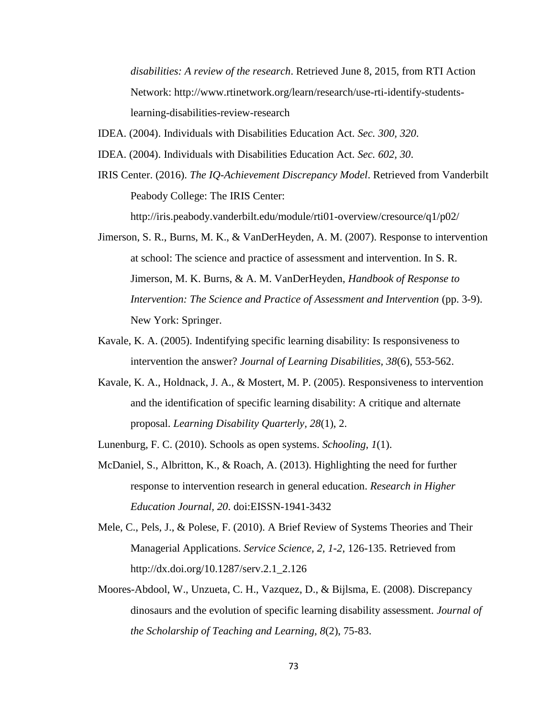*disabilities: A review of the research*. Retrieved June 8, 2015, from RTI Action Network: http://www.rtinetwork.org/learn/research/use-rti-identify-studentslearning-disabilities-review-research

- IDEA. (2004). Individuals with Disabilities Education Act. *Sec. 300, 320*.
- IDEA. (2004). Individuals with Disabilities Education Act. *Sec. 602, 30*.
- IRIS Center. (2016). *The IQ-Achievement Discrepancy Model*. Retrieved from Vanderbilt Peabody College: The IRIS Center: http://iris.peabody.vanderbilt.edu/module/rti01-overview/cresource/q1/p02/
- Jimerson, S. R., Burns, M. K., & VanDerHeyden, A. M. (2007). Response to intervention at school: The science and practice of assessment and intervention. In S. R. Jimerson, M. K. Burns, & A. M. VanDerHeyden, *Handbook of Response to Intervention: The Science and Practice of Assessment and Intervention* (pp. 3-9). New York: Springer.
- Kavale, K. A. (2005). Indentifying specific learning disability: Is responsiveness to intervention the answer? *Journal of Learning Disabilities, 38*(6), 553-562.
- Kavale, K. A., Holdnack, J. A., & Mostert, M. P. (2005). Responsiveness to intervention and the identification of specific learning disability: A critique and alternate proposal. *Learning Disability Quarterly, 28*(1), 2.
- Lunenburg, F. C. (2010). Schools as open systems. *Schooling, 1*(1).
- McDaniel, S., Albritton, K., & Roach, A. (2013). Highlighting the need for further response to intervention research in general education. *Research in Higher Education Journal, 20*. doi:EISSN-1941-3432
- Mele, C., Pels, J., & Polese, F. (2010). A Brief Review of Systems Theories and Their Managerial Applications. *Service Science, 2, 1-2*, 126-135. Retrieved from http://dx.doi.org/10.1287/serv.2.1\_2.126
- Moores-Abdool, W., Unzueta, C. H., Vazquez, D., & Bijlsma, E. (2008). Discrepancy dinosaurs and the evolution of specific learning disability assessment. *Journal of the Scholarship of Teaching and Learning, 8*(2), 75-83.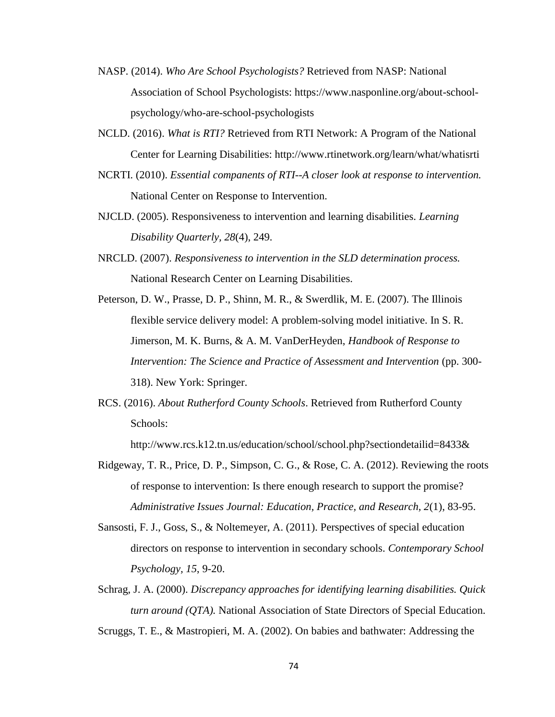- NASP. (2014). *Who Are School Psychologists?* Retrieved from NASP: National Association of School Psychologists: https://www.nasponline.org/about-schoolpsychology/who-are-school-psychologists
- NCLD. (2016). *What is RTI?* Retrieved from RTI Network: A Program of the National Center for Learning Disabilities: http://www.rtinetwork.org/learn/what/whatisrti
- NCRTI. (2010). *Essential companents of RTI--A closer look at response to intervention.* National Center on Response to Intervention.
- NJCLD. (2005). Responsiveness to intervention and learning disabilities. *Learning Disability Quarterly, 28*(4), 249.
- NRCLD. (2007). *Responsiveness to intervention in the SLD determination process.* National Research Center on Learning Disabilities.
- Peterson, D. W., Prasse, D. P., Shinn, M. R., & Swerdlik, M. E. (2007). The Illinois flexible service delivery model: A problem-solving model initiative. In S. R. Jimerson, M. K. Burns, & A. M. VanDerHeyden, *Handbook of Response to Intervention: The Science and Practice of Assessment and Intervention* (pp. 300- 318). New York: Springer.
- RCS. (2016). *About Rutherford County Schools*. Retrieved from Rutherford County Schools:

http://www.rcs.k12.tn.us/education/school/school.php?sectiondetailid=8433&

- Ridgeway, T. R., Price, D. P., Simpson, C. G., & Rose, C. A. (2012). Reviewing the roots of response to intervention: Is there enough research to support the promise? *Administrative Issues Journal: Education, Practice, and Research, 2*(1), 83-95.
- Sansosti, F. J., Goss, S., & Noltemeyer, A. (2011). Perspectives of special education directors on response to intervention in secondary schools. *Contemporary School Psychology, 15*, 9-20.
- Schrag, J. A. (2000). *Discrepancy approaches for identifying learning disabilities. Quick turn around (QTA).* National Association of State Directors of Special Education. Scruggs, T. E., & Mastropieri, M. A. (2002). On babies and bathwater: Addressing the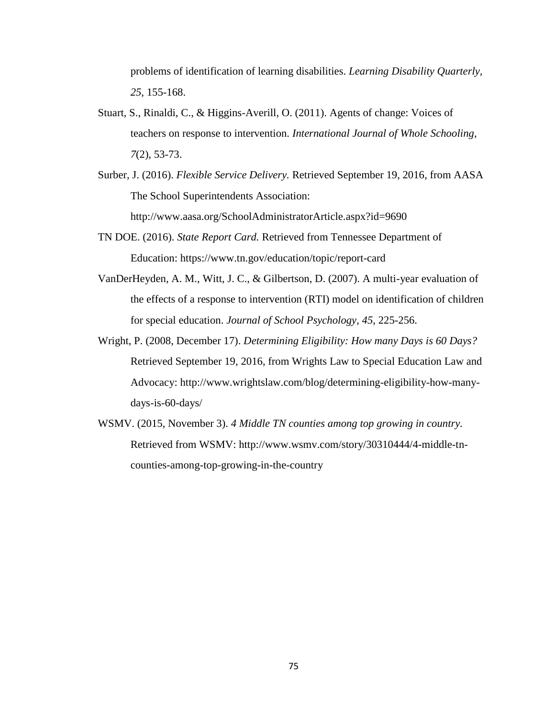problems of identification of learning disabilities. *Learning Disability Quarterly, 25*, 155-168.

- Stuart, S., Rinaldi, C., & Higgins-Averill, O. (2011). Agents of change: Voices of teachers on response to intervention. *International Journal of Whole Schooling, 7*(2), 53-73.
- Surber, J. (2016). *Flexible Service Delivery.* Retrieved September 19, 2016, from AASA The School Superintendents Association: http://www.aasa.org/SchoolAdministratorArticle.aspx?id=9690
- TN DOE. (2016). *State Report Card.* Retrieved from Tennessee Department of Education: https://www.tn.gov/education/topic/report-card
- VanDerHeyden, A. M., Witt, J. C., & Gilbertson, D. (2007). A multi-year evaluation of the effects of a response to intervention (RTI) model on identification of children for special education. *Journal of School Psychology, 45*, 225-256.
- Wright, P. (2008, December 17). *Determining Eligibility: How many Days is 60 Days?* Retrieved September 19, 2016, from Wrights Law to Special Education Law and Advocacy: http://www.wrightslaw.com/blog/determining-eligibility-how-manydays-is-60-days/
- WSMV. (2015, November 3). *4 Middle TN counties among top growing in country.* Retrieved from WSMV: http://www.wsmv.com/story/30310444/4-middle-tncounties-among-top-growing-in-the-country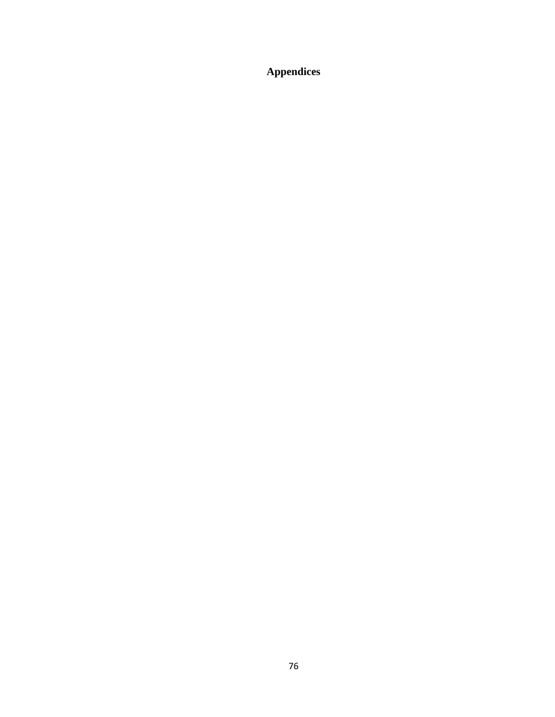**Appendices**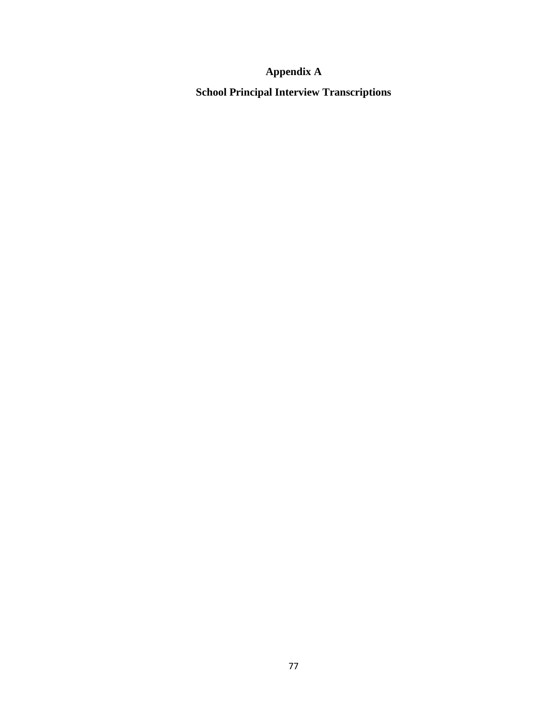# **Appendix A**

**School Principal Interview Transcriptions**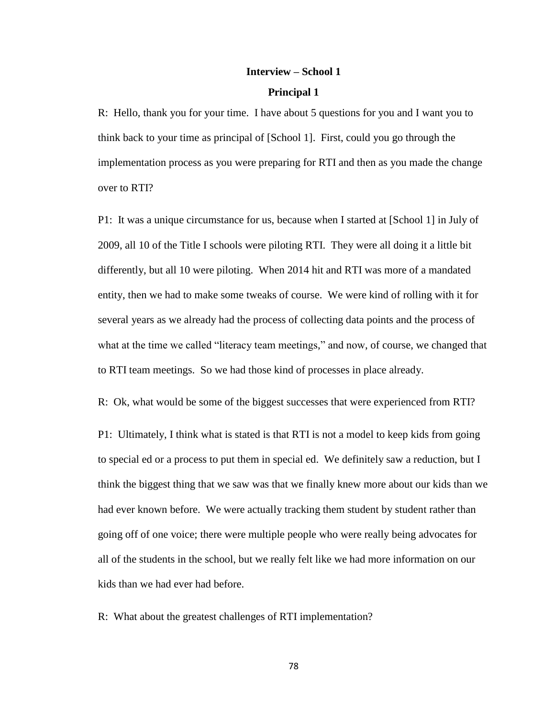# **Interview – School 1**

## **Principal 1**

R: Hello, thank you for your time. I have about 5 questions for you and I want you to think back to your time as principal of [School 1]. First, could you go through the implementation process as you were preparing for RTI and then as you made the change over to RTI?

P1: It was a unique circumstance for us, because when I started at [School 1] in July of 2009, all 10 of the Title I schools were piloting RTI. They were all doing it a little bit differently, but all 10 were piloting. When 2014 hit and RTI was more of a mandated entity, then we had to make some tweaks of course. We were kind of rolling with it for several years as we already had the process of collecting data points and the process of what at the time we called "literacy team meetings," and now, of course, we changed that to RTI team meetings. So we had those kind of processes in place already.

R: Ok, what would be some of the biggest successes that were experienced from RTI?

P1: Ultimately, I think what is stated is that RTI is not a model to keep kids from going to special ed or a process to put them in special ed. We definitely saw a reduction, but I think the biggest thing that we saw was that we finally knew more about our kids than we had ever known before. We were actually tracking them student by student rather than going off of one voice; there were multiple people who were really being advocates for all of the students in the school, but we really felt like we had more information on our kids than we had ever had before.

R: What about the greatest challenges of RTI implementation?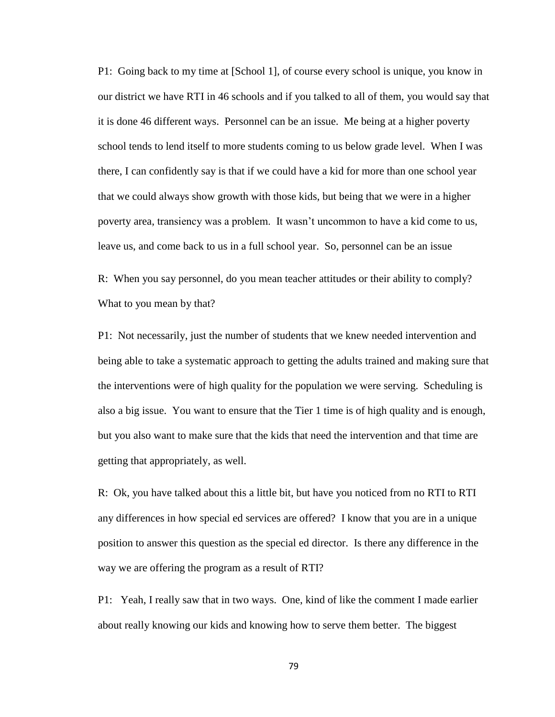P1: Going back to my time at [School 1], of course every school is unique, you know in our district we have RTI in 46 schools and if you talked to all of them, you would say that it is done 46 different ways. Personnel can be an issue. Me being at a higher poverty school tends to lend itself to more students coming to us below grade level. When I was there, I can confidently say is that if we could have a kid for more than one school year that we could always show growth with those kids, but being that we were in a higher poverty area, transiency was a problem. It wasn't uncommon to have a kid come to us, leave us, and come back to us in a full school year. So, personnel can be an issue

R: When you say personnel, do you mean teacher attitudes or their ability to comply? What to you mean by that?

P1: Not necessarily, just the number of students that we knew needed intervention and being able to take a systematic approach to getting the adults trained and making sure that the interventions were of high quality for the population we were serving. Scheduling is also a big issue. You want to ensure that the Tier 1 time is of high quality and is enough, but you also want to make sure that the kids that need the intervention and that time are getting that appropriately, as well.

R: Ok, you have talked about this a little bit, but have you noticed from no RTI to RTI any differences in how special ed services are offered? I know that you are in a unique position to answer this question as the special ed director. Is there any difference in the way we are offering the program as a result of RTI?

P1: Yeah, I really saw that in two ways. One, kind of like the comment I made earlier about really knowing our kids and knowing how to serve them better. The biggest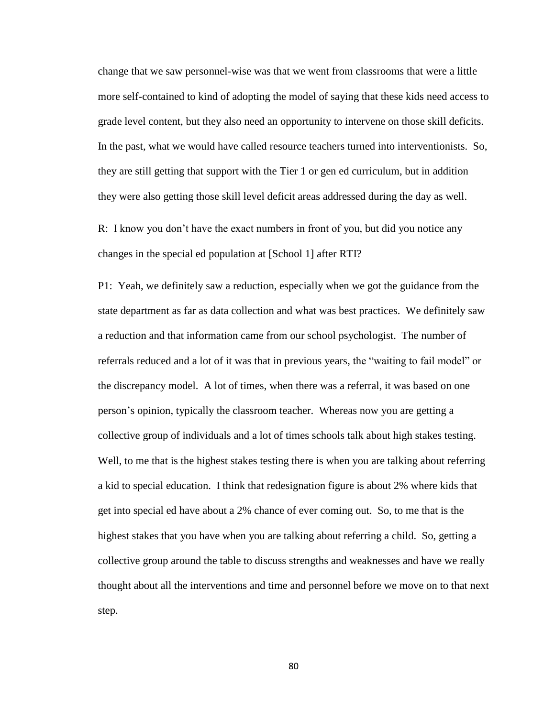change that we saw personnel-wise was that we went from classrooms that were a little more self-contained to kind of adopting the model of saying that these kids need access to grade level content, but they also need an opportunity to intervene on those skill deficits. In the past, what we would have called resource teachers turned into interventionists. So, they are still getting that support with the Tier 1 or gen ed curriculum, but in addition they were also getting those skill level deficit areas addressed during the day as well.

R: I know you don't have the exact numbers in front of you, but did you notice any changes in the special ed population at [School 1] after RTI?

P1: Yeah, we definitely saw a reduction, especially when we got the guidance from the state department as far as data collection and what was best practices. We definitely saw a reduction and that information came from our school psychologist. The number of referrals reduced and a lot of it was that in previous years, the "waiting to fail model" or the discrepancy model. A lot of times, when there was a referral, it was based on one person's opinion, typically the classroom teacher. Whereas now you are getting a collective group of individuals and a lot of times schools talk about high stakes testing. Well, to me that is the highest stakes testing there is when you are talking about referring a kid to special education. I think that redesignation figure is about 2% where kids that get into special ed have about a 2% chance of ever coming out. So, to me that is the highest stakes that you have when you are talking about referring a child. So, getting a collective group around the table to discuss strengths and weaknesses and have we really thought about all the interventions and time and personnel before we move on to that next step.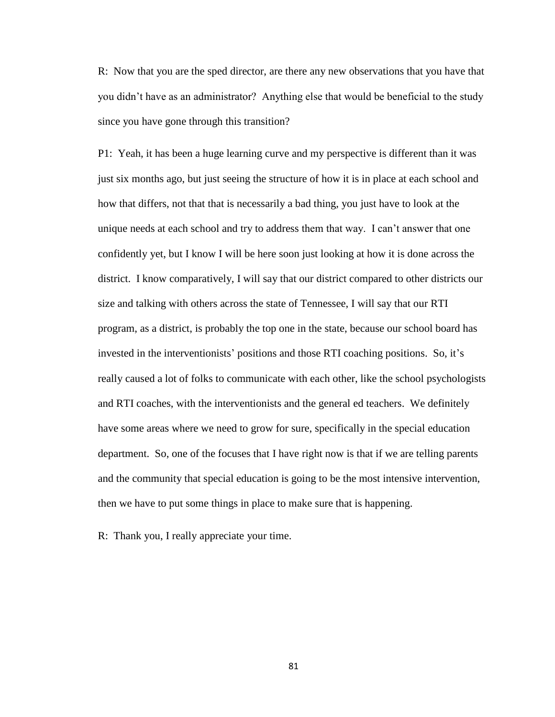R: Now that you are the sped director, are there any new observations that you have that you didn't have as an administrator? Anything else that would be beneficial to the study since you have gone through this transition?

P1: Yeah, it has been a huge learning curve and my perspective is different than it was just six months ago, but just seeing the structure of how it is in place at each school and how that differs, not that that is necessarily a bad thing, you just have to look at the unique needs at each school and try to address them that way. I can't answer that one confidently yet, but I know I will be here soon just looking at how it is done across the district. I know comparatively, I will say that our district compared to other districts our size and talking with others across the state of Tennessee, I will say that our RTI program, as a district, is probably the top one in the state, because our school board has invested in the interventionists' positions and those RTI coaching positions. So, it's really caused a lot of folks to communicate with each other, like the school psychologists and RTI coaches, with the interventionists and the general ed teachers. We definitely have some areas where we need to grow for sure, specifically in the special education department. So, one of the focuses that I have right now is that if we are telling parents and the community that special education is going to be the most intensive intervention, then we have to put some things in place to make sure that is happening.

R: Thank you, I really appreciate your time.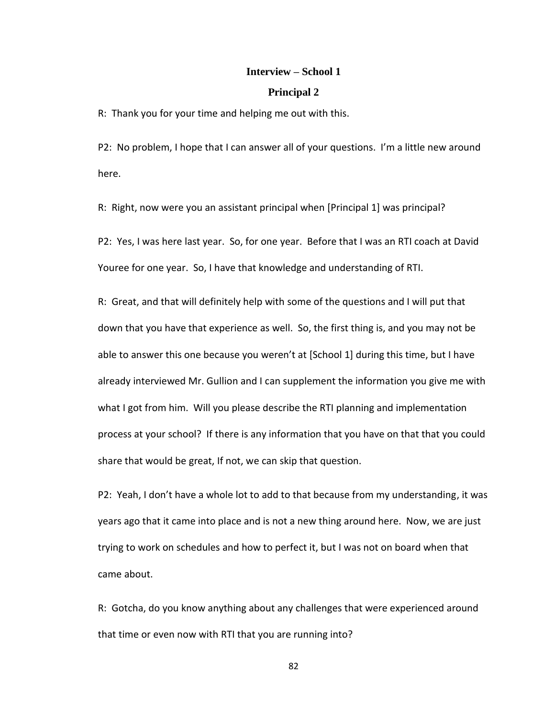## **Interview – School 1**

## **Principal 2**

R: Thank you for your time and helping me out with this.

P2: No problem, I hope that I can answer all of your questions. I'm a little new around here.

R: Right, now were you an assistant principal when [Principal 1] was principal?

P2: Yes, I was here last year. So, for one year. Before that I was an RTI coach at David Youree for one year. So, I have that knowledge and understanding of RTI.

R: Great, and that will definitely help with some of the questions and I will put that down that you have that experience as well. So, the first thing is, and you may not be able to answer this one because you weren't at [School 1] during this time, but I have already interviewed Mr. Gullion and I can supplement the information you give me with what I got from him. Will you please describe the RTI planning and implementation process at your school? If there is any information that you have on that that you could share that would be great, If not, we can skip that question.

P2: Yeah, I don't have a whole lot to add to that because from my understanding, it was years ago that it came into place and is not a new thing around here. Now, we are just trying to work on schedules and how to perfect it, but I was not on board when that came about.

R: Gotcha, do you know anything about any challenges that were experienced around that time or even now with RTI that you are running into?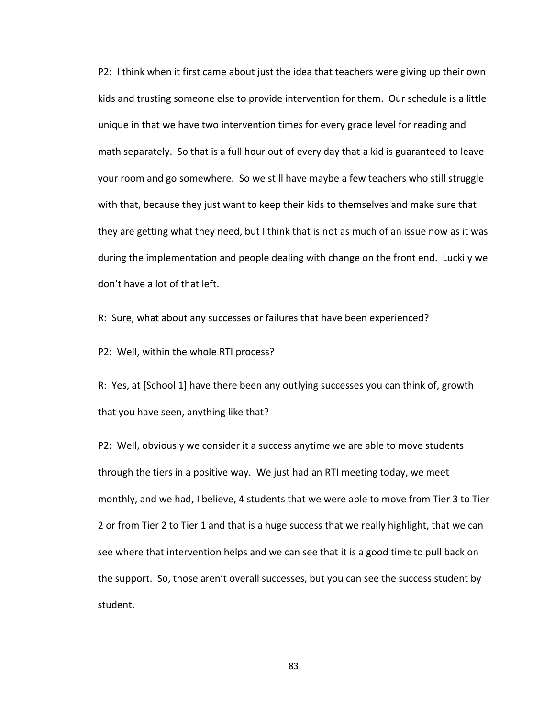P2: I think when it first came about just the idea that teachers were giving up their own kids and trusting someone else to provide intervention for them. Our schedule is a little unique in that we have two intervention times for every grade level for reading and math separately. So that is a full hour out of every day that a kid is guaranteed to leave your room and go somewhere. So we still have maybe a few teachers who still struggle with that, because they just want to keep their kids to themselves and make sure that they are getting what they need, but I think that is not as much of an issue now as it was during the implementation and people dealing with change on the front end. Luckily we don't have a lot of that left.

R: Sure, what about any successes or failures that have been experienced?

P2: Well, within the whole RTI process?

R: Yes, at [School 1] have there been any outlying successes you can think of, growth that you have seen, anything like that?

P2: Well, obviously we consider it a success anytime we are able to move students through the tiers in a positive way. We just had an RTI meeting today, we meet monthly, and we had, I believe, 4 students that we were able to move from Tier 3 to Tier 2 or from Tier 2 to Tier 1 and that is a huge success that we really highlight, that we can see where that intervention helps and we can see that it is a good time to pull back on the support. So, those aren't overall successes, but you can see the success student by student.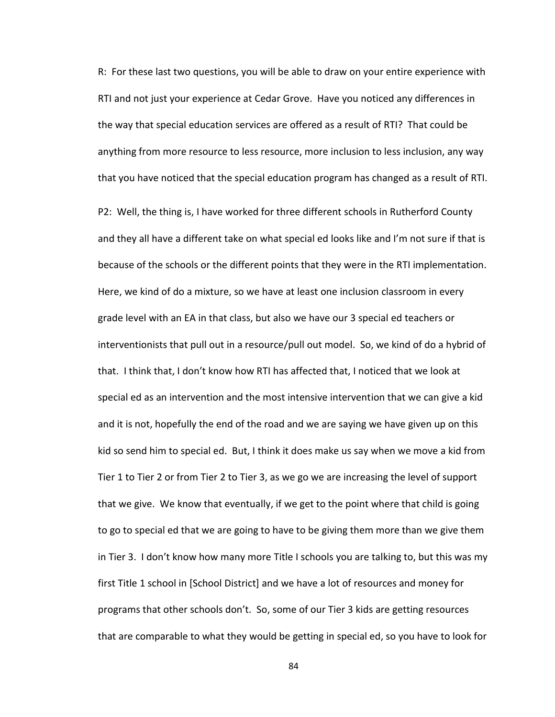R: For these last two questions, you will be able to draw on your entire experience with RTI and not just your experience at Cedar Grove. Have you noticed any differences in the way that special education services are offered as a result of RTI? That could be anything from more resource to less resource, more inclusion to less inclusion, any way that you have noticed that the special education program has changed as a result of RTI.

P2: Well, the thing is, I have worked for three different schools in Rutherford County and they all have a different take on what special ed looks like and I'm not sure if that is because of the schools or the different points that they were in the RTI implementation. Here, we kind of do a mixture, so we have at least one inclusion classroom in every grade level with an EA in that class, but also we have our 3 special ed teachers or interventionists that pull out in a resource/pull out model. So, we kind of do a hybrid of that. I think that, I don't know how RTI has affected that, I noticed that we look at special ed as an intervention and the most intensive intervention that we can give a kid and it is not, hopefully the end of the road and we are saying we have given up on this kid so send him to special ed. But, I think it does make us say when we move a kid from Tier 1 to Tier 2 or from Tier 2 to Tier 3, as we go we are increasing the level of support that we give. We know that eventually, if we get to the point where that child is going to go to special ed that we are going to have to be giving them more than we give them in Tier 3. I don't know how many more Title I schools you are talking to, but this was my first Title 1 school in [School District] and we have a lot of resources and money for programs that other schools don't. So, some of our Tier 3 kids are getting resources that are comparable to what they would be getting in special ed, so you have to look for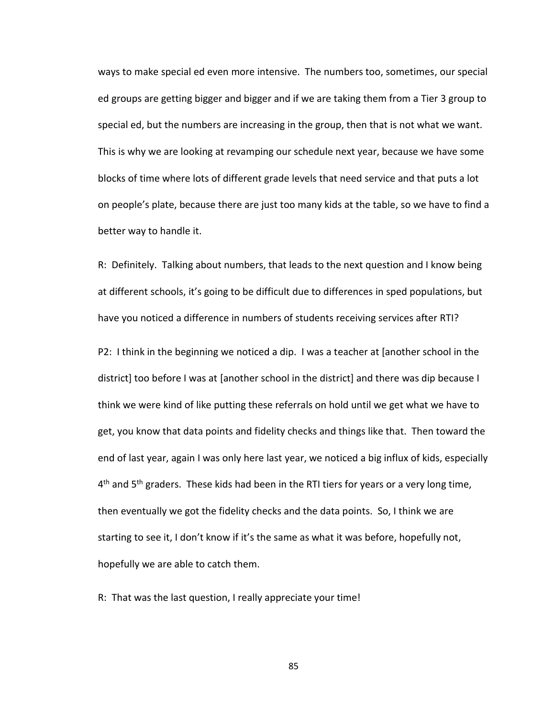ways to make special ed even more intensive. The numbers too, sometimes, our special ed groups are getting bigger and bigger and if we are taking them from a Tier 3 group to special ed, but the numbers are increasing in the group, then that is not what we want. This is why we are looking at revamping our schedule next year, because we have some blocks of time where lots of different grade levels that need service and that puts a lot on people's plate, because there are just too many kids at the table, so we have to find a better way to handle it.

R: Definitely. Talking about numbers, that leads to the next question and I know being at different schools, it's going to be difficult due to differences in sped populations, but have you noticed a difference in numbers of students receiving services after RTI?

P2: I think in the beginning we noticed a dip. I was a teacher at [another school in the district] too before I was at [another school in the district] and there was dip because I think we were kind of like putting these referrals on hold until we get what we have to get, you know that data points and fidelity checks and things like that. Then toward the end of last year, again I was only here last year, we noticed a big influx of kids, especially 4<sup>th</sup> and 5<sup>th</sup> graders. These kids had been in the RTI tiers for years or a very long time, then eventually we got the fidelity checks and the data points. So, I think we are starting to see it, I don't know if it's the same as what it was before, hopefully not, hopefully we are able to catch them.

R: That was the last question, I really appreciate your time!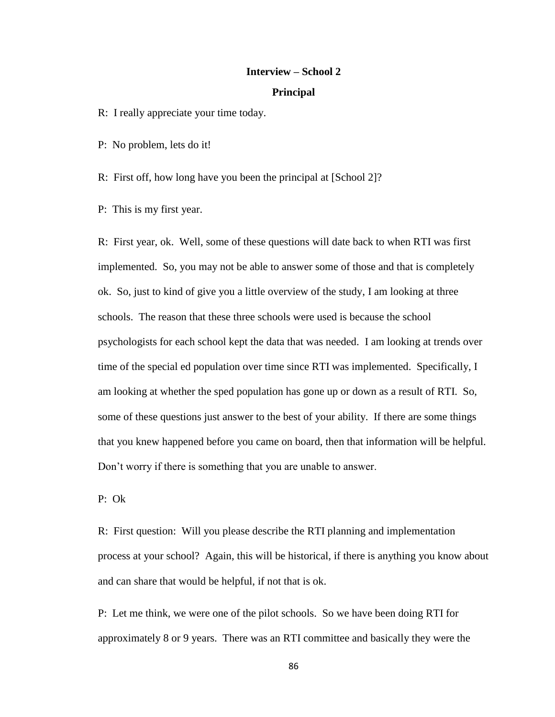### **Interview – School 2**

### **Principal**

R: I really appreciate your time today.

P: No problem, lets do it!

R: First off, how long have you been the principal at [School 2]?

P: This is my first year.

R: First year, ok. Well, some of these questions will date back to when RTI was first implemented. So, you may not be able to answer some of those and that is completely ok. So, just to kind of give you a little overview of the study, I am looking at three schools. The reason that these three schools were used is because the school psychologists for each school kept the data that was needed. I am looking at trends over time of the special ed population over time since RTI was implemented. Specifically, I am looking at whether the sped population has gone up or down as a result of RTI. So, some of these questions just answer to the best of your ability. If there are some things that you knew happened before you came on board, then that information will be helpful. Don't worry if there is something that you are unable to answer.

P: Ok

R: First question: Will you please describe the RTI planning and implementation process at your school? Again, this will be historical, if there is anything you know about and can share that would be helpful, if not that is ok.

P: Let me think, we were one of the pilot schools. So we have been doing RTI for approximately 8 or 9 years. There was an RTI committee and basically they were the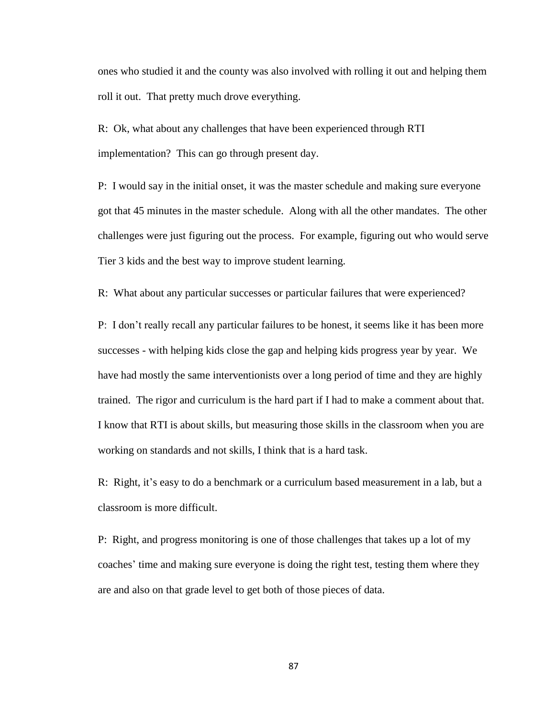ones who studied it and the county was also involved with rolling it out and helping them roll it out. That pretty much drove everything.

R: Ok, what about any challenges that have been experienced through RTI implementation? This can go through present day.

P: I would say in the initial onset, it was the master schedule and making sure everyone got that 45 minutes in the master schedule. Along with all the other mandates. The other challenges were just figuring out the process. For example, figuring out who would serve Tier 3 kids and the best way to improve student learning.

R: What about any particular successes or particular failures that were experienced?

P: I don't really recall any particular failures to be honest, it seems like it has been more successes - with helping kids close the gap and helping kids progress year by year. We have had mostly the same interventionists over a long period of time and they are highly trained. The rigor and curriculum is the hard part if I had to make a comment about that. I know that RTI is about skills, but measuring those skills in the classroom when you are working on standards and not skills, I think that is a hard task.

R: Right, it's easy to do a benchmark or a curriculum based measurement in a lab, but a classroom is more difficult.

P: Right, and progress monitoring is one of those challenges that takes up a lot of my coaches' time and making sure everyone is doing the right test, testing them where they are and also on that grade level to get both of those pieces of data.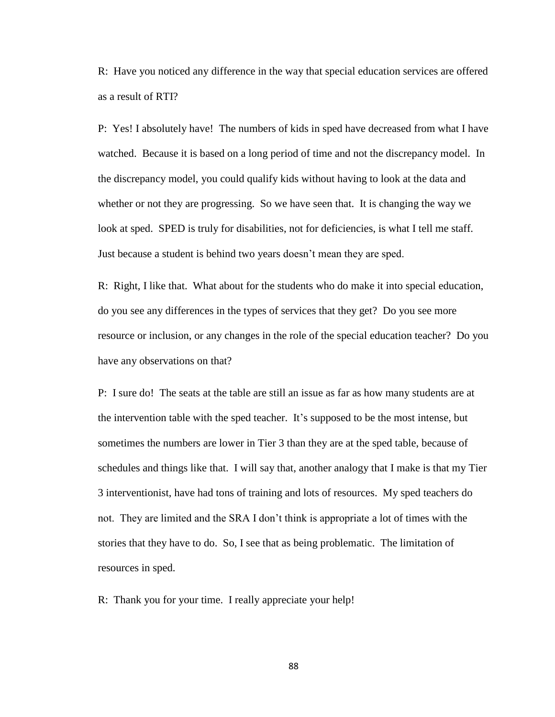R: Have you noticed any difference in the way that special education services are offered as a result of RTI?

P: Yes! I absolutely have! The numbers of kids in sped have decreased from what I have watched. Because it is based on a long period of time and not the discrepancy model. In the discrepancy model, you could qualify kids without having to look at the data and whether or not they are progressing. So we have seen that. It is changing the way we look at sped. SPED is truly for disabilities, not for deficiencies, is what I tell me staff. Just because a student is behind two years doesn't mean they are sped.

R: Right, I like that. What about for the students who do make it into special education, do you see any differences in the types of services that they get? Do you see more resource or inclusion, or any changes in the role of the special education teacher? Do you have any observations on that?

P: I sure do! The seats at the table are still an issue as far as how many students are at the intervention table with the sped teacher. It's supposed to be the most intense, but sometimes the numbers are lower in Tier 3 than they are at the sped table, because of schedules and things like that. I will say that, another analogy that I make is that my Tier 3 interventionist, have had tons of training and lots of resources. My sped teachers do not. They are limited and the SRA I don't think is appropriate a lot of times with the stories that they have to do. So, I see that as being problematic. The limitation of resources in sped.

R: Thank you for your time. I really appreciate your help!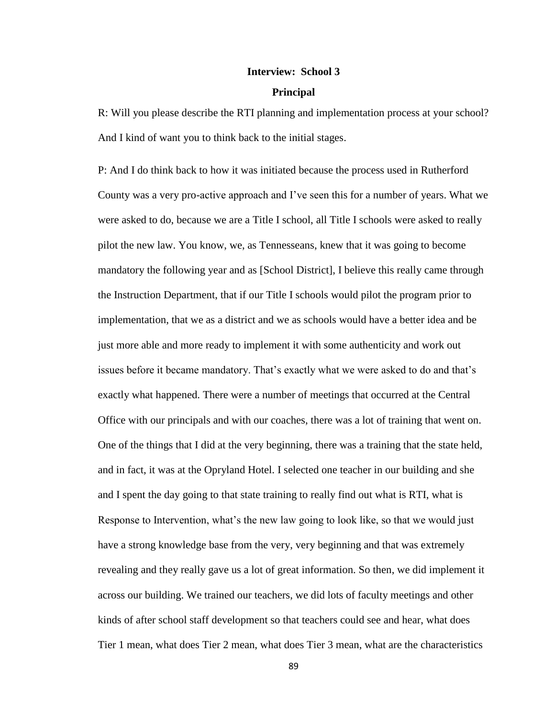# **Interview: School 3**

## **Principal**

R: Will you please describe the RTI planning and implementation process at your school? And I kind of want you to think back to the initial stages.

P: And I do think back to how it was initiated because the process used in Rutherford County was a very pro-active approach and I've seen this for a number of years. What we were asked to do, because we are a Title I school, all Title I schools were asked to really pilot the new law. You know, we, as Tennesseans, knew that it was going to become mandatory the following year and as [School District], I believe this really came through the Instruction Department, that if our Title I schools would pilot the program prior to implementation, that we as a district and we as schools would have a better idea and be just more able and more ready to implement it with some authenticity and work out issues before it became mandatory. That's exactly what we were asked to do and that's exactly what happened. There were a number of meetings that occurred at the Central Office with our principals and with our coaches, there was a lot of training that went on. One of the things that I did at the very beginning, there was a training that the state held, and in fact, it was at the Opryland Hotel. I selected one teacher in our building and she and I spent the day going to that state training to really find out what is RTI, what is Response to Intervention, what's the new law going to look like, so that we would just have a strong knowledge base from the very, very beginning and that was extremely revealing and they really gave us a lot of great information. So then, we did implement it across our building. We trained our teachers, we did lots of faculty meetings and other kinds of after school staff development so that teachers could see and hear, what does Tier 1 mean, what does Tier 2 mean, what does Tier 3 mean, what are the characteristics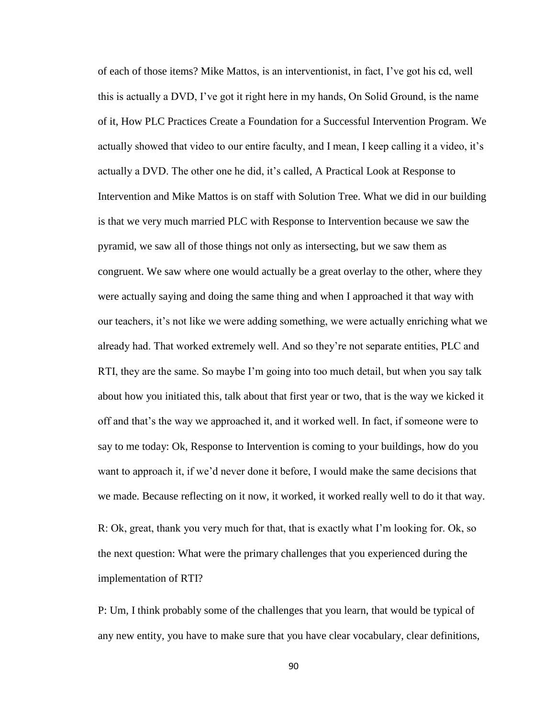of each of those items? Mike Mattos, is an interventionist, in fact, I've got his cd, well this is actually a DVD, I've got it right here in my hands, On Solid Ground, is the name of it, How PLC Practices Create a Foundation for a Successful Intervention Program. We actually showed that video to our entire faculty, and I mean, I keep calling it a video, it's actually a DVD. The other one he did, it's called, A Practical Look at Response to Intervention and Mike Mattos is on staff with Solution Tree. What we did in our building is that we very much married PLC with Response to Intervention because we saw the pyramid, we saw all of those things not only as intersecting, but we saw them as congruent. We saw where one would actually be a great overlay to the other, where they were actually saying and doing the same thing and when I approached it that way with our teachers, it's not like we were adding something, we were actually enriching what we already had. That worked extremely well. And so they're not separate entities, PLC and RTI, they are the same. So maybe I'm going into too much detail, but when you say talk about how you initiated this, talk about that first year or two, that is the way we kicked it off and that's the way we approached it, and it worked well. In fact, if someone were to say to me today: Ok, Response to Intervention is coming to your buildings, how do you want to approach it, if we'd never done it before, I would make the same decisions that we made. Because reflecting on it now, it worked, it worked really well to do it that way.

R: Ok, great, thank you very much for that, that is exactly what I'm looking for. Ok, so the next question: What were the primary challenges that you experienced during the implementation of RTI?

P: Um, I think probably some of the challenges that you learn, that would be typical of any new entity, you have to make sure that you have clear vocabulary, clear definitions,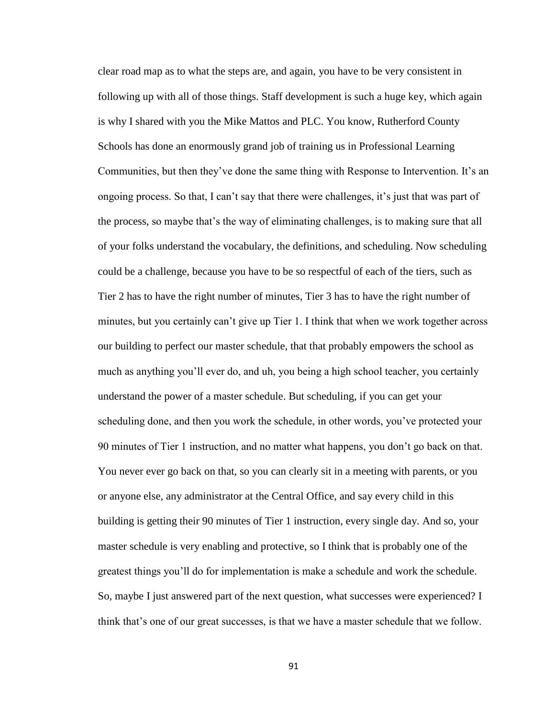clear road map as to what the steps are, and again, you have to be very consistent in following up with all of those things. Staff development is such a huge key, which again is why I shared with you the Mike Mattos and PLC. You know, Rutherford County Schools has done an enormously grand job of training us in Professional Learning Communities, but then they've done the same thing with Response to Intervention. It's an ongoing process. So that, I can't say that there were challenges, it's just that was part of the process, so maybe that's the way of eliminating challenges, is to making sure that all of your folks understand the vocabulary, the definitions, and scheduling. Now scheduling could be a challenge, because you have to be so respectful of each of the tiers, such as Tier 2 has to have the right number of minutes, Tier 3 has to have the right number of minutes, but you certainly can't give up Tier 1. I think that when we work together across our building to perfect our master schedule, that that probably empowers the school as much as anything you'll ever do, and uh, you being a high school teacher, you certainly understand the power of a master schedule. But scheduling, if you can get your scheduling done, and then you work the schedule, in other words, you've protected your 90 minutes of Tier 1 instruction, and no matter what happens, you don't go back on that. You never ever go back on that, so you can clearly sit in a meeting with parents, or you or anyone else, any administrator at the Central Office, and say every child in this building is getting their 90 minutes of Tier 1 instruction, every single day. And so, your master schedule is very enabling and protective, so I think that is probably one of the greatest things you'll do for implementation is make a schedule and work the schedule. So, maybe I just answered part of the next question, what successes were experienced? I think that's one of our great successes, is that we have a master schedule that we follow.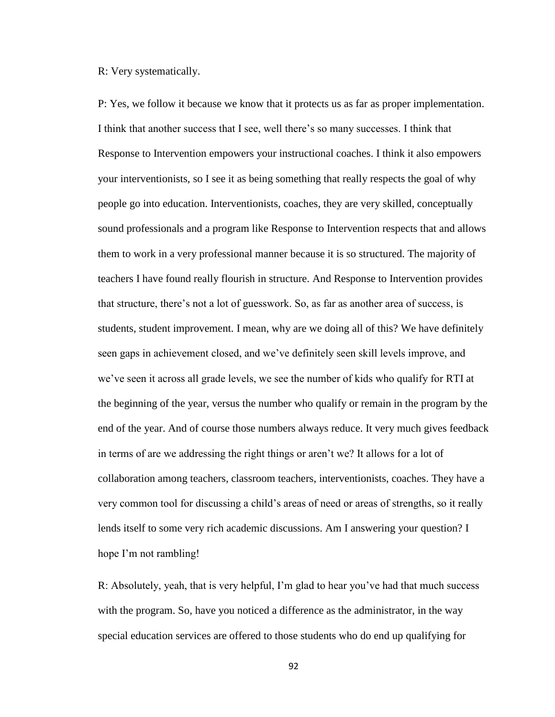R: Very systematically.

P: Yes, we follow it because we know that it protects us as far as proper implementation. I think that another success that I see, well there's so many successes. I think that Response to Intervention empowers your instructional coaches. I think it also empowers your interventionists, so I see it as being something that really respects the goal of why people go into education. Interventionists, coaches, they are very skilled, conceptually sound professionals and a program like Response to Intervention respects that and allows them to work in a very professional manner because it is so structured. The majority of teachers I have found really flourish in structure. And Response to Intervention provides that structure, there's not a lot of guesswork. So, as far as another area of success, is students, student improvement. I mean, why are we doing all of this? We have definitely seen gaps in achievement closed, and we've definitely seen skill levels improve, and we've seen it across all grade levels, we see the number of kids who qualify for RTI at the beginning of the year, versus the number who qualify or remain in the program by the end of the year. And of course those numbers always reduce. It very much gives feedback in terms of are we addressing the right things or aren't we? It allows for a lot of collaboration among teachers, classroom teachers, interventionists, coaches. They have a very common tool for discussing a child's areas of need or areas of strengths, so it really lends itself to some very rich academic discussions. Am I answering your question? I hope I'm not rambling!

R: Absolutely, yeah, that is very helpful, I'm glad to hear you've had that much success with the program. So, have you noticed a difference as the administrator, in the way special education services are offered to those students who do end up qualifying for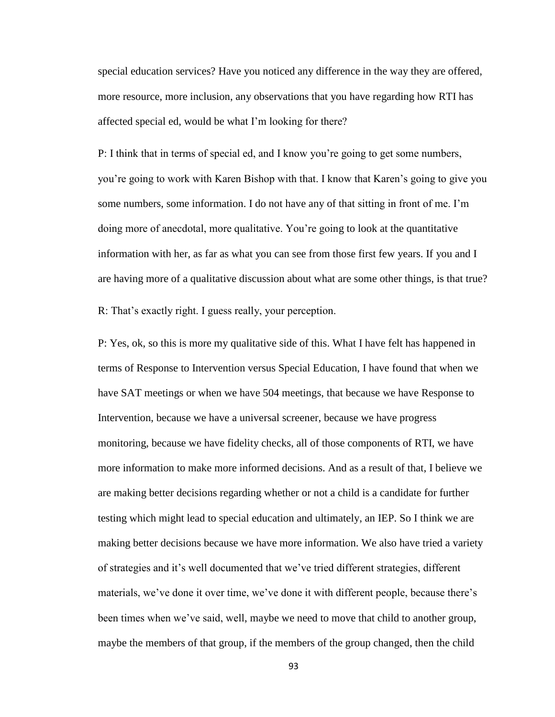special education services? Have you noticed any difference in the way they are offered, more resource, more inclusion, any observations that you have regarding how RTI has affected special ed, would be what I'm looking for there?

P: I think that in terms of special ed, and I know you're going to get some numbers, you're going to work with Karen Bishop with that. I know that Karen's going to give you some numbers, some information. I do not have any of that sitting in front of me. I'm doing more of anecdotal, more qualitative. You're going to look at the quantitative information with her, as far as what you can see from those first few years. If you and I are having more of a qualitative discussion about what are some other things, is that true?

R: That's exactly right. I guess really, your perception.

P: Yes, ok, so this is more my qualitative side of this. What I have felt has happened in terms of Response to Intervention versus Special Education, I have found that when we have SAT meetings or when we have 504 meetings, that because we have Response to Intervention, because we have a universal screener, because we have progress monitoring, because we have fidelity checks, all of those components of RTI, we have more information to make more informed decisions. And as a result of that, I believe we are making better decisions regarding whether or not a child is a candidate for further testing which might lead to special education and ultimately, an IEP. So I think we are making better decisions because we have more information. We also have tried a variety of strategies and it's well documented that we've tried different strategies, different materials, we've done it over time, we've done it with different people, because there's been times when we've said, well, maybe we need to move that child to another group, maybe the members of that group, if the members of the group changed, then the child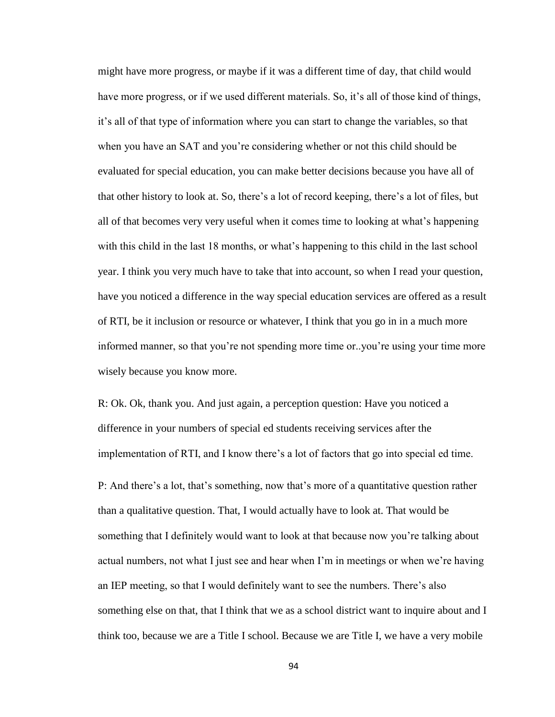might have more progress, or maybe if it was a different time of day, that child would have more progress, or if we used different materials. So, it's all of those kind of things, it's all of that type of information where you can start to change the variables, so that when you have an SAT and you're considering whether or not this child should be evaluated for special education, you can make better decisions because you have all of that other history to look at. So, there's a lot of record keeping, there's a lot of files, but all of that becomes very very useful when it comes time to looking at what's happening with this child in the last 18 months, or what's happening to this child in the last school year. I think you very much have to take that into account, so when I read your question, have you noticed a difference in the way special education services are offered as a result of RTI, be it inclusion or resource or whatever, I think that you go in in a much more informed manner, so that you're not spending more time or..you're using your time more wisely because you know more.

R: Ok. Ok, thank you. And just again, a perception question: Have you noticed a difference in your numbers of special ed students receiving services after the implementation of RTI, and I know there's a lot of factors that go into special ed time.

P: And there's a lot, that's something, now that's more of a quantitative question rather than a qualitative question. That, I would actually have to look at. That would be something that I definitely would want to look at that because now you're talking about actual numbers, not what I just see and hear when I'm in meetings or when we're having an IEP meeting, so that I would definitely want to see the numbers. There's also something else on that, that I think that we as a school district want to inquire about and I think too, because we are a Title I school. Because we are Title I, we have a very mobile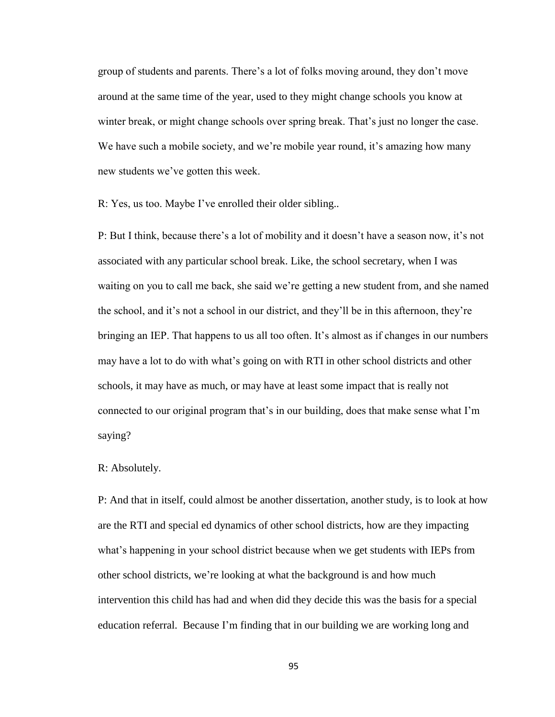group of students and parents. There's a lot of folks moving around, they don't move around at the same time of the year, used to they might change schools you know at winter break, or might change schools over spring break. That's just no longer the case. We have such a mobile society, and we're mobile year round, it's amazing how many new students we've gotten this week.

R: Yes, us too. Maybe I've enrolled their older sibling..

P: But I think, because there's a lot of mobility and it doesn't have a season now, it's not associated with any particular school break. Like, the school secretary, when I was waiting on you to call me back, she said we're getting a new student from, and she named the school, and it's not a school in our district, and they'll be in this afternoon, they're bringing an IEP. That happens to us all too often. It's almost as if changes in our numbers may have a lot to do with what's going on with RTI in other school districts and other schools, it may have as much, or may have at least some impact that is really not connected to our original program that's in our building, does that make sense what I'm saying?

# R: Absolutely.

P: And that in itself, could almost be another dissertation, another study, is to look at how are the RTI and special ed dynamics of other school districts, how are they impacting what's happening in your school district because when we get students with IEPs from other school districts, we're looking at what the background is and how much intervention this child has had and when did they decide this was the basis for a special education referral. Because I'm finding that in our building we are working long and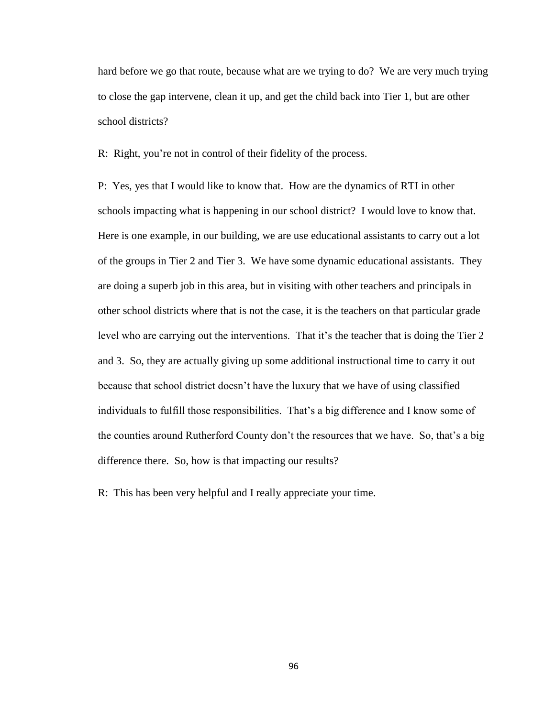hard before we go that route, because what are we trying to do? We are very much trying to close the gap intervene, clean it up, and get the child back into Tier 1, but are other school districts?

R: Right, you're not in control of their fidelity of the process.

P: Yes, yes that I would like to know that. How are the dynamics of RTI in other schools impacting what is happening in our school district? I would love to know that. Here is one example, in our building, we are use educational assistants to carry out a lot of the groups in Tier 2 and Tier 3. We have some dynamic educational assistants. They are doing a superb job in this area, but in visiting with other teachers and principals in other school districts where that is not the case, it is the teachers on that particular grade level who are carrying out the interventions. That it's the teacher that is doing the Tier 2 and 3. So, they are actually giving up some additional instructional time to carry it out because that school district doesn't have the luxury that we have of using classified individuals to fulfill those responsibilities. That's a big difference and I know some of the counties around Rutherford County don't the resources that we have. So, that's a big difference there. So, how is that impacting our results?

R: This has been very helpful and I really appreciate your time.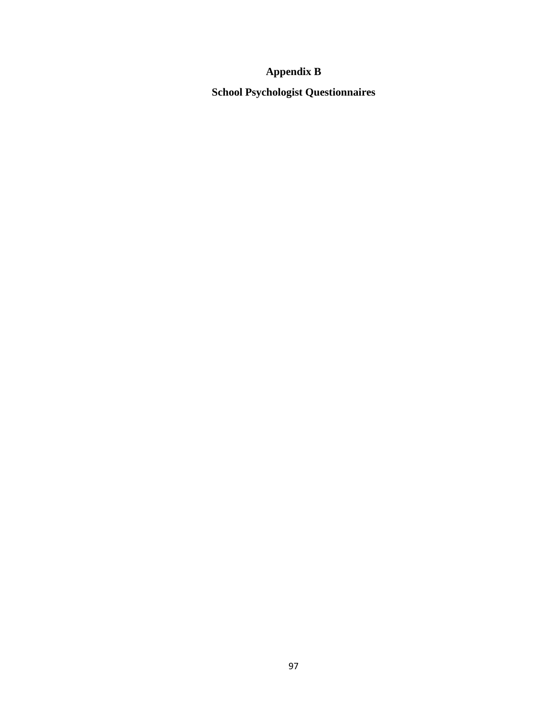# **Appendix B**

**School Psychologist Questionnaires**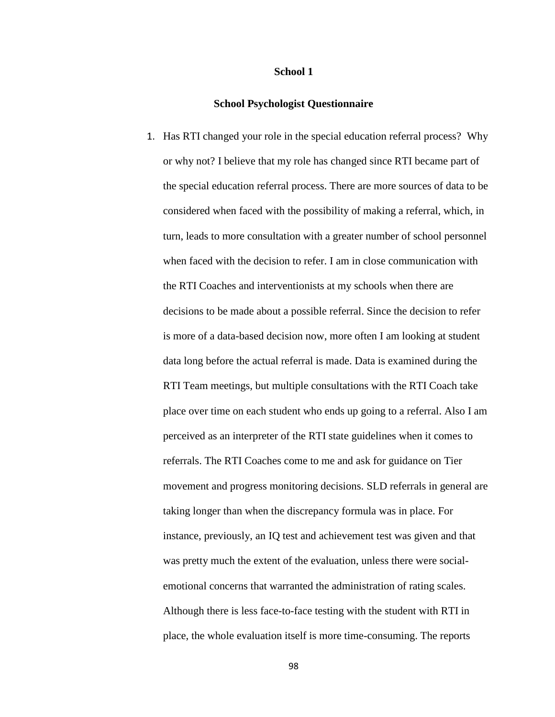#### **School 1**

#### **School Psychologist Questionnaire**

1. Has RTI changed your role in the special education referral process? Why or why not? I believe that my role has changed since RTI became part of the special education referral process. There are more sources of data to be considered when faced with the possibility of making a referral, which, in turn, leads to more consultation with a greater number of school personnel when faced with the decision to refer. I am in close communication with the RTI Coaches and interventionists at my schools when there are decisions to be made about a possible referral. Since the decision to refer is more of a data-based decision now, more often I am looking at student data long before the actual referral is made. Data is examined during the RTI Team meetings, but multiple consultations with the RTI Coach take place over time on each student who ends up going to a referral. Also I am perceived as an interpreter of the RTI state guidelines when it comes to referrals. The RTI Coaches come to me and ask for guidance on Tier movement and progress monitoring decisions. SLD referrals in general are taking longer than when the discrepancy formula was in place. For instance, previously, an IQ test and achievement test was given and that was pretty much the extent of the evaluation, unless there were socialemotional concerns that warranted the administration of rating scales. Although there is less face-to-face testing with the student with RTI in place, the whole evaluation itself is more time-consuming. The reports

98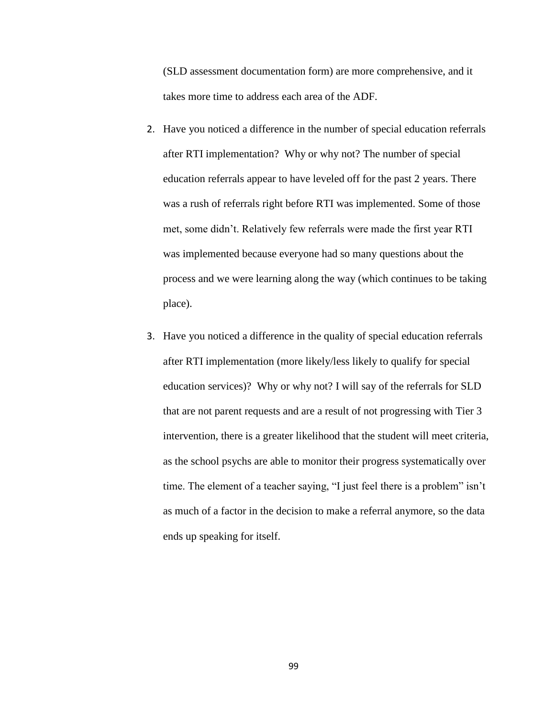(SLD assessment documentation form) are more comprehensive, and it takes more time to address each area of the ADF.

- 2. Have you noticed a difference in the number of special education referrals after RTI implementation? Why or why not? The number of special education referrals appear to have leveled off for the past 2 years. There was a rush of referrals right before RTI was implemented. Some of those met, some didn't. Relatively few referrals were made the first year RTI was implemented because everyone had so many questions about the process and we were learning along the way (which continues to be taking place).
- 3. Have you noticed a difference in the quality of special education referrals after RTI implementation (more likely/less likely to qualify for special education services)? Why or why not? I will say of the referrals for SLD that are not parent requests and are a result of not progressing with Tier 3 intervention, there is a greater likelihood that the student will meet criteria, as the school psychs are able to monitor their progress systematically over time. The element of a teacher saying, "I just feel there is a problem" isn't as much of a factor in the decision to make a referral anymore, so the data ends up speaking for itself.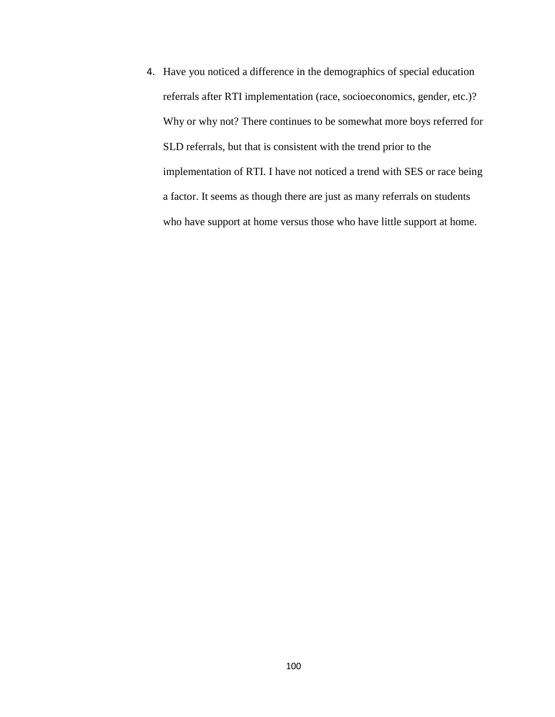4. Have you noticed a difference in the demographics of special education referrals after RTI implementation (race, socioeconomics, gender, etc.)? Why or why not? There continues to be somewhat more boys referred for SLD referrals, but that is consistent with the trend prior to the implementation of RTI. I have not noticed a trend with SES or race being a factor. It seems as though there are just as many referrals on students who have support at home versus those who have little support at home.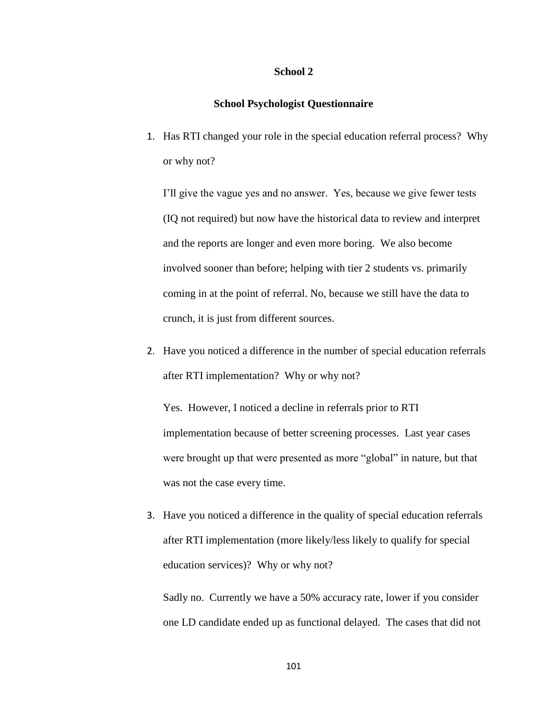#### **School 2**

## **School Psychologist Questionnaire**

1. Has RTI changed your role in the special education referral process? Why or why not?

I'll give the vague yes and no answer. Yes, because we give fewer tests (IQ not required) but now have the historical data to review and interpret and the reports are longer and even more boring. We also become involved sooner than before; helping with tier 2 students vs. primarily coming in at the point of referral. No, because we still have the data to crunch, it is just from different sources.

2. Have you noticed a difference in the number of special education referrals after RTI implementation? Why or why not?

Yes. However, I noticed a decline in referrals prior to RTI implementation because of better screening processes. Last year cases were brought up that were presented as more "global" in nature, but that was not the case every time.

3. Have you noticed a difference in the quality of special education referrals after RTI implementation (more likely/less likely to qualify for special education services)? Why or why not?

Sadly no. Currently we have a 50% accuracy rate, lower if you consider one LD candidate ended up as functional delayed. The cases that did not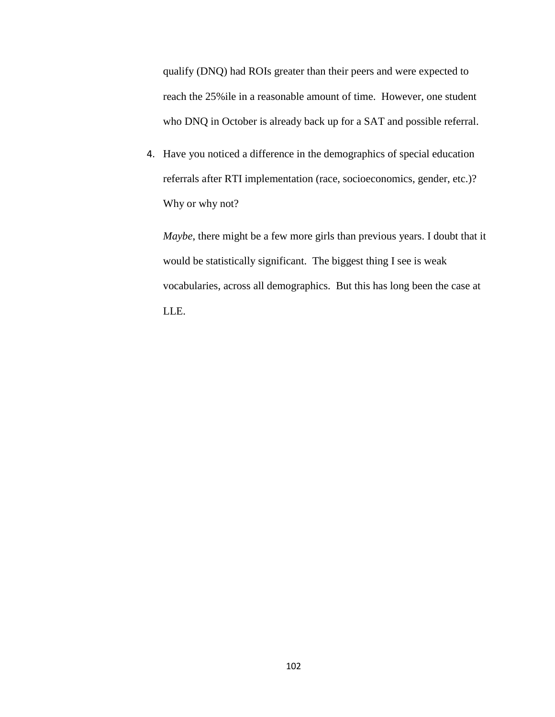qualify (DNQ) had ROIs greater than their peers and were expected to reach the 25%ile in a reasonable amount of time. However, one student who DNQ in October is already back up for a SAT and possible referral.

4. Have you noticed a difference in the demographics of special education referrals after RTI implementation (race, socioeconomics, gender, etc.)? Why or why not?

*Maybe*, there might be a few more girls than previous years. I doubt that it would be statistically significant. The biggest thing I see is weak vocabularies, across all demographics. But this has long been the case at LLE.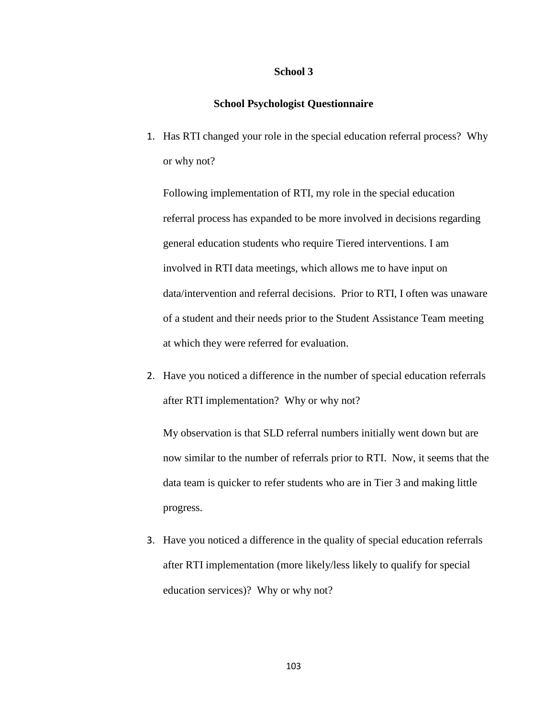#### **School 3**

## **School Psychologist Questionnaire**

1. Has RTI changed your role in the special education referral process? Why or why not?

Following implementation of RTI, my role in the special education referral process has expanded to be more involved in decisions regarding general education students who require Tiered interventions. I am involved in RTI data meetings, which allows me to have input on data/intervention and referral decisions. Prior to RTI, I often was unaware of a student and their needs prior to the Student Assistance Team meeting at which they were referred for evaluation.

2. Have you noticed a difference in the number of special education referrals after RTI implementation? Why or why not?

My observation is that SLD referral numbers initially went down but are now similar to the number of referrals prior to RTI. Now, it seems that the data team is quicker to refer students who are in Tier 3 and making little progress.

3. Have you noticed a difference in the quality of special education referrals after RTI implementation (more likely/less likely to qualify for special education services)? Why or why not?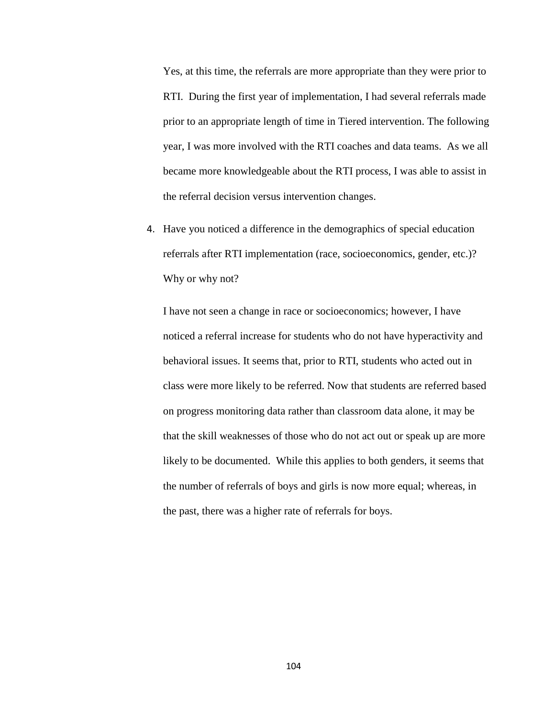Yes, at this time, the referrals are more appropriate than they were prior to RTI. During the first year of implementation, I had several referrals made prior to an appropriate length of time in Tiered intervention. The following year, I was more involved with the RTI coaches and data teams. As we all became more knowledgeable about the RTI process, I was able to assist in the referral decision versus intervention changes.

4. Have you noticed a difference in the demographics of special education referrals after RTI implementation (race, socioeconomics, gender, etc.)? Why or why not?

I have not seen a change in race or socioeconomics; however, I have noticed a referral increase for students who do not have hyperactivity and behavioral issues. It seems that, prior to RTI, students who acted out in class were more likely to be referred. Now that students are referred based on progress monitoring data rather than classroom data alone, it may be that the skill weaknesses of those who do not act out or speak up are more likely to be documented. While this applies to both genders, it seems that the number of referrals of boys and girls is now more equal; whereas, in the past, there was a higher rate of referrals for boys.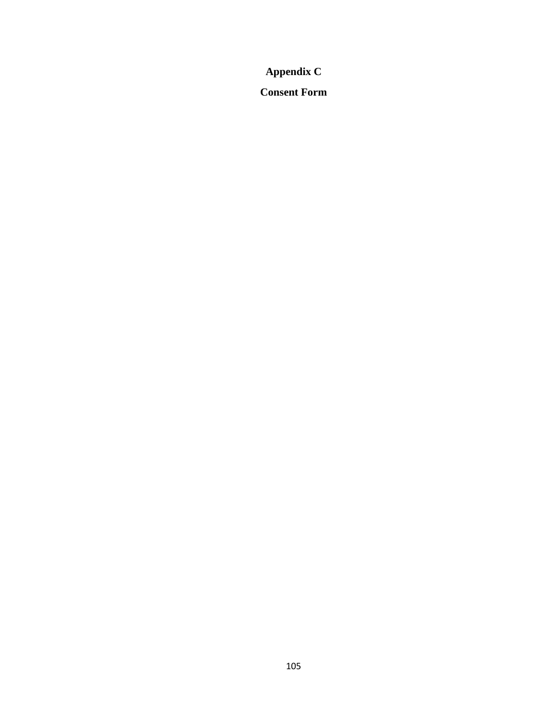# **Appendix C**

**Consent Form**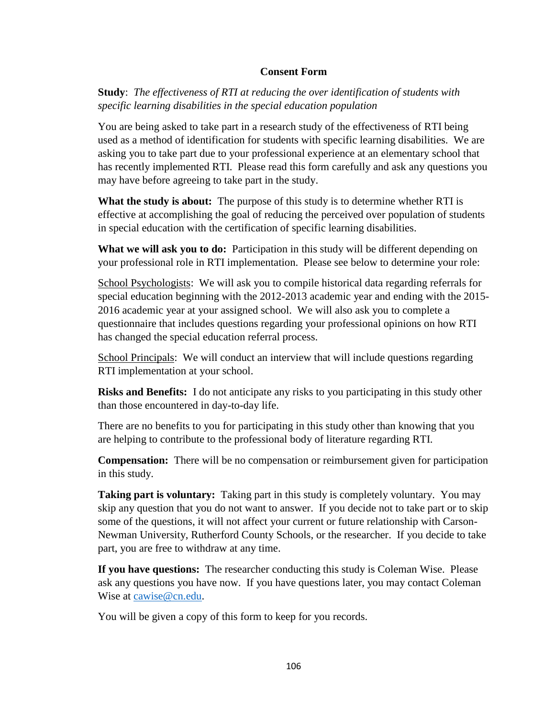# **Consent Form**

**Study**: *The effectiveness of RTI at reducing the over identification of students with specific learning disabilities in the special education population*

You are being asked to take part in a research study of the effectiveness of RTI being used as a method of identification for students with specific learning disabilities. We are asking you to take part due to your professional experience at an elementary school that has recently implemented RTI. Please read this form carefully and ask any questions you may have before agreeing to take part in the study.

**What the study is about:** The purpose of this study is to determine whether RTI is effective at accomplishing the goal of reducing the perceived over population of students in special education with the certification of specific learning disabilities.

**What we will ask you to do:** Participation in this study will be different depending on your professional role in RTI implementation. Please see below to determine your role:

School Psychologists: We will ask you to compile historical data regarding referrals for special education beginning with the 2012-2013 academic year and ending with the 2015- 2016 academic year at your assigned school. We will also ask you to complete a questionnaire that includes questions regarding your professional opinions on how RTI has changed the special education referral process.

School Principals: We will conduct an interview that will include questions regarding RTI implementation at your school.

**Risks and Benefits:** I do not anticipate any risks to you participating in this study other than those encountered in day-to-day life.

There are no benefits to you for participating in this study other than knowing that you are helping to contribute to the professional body of literature regarding RTI.

**Compensation:** There will be no compensation or reimbursement given for participation in this study.

**Taking part is voluntary:** Taking part in this study is completely voluntary. You may skip any question that you do not want to answer. If you decide not to take part or to skip some of the questions, it will not affect your current or future relationship with Carson-Newman University, Rutherford County Schools, or the researcher. If you decide to take part, you are free to withdraw at any time.

**If you have questions:** The researcher conducting this study is Coleman Wise. Please ask any questions you have now. If you have questions later, you may contact Coleman Wise at [cawise@cn.edu.](mailto:cawise@cn.edu)

You will be given a copy of this form to keep for you records.